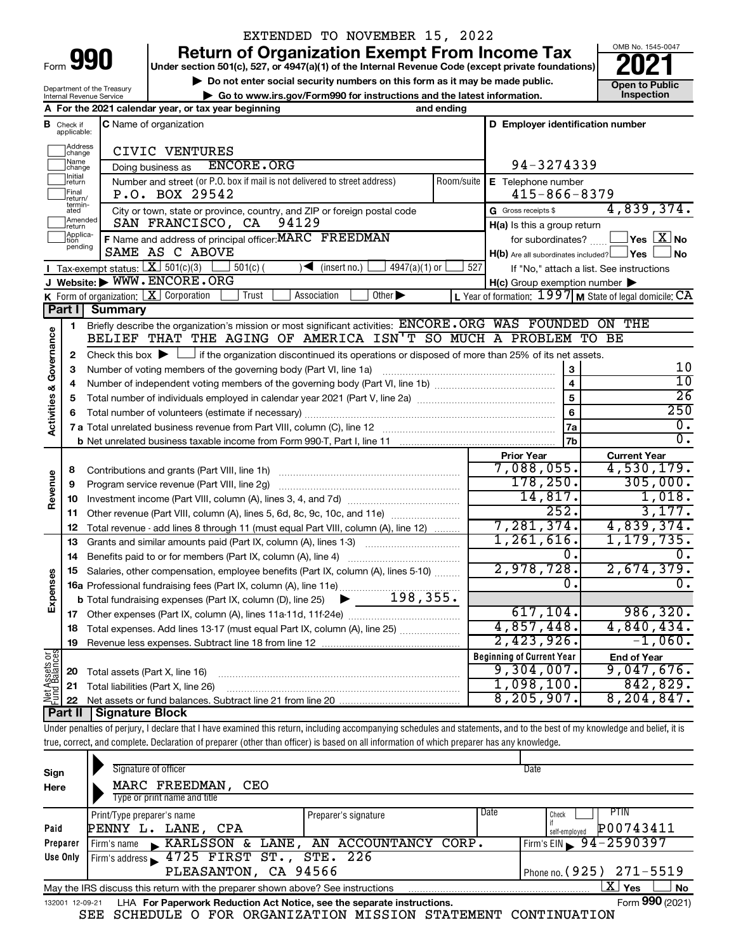# EXTENDED TO NOVEMBER 15, 2022

**990 a** Return of Organization Exempt From Income Tax <br> **Particular Solution 501(c), 527, or 4947(a)(1) of the Internal Revenue Code (except private foundations) <b>2021** 

**EXECUTE Do not enter social security numbers on this form as it may be made public.** 
<br>
■ Go to www.irs.gov/Form990 for instructions and the latest information. 
■ **Open to Public** ▶ Go to www.irs.gov/Form990 for instructions and the latest information.



|                         |                                                                   | Department of the Treasury<br>Internal Revenue Service | ► Go to www.irs.gov/Form990 for instructions and the latest information.                                                                    |            |                                                             | טוועט ו שאווט<br>Inspection             |  |
|-------------------------|-------------------------------------------------------------------|--------------------------------------------------------|---------------------------------------------------------------------------------------------------------------------------------------------|------------|-------------------------------------------------------------|-----------------------------------------|--|
|                         | A For the 2021 calendar year, or tax year beginning<br>and ending |                                                        |                                                                                                                                             |            |                                                             |                                         |  |
| в                       | Check if<br>applicable:                                           |                                                        | <b>C</b> Name of organization                                                                                                               |            | D Employer identification number                            |                                         |  |
|                         | Address<br>change                                                 |                                                        | CIVIC VENTURES                                                                                                                              |            |                                                             |                                         |  |
|                         | Name<br>change                                                    |                                                        | <b>ENCORE.ORG</b><br>Doing business as                                                                                                      |            | 94-3274339                                                  |                                         |  |
|                         | Initial<br>return                                                 |                                                        | Number and street (or P.O. box if mail is not delivered to street address)                                                                  | Room/suite | E Telephone number                                          |                                         |  |
|                         | Final<br>return/                                                  |                                                        | P.O. BOX 29542                                                                                                                              |            | $415 - 866 - 8379$                                          |                                         |  |
|                         | termin-<br>ated                                                   |                                                        | City or town, state or province, country, and ZIP or foreign postal code                                                                    |            | G Gross receipts \$                                         | 4,839,374.                              |  |
|                         | Amended<br>Ireturn                                                |                                                        | 94129<br>SAN FRANCISCO, CA                                                                                                                  |            |                                                             | H(a) Is this a group return             |  |
|                         | Applica-<br>tion                                                  |                                                        | F Name and address of principal officer: MARC FREEDMAN                                                                                      |            | for subordinates?                                           | $\,$ Yes $\,$ $\,$ $\rm X$ $\,$ No $\,$ |  |
|                         | pending                                                           |                                                        | SAME AS C ABOVE                                                                                                                             |            | $H(b)$ Are all subordinates included? $\Box$ Yes            | ∫No                                     |  |
|                         |                                                                   |                                                        | <b>I</b> Tax-exempt status: $X \ 501(c)(3)$<br>$501(c)$ (<br>$\sqrt{\bullet}$ (insert no.)<br>$4947(a)(1)$ or                               | 527        | If "No," attach a list. See instructions                    |                                         |  |
|                         |                                                                   |                                                        | J Website: WWW.ENCORE.ORG                                                                                                                   |            | $H(c)$ Group exemption number $\blacktriangleright$         |                                         |  |
|                         |                                                                   |                                                        | K Form of organization: $X$ Corporation<br>Other $\blacktriangleright$<br>Trust<br>Association                                              |            | L Year of formation: $1997$ M State of legal domicile: $CA$ |                                         |  |
|                         |                                                                   | Part I Summary                                         |                                                                                                                                             |            |                                                             |                                         |  |
|                         | 1                                                                 |                                                        | Briefly describe the organization's mission or most significant activities: ENCORE.ORG WAS FOUNDED ON THE                                   |            |                                                             |                                         |  |
|                         |                                                                   |                                                        | BELIEF THAT THE AGING OF AMERICA ISN'T SO MUCH A PROBLEM TO BE                                                                              |            |                                                             |                                         |  |
|                         | 2                                                                 |                                                        | Check this box $\blacktriangleright$ $\Box$ if the organization discontinued its operations or disposed of more than 25% of its net assets. |            |                                                             | 10                                      |  |
|                         | з                                                                 |                                                        |                                                                                                                                             |            | 3<br>$\overline{4}$                                         | $\overline{10}$                         |  |
|                         | 4                                                                 |                                                        |                                                                                                                                             |            | $\overline{5}$                                              | $\overline{26}$                         |  |
| Activities & Governance | 5<br>6                                                            |                                                        |                                                                                                                                             |            | $6\phantom{a}$                                              | 250                                     |  |
|                         |                                                                   |                                                        |                                                                                                                                             |            | 7a                                                          | 0.                                      |  |
|                         |                                                                   |                                                        |                                                                                                                                             |            | 7 <sub>b</sub>                                              | $\overline{0}$ .                        |  |
|                         |                                                                   |                                                        |                                                                                                                                             |            | <b>Prior Year</b>                                           | <b>Current Year</b>                     |  |
|                         | 8                                                                 |                                                        |                                                                                                                                             |            | 7,088,055.                                                  | 4,530,179.                              |  |
| Revenue                 | 9                                                                 |                                                        | Program service revenue (Part VIII, line 2g)                                                                                                |            | 178, 250.                                                   | 305,000.                                |  |
|                         | 10                                                                |                                                        |                                                                                                                                             |            | 14,817.                                                     | 1,018.                                  |  |
|                         | 11                                                                |                                                        | Other revenue (Part VIII, column (A), lines 5, 6d, 8c, 9c, 10c, and 11e)                                                                    |            | 252.                                                        | 3,177.                                  |  |
|                         | 12                                                                |                                                        | Total revenue - add lines 8 through 11 (must equal Part VIII, column (A), line 12)                                                          |            | 7,281,374.                                                  | 4,839,374.                              |  |
|                         | 13                                                                |                                                        | Grants and similar amounts paid (Part IX, column (A), lines 1-3)                                                                            |            | 1,261,616.                                                  | 1,179,735.                              |  |
|                         | 14                                                                |                                                        |                                                                                                                                             |            | 0.                                                          |                                         |  |
|                         | 15                                                                |                                                        | Salaries, other compensation, employee benefits (Part IX, column (A), lines 5-10)                                                           |            | 2,978,728.                                                  | 2,674,379.                              |  |
| Expenses                |                                                                   |                                                        | 16a Professional fundraising fees (Part IX, column (A), line 11e)                                                                           |            | 0.                                                          | $\overline{0}$ .                        |  |
|                         |                                                                   |                                                        | 198, 355.<br><b>b</b> Total fundraising expenses (Part IX, column (D), line 25)<br>$\blacktriangleright$ and $\blacktriangleright$          |            |                                                             |                                         |  |
|                         |                                                                   |                                                        |                                                                                                                                             |            | 617, 104.                                                   | 986, 320.                               |  |
|                         |                                                                   |                                                        | Total expenses. Add lines 13-17 (must equal Part IX, column (A), line 25) [                                                                 |            | 4,857,448.                                                  | 4,840,434.                              |  |
|                         |                                                                   |                                                        |                                                                                                                                             |            | 2,423,926.                                                  | $-1,060.$                               |  |
| Net Assets or           |                                                                   |                                                        |                                                                                                                                             |            | <b>Beginning of Current Year</b>                            | <b>End of Year</b>                      |  |
|                         | 20                                                                | Total assets (Part X, line 16)                         |                                                                                                                                             |            | 9,304,007.<br>1,098,100.                                    | 9,047,676.<br>842,829.                  |  |
|                         | 21                                                                |                                                        | Total liabilities (Part X, line 26)                                                                                                         |            | 8, 205, 907.                                                | 8, 204, 847.                            |  |
|                         | 22<br><b>Part II</b>                                              | Signature Block                                        |                                                                                                                                             |            |                                                             |                                         |  |
|                         |                                                                   |                                                        |                                                                                                                                             |            |                                                             |                                         |  |

Under penalties of perjury, I declare that I have examined this return, including accompanying schedules and statements, and to the best of my knowledge and belief, it is true, correct, and complete. Declaration of preparer (other than officer) is based on all information of which preparer has any knowledge.

| Sign<br>Here | Signature of officer<br>MARC FREEDMAN,<br>CEO<br>Type or print name and title                                |                                       |      | Date                                              |  |  |  |  |  |
|--------------|--------------------------------------------------------------------------------------------------------------|---------------------------------------|------|---------------------------------------------------|--|--|--|--|--|
| Paid         | Print/Type preparer's name<br>LANE, CPA<br>PENNY L.                                                          | Preparer's signature                  | Date | PTIN<br>Check<br>if<br>P00743411<br>self-emploved |  |  |  |  |  |
| Preparer     | Firm's name                                                                                                  | KARLSSON & LANE, AN ACCOUNTANCY CORP. |      | Firm's EIN $\, 94 - 2590397$                      |  |  |  |  |  |
| Use Only     | Firm's address 1725 FIRST ST., STE. 226                                                                      |                                       |      |                                                   |  |  |  |  |  |
|              | PLEASANTON, CA 94566                                                                                         |                                       |      | Phone no. (925) 271-5519                          |  |  |  |  |  |
|              | ΧI<br><b>No</b><br>Yes<br>May the IRS discuss this return with the preparer shown above? See instructions    |                                       |      |                                                   |  |  |  |  |  |
|              | Form 990 (2021)<br>LHA For Paperwork Reduction Act Notice, see the separate instructions.<br>132001 12-09-21 |                                       |      |                                                   |  |  |  |  |  |

SEE SCHEDULE O FOR ORGANIZATION MISSION STATEMENT CONTINUATION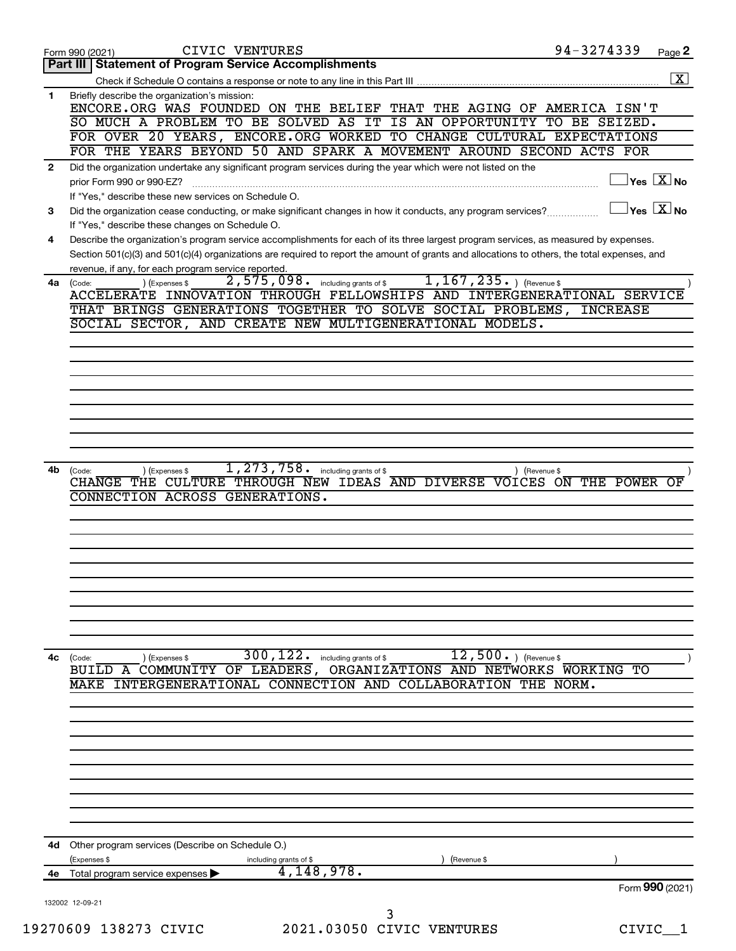|              | CIVIC VENTURES<br>Form 990 (2021)                                                                                                                                            | 94-3274339      | Page 2                                      |
|--------------|------------------------------------------------------------------------------------------------------------------------------------------------------------------------------|-----------------|---------------------------------------------|
|              | Part III   Statement of Program Service Accomplishments                                                                                                                      |                 |                                             |
|              |                                                                                                                                                                              |                 | $\overline{\mathbf{x}}$                     |
| 1.           | Briefly describe the organization's mission:<br>ENCORE.ORG WAS FOUNDED ON THE BELIEF THAT THE AGING OF AMERICA ISN'T                                                         |                 |                                             |
|              | SO MUCH A PROBLEM TO BE SOLVED AS IT IS AN OPPORTUNITY TO BE SEIZED.                                                                                                         |                 |                                             |
|              | FOR OVER 20 YEARS, ENCORE.ORG WORKED TO CHANGE CULTURAL EXPECTATIONS                                                                                                         |                 |                                             |
|              | FOR THE YEARS BEYOND 50 AND SPARK A MOVEMENT AROUND SECOND ACTS FOR                                                                                                          |                 |                                             |
| $\mathbf{2}$ | Did the organization undertake any significant program services during the year which were not listed on the                                                                 |                 | $\overline{\ }$ Yes $\overline{\rm \ }X$ No |
|              | prior Form 990 or 990-EZ?<br>If "Yes," describe these new services on Schedule O.                                                                                            |                 |                                             |
| 3            | Did the organization cease conducting, or make significant changes in how it conducts, any program services?                                                                 |                 | $\overline{X}$ Yes $\overline{X}$ No        |
|              | If "Yes," describe these changes on Schedule O.                                                                                                                              |                 |                                             |
| 4            | Describe the organization's program service accomplishments for each of its three largest program services, as measured by expenses.                                         |                 |                                             |
|              | Section 501(c)(3) and 501(c)(4) organizations are required to report the amount of grants and allocations to others, the total expenses, and                                 |                 |                                             |
|              | revenue, if any, for each program service reported.                                                                                                                          |                 |                                             |
|              | $1, 167, 235.$ ) (Revenue \$<br>2,575,098.<br>including grants of \$<br>(Expenses \$<br>4a (Code:<br>ACCELERATE INNOVATION THROUGH FELLOWSHIPS AND INTERGENERATIONAL SERVICE |                 |                                             |
|              | THAT BRINGS GENERATIONS TOGETHER TO SOLVE SOCIAL PROBLEMS,                                                                                                                   | <b>INCREASE</b> |                                             |
|              | SOCIAL SECTOR, AND CREATE NEW MULTIGENERATIONAL MODELS.                                                                                                                      |                 |                                             |
|              |                                                                                                                                                                              |                 |                                             |
|              |                                                                                                                                                                              |                 |                                             |
|              |                                                                                                                                                                              |                 |                                             |
|              |                                                                                                                                                                              |                 |                                             |
|              |                                                                                                                                                                              |                 |                                             |
|              |                                                                                                                                                                              |                 |                                             |
|              |                                                                                                                                                                              |                 |                                             |
|              |                                                                                                                                                                              |                 |                                             |
| 4b           | 1, 273, 758.<br>including grants of \$<br>(Expenses \$<br>(Code:                                                                                                             | ) (Revenue \$   |                                             |
|              | CHANGE THE CULTURE THROUGH NEW IDEAS AND DIVERSE VOICES ON THE POWER                                                                                                         |                 | OF                                          |
|              | CONNECTION ACROSS GENERATIONS.                                                                                                                                               |                 |                                             |
|              |                                                                                                                                                                              |                 |                                             |
|              |                                                                                                                                                                              |                 |                                             |
|              |                                                                                                                                                                              |                 |                                             |
|              |                                                                                                                                                                              |                 |                                             |
|              |                                                                                                                                                                              |                 |                                             |
|              |                                                                                                                                                                              |                 |                                             |
|              |                                                                                                                                                                              |                 |                                             |
|              |                                                                                                                                                                              |                 |                                             |
| 4с           | $300, 122$ $\cdot$ including grants of \$<br>$12, 500.$ ) (Revenue \$<br>(Code:<br>(Expenses \$                                                                              |                 |                                             |
|              | BUILD A COMMUNITY OF LEADERS, ORGANIZATIONS AND NETWORKS WORKING TO                                                                                                          |                 |                                             |
|              | MAKE INTERGENERATIONAL CONNECTION AND COLLABORATION THE NORM.                                                                                                                |                 |                                             |
|              |                                                                                                                                                                              |                 |                                             |
|              |                                                                                                                                                                              |                 |                                             |
|              |                                                                                                                                                                              |                 |                                             |
|              |                                                                                                                                                                              |                 |                                             |
|              |                                                                                                                                                                              |                 |                                             |
|              |                                                                                                                                                                              |                 |                                             |
|              |                                                                                                                                                                              |                 |                                             |
|              |                                                                                                                                                                              |                 |                                             |
|              |                                                                                                                                                                              |                 |                                             |
|              | 4d Other program services (Describe on Schedule O.)                                                                                                                          |                 |                                             |
|              | (Expenses \$<br>including grants of \$<br>(Revenue \$<br>4,148,978.<br>Total program service expenses                                                                        |                 |                                             |
| 4e           |                                                                                                                                                                              |                 | Form 990 (2021)                             |
|              | 132002 12-09-21                                                                                                                                                              |                 |                                             |
|              | 3                                                                                                                                                                            |                 |                                             |
|              | 2021.03050 CIVIC VENTURES<br>19270609 138273 CIVIC                                                                                                                           | CIVIC           |                                             |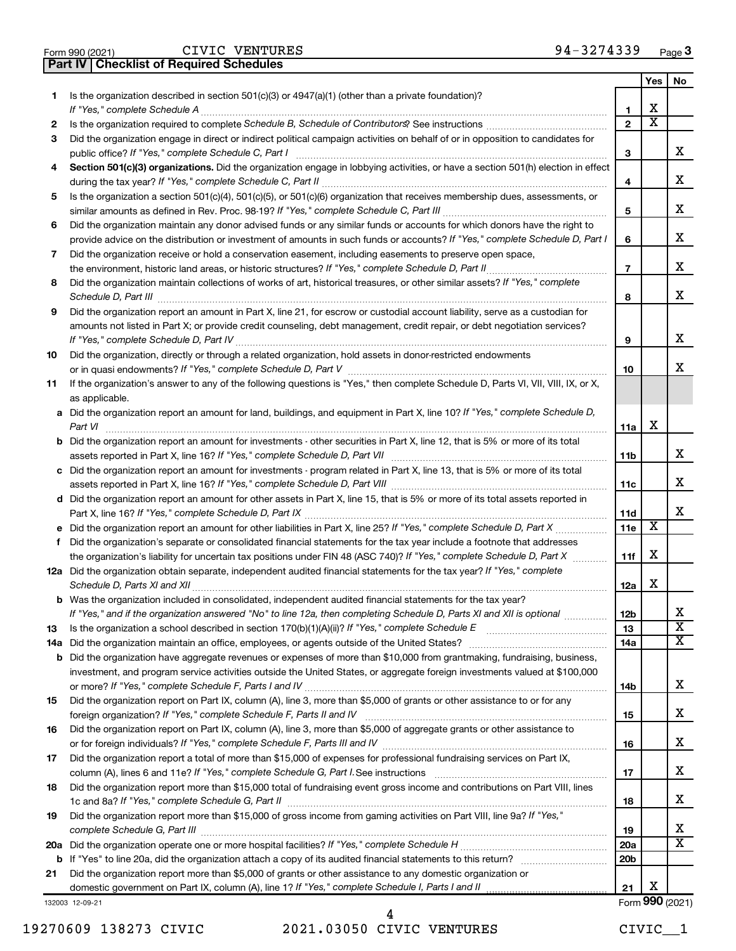| Form 990 (2021) |  | CIVIC VENTUR                                     |
|-----------------|--|--------------------------------------------------|
|                 |  | <b>Part IV   Checklist of Required Schedules</b> |

CIVIC VENTURES

|     |                                                                                                                                       |                 | Yes                     | No                      |
|-----|---------------------------------------------------------------------------------------------------------------------------------------|-----------------|-------------------------|-------------------------|
| 1   | Is the organization described in section 501(c)(3) or 4947(a)(1) (other than a private foundation)?                                   |                 |                         |                         |
|     | If "Yes," complete Schedule A                                                                                                         | 1               | x                       |                         |
| 2   |                                                                                                                                       | $\mathbf{2}$    | $\overline{\textbf{x}}$ |                         |
| 3   | Did the organization engage in direct or indirect political campaign activities on behalf of or in opposition to candidates for       |                 |                         |                         |
|     | public office? If "Yes," complete Schedule C, Part I                                                                                  | 3               |                         | x                       |
| 4   | Section 501(c)(3) organizations. Did the organization engage in lobbying activities, or have a section 501(h) election in effect      |                 |                         |                         |
|     |                                                                                                                                       | 4               |                         | x                       |
| 5   | Is the organization a section 501(c)(4), 501(c)(5), or 501(c)(6) organization that receives membership dues, assessments, or          |                 |                         |                         |
|     |                                                                                                                                       | 5               |                         | x                       |
| 6   | Did the organization maintain any donor advised funds or any similar funds or accounts for which donors have the right to             |                 |                         |                         |
|     | provide advice on the distribution or investment of amounts in such funds or accounts? If "Yes," complete Schedule D, Part I          | 6               |                         | x                       |
| 7   | Did the organization receive or hold a conservation easement, including easements to preserve open space,                             |                 |                         |                         |
|     | the environment, historic land areas, or historic structures? If "Yes," complete Schedule D, Part II                                  | $\overline{7}$  |                         | x                       |
| 8   | Did the organization maintain collections of works of art, historical treasures, or other similar assets? If "Yes," complete          |                 |                         |                         |
|     | Schedule D, Part III                                                                                                                  | 8               |                         | X.                      |
| 9   | Did the organization report an amount in Part X, line 21, for escrow or custodial account liability, serve as a custodian for         |                 |                         |                         |
|     | amounts not listed in Part X; or provide credit counseling, debt management, credit repair, or debt negotiation services?             |                 |                         |                         |
|     |                                                                                                                                       | 9               |                         | x                       |
| 10  | Did the organization, directly or through a related organization, hold assets in donor-restricted endowments                          |                 |                         |                         |
|     |                                                                                                                                       | 10              |                         | x                       |
| 11  | If the organization's answer to any of the following questions is "Yes," then complete Schedule D, Parts VI, VII, VIII, IX, or X,     |                 |                         |                         |
|     | as applicable.                                                                                                                        |                 |                         |                         |
|     | a Did the organization report an amount for land, buildings, and equipment in Part X, line 10? If "Yes," complete Schedule D,         |                 |                         |                         |
|     | Part VI                                                                                                                               | 11a             | х                       |                         |
|     | <b>b</b> Did the organization report an amount for investments - other securities in Part X, line 12, that is 5% or more of its total |                 |                         |                         |
|     |                                                                                                                                       | 11b             |                         | x                       |
|     |                                                                                                                                       |                 |                         |                         |
|     | c Did the organization report an amount for investments - program related in Part X, line 13, that is 5% or more of its total         |                 |                         | х                       |
|     |                                                                                                                                       | 11c             |                         |                         |
|     | d Did the organization report an amount for other assets in Part X, line 15, that is 5% or more of its total assets reported in       |                 |                         | x                       |
|     |                                                                                                                                       | 11d             | X                       |                         |
|     |                                                                                                                                       | 11e             |                         |                         |
| f.  | Did the organization's separate or consolidated financial statements for the tax year include a footnote that addresses               |                 |                         |                         |
|     | the organization's liability for uncertain tax positions under FIN 48 (ASC 740)? If "Yes," complete Schedule D, Part X                | 11f             | х                       |                         |
|     | 12a Did the organization obtain separate, independent audited financial statements for the tax year? If "Yes," complete               |                 |                         |                         |
|     | Schedule D, Parts XI and XII                                                                                                          | 12a             | х                       |                         |
|     | <b>b</b> Was the organization included in consolidated, independent audited financial statements for the tax year?                    |                 |                         |                         |
|     | If "Yes," and if the organization answered "No" to line 12a, then completing Schedule D, Parts XI and XII is optional <i></i>         | 12 <sub>b</sub> |                         | х                       |
| 13  |                                                                                                                                       | 13              |                         | $\overline{\textbf{x}}$ |
| 14a |                                                                                                                                       | 14a             |                         | x                       |
| b   | Did the organization have aggregate revenues or expenses of more than \$10,000 from grantmaking, fundraising, business,               |                 |                         |                         |
|     | investment, and program service activities outside the United States, or aggregate foreign investments valued at \$100,000            |                 |                         |                         |
|     |                                                                                                                                       | 14b             |                         | x                       |
| 15  | Did the organization report on Part IX, column (A), line 3, more than \$5,000 of grants or other assistance to or for any             |                 |                         |                         |
|     |                                                                                                                                       | 15              |                         | х                       |
| 16  | Did the organization report on Part IX, column (A), line 3, more than \$5,000 of aggregate grants or other assistance to              |                 |                         |                         |
|     |                                                                                                                                       | 16              |                         | X.                      |
| 17  | Did the organization report a total of more than \$15,000 of expenses for professional fundraising services on Part IX,               |                 |                         |                         |
|     |                                                                                                                                       | 17              |                         | X.                      |
| 18  | Did the organization report more than \$15,000 total of fundraising event gross income and contributions on Part VIII, lines          |                 |                         |                         |
|     |                                                                                                                                       | 18              |                         | X.                      |
| 19  | Did the organization report more than \$15,000 of gross income from gaming activities on Part VIII, line 9a? If "Yes,"                |                 |                         |                         |
|     |                                                                                                                                       | 19              |                         | x                       |
| 20a |                                                                                                                                       | 20a             |                         | х                       |
| b   |                                                                                                                                       | 20 <sub>b</sub> |                         |                         |
| 21  | Did the organization report more than \$5,000 of grants or other assistance to any domestic organization or                           |                 |                         |                         |
|     |                                                                                                                                       | 21              | х                       |                         |
|     | 132003 12-09-21                                                                                                                       |                 |                         | Form 990 (2021)         |

19270609 138273 CIVIC 2021.03050 CIVIC VENTURES CIVIC\_\_1 4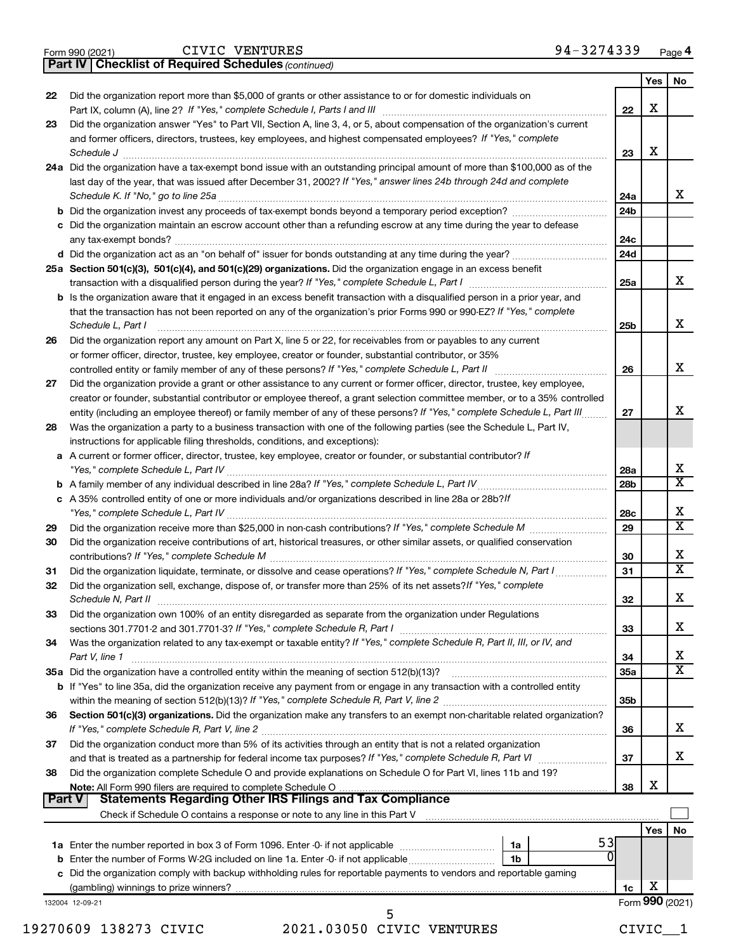|  | Form 990 (2021) |
|--|-----------------|
|  |                 |

CIVIC VENTURES

*(continued)* **Part IV Checklist of Required Schedules**

|               |                                                                                                                                                                 |                 | Yes | No                      |
|---------------|-----------------------------------------------------------------------------------------------------------------------------------------------------------------|-----------------|-----|-------------------------|
| 22            | Did the organization report more than \$5,000 of grants or other assistance to or for domestic individuals on                                                   |                 |     |                         |
|               | Part IX, column (A), line 2? If "Yes," complete Schedule I, Parts I and III                                                                                     | 22              | х   |                         |
| 23            | Did the organization answer "Yes" to Part VII, Section A, line 3, 4, or 5, about compensation of the organization's current                                     |                 |     |                         |
|               | and former officers, directors, trustees, key employees, and highest compensated employees? If "Yes," complete                                                  |                 |     |                         |
|               | Schedule J                                                                                                                                                      | 23              | х   |                         |
|               | 24a Did the organization have a tax-exempt bond issue with an outstanding principal amount of more than \$100,000 as of the                                     |                 |     |                         |
|               | last day of the year, that was issued after December 31, 2002? If "Yes," answer lines 24b through 24d and complete                                              |                 |     |                         |
|               | Schedule K. If "No," go to line 25a                                                                                                                             | 24a             |     | x                       |
|               | <b>b</b> Did the organization invest any proceeds of tax-exempt bonds beyond a temporary period exception?                                                      | 24b             |     |                         |
|               | c Did the organization maintain an escrow account other than a refunding escrow at any time during the year to defease                                          |                 |     |                         |
|               | any tax-exempt bonds?                                                                                                                                           | 24c             |     |                         |
|               | d Did the organization act as an "on behalf of" issuer for bonds outstanding at any time during the year?                                                       | 24 <sub>d</sub> |     |                         |
|               | 25a Section 501(c)(3), 501(c)(4), and 501(c)(29) organizations. Did the organization engage in an excess benefit                                                |                 |     |                         |
|               |                                                                                                                                                                 | 25a             |     | x                       |
|               | <b>b</b> Is the organization aware that it engaged in an excess benefit transaction with a disqualified person in a prior year, and                             |                 |     |                         |
|               | that the transaction has not been reported on any of the organization's prior Forms 990 or 990-EZ? If "Yes," complete                                           |                 |     |                         |
|               | Schedule L, Part I                                                                                                                                              | 25b             |     | x                       |
| 26            | Did the organization report any amount on Part X, line 5 or 22, for receivables from or payables to any current                                                 |                 |     |                         |
|               | or former officer, director, trustee, key employee, creator or founder, substantial contributor, or 35%                                                         |                 |     | x                       |
|               | controlled entity or family member of any of these persons? If "Yes," complete Schedule L, Part II                                                              | 26              |     |                         |
| 27            | Did the organization provide a grant or other assistance to any current or former officer, director, trustee, key employee,                                     |                 |     |                         |
|               | creator or founder, substantial contributor or employee thereof, a grant selection committee member, or to a 35% controlled                                     |                 |     | x                       |
|               | entity (including an employee thereof) or family member of any of these persons? If "Yes," complete Schedule L, Part III                                        | 27              |     |                         |
| 28            | Was the organization a party to a business transaction with one of the following parties (see the Schedule L, Part IV,                                          |                 |     |                         |
|               | instructions for applicable filing thresholds, conditions, and exceptions):                                                                                     |                 |     |                         |
|               | a A current or former officer, director, trustee, key employee, creator or founder, or substantial contributor? If                                              |                 |     | x                       |
|               |                                                                                                                                                                 | 28a<br>28b      |     | $\overline{\mathtt{x}}$ |
|               | c A 35% controlled entity of one or more individuals and/or organizations described in line 28a or 28b? If                                                      |                 |     |                         |
|               |                                                                                                                                                                 | 28c             |     | х                       |
| 29            |                                                                                                                                                                 | 29              |     | $\overline{\mathtt{x}}$ |
| 30            | Did the organization receive contributions of art, historical treasures, or other similar assets, or qualified conservation                                     |                 |     |                         |
|               |                                                                                                                                                                 | 30              |     | х                       |
| 31            | Did the organization liquidate, terminate, or dissolve and cease operations? If "Yes," complete Schedule N, Part I                                              | 31              |     | $\overline{\mathtt{x}}$ |
| 32            | Did the organization sell, exchange, dispose of, or transfer more than 25% of its net assets? If "Yes," complete                                                |                 |     |                         |
|               | Schedule N, Part II                                                                                                                                             | 32              |     | X                       |
| 33            | Did the organization own 100% of an entity disregarded as separate from the organization under Regulations                                                      |                 |     |                         |
|               |                                                                                                                                                                 | 33              |     | х                       |
| 34            | Was the organization related to any tax-exempt or taxable entity? If "Yes," complete Schedule R, Part II, III, or IV, and                                       |                 |     |                         |
|               | Part V, line 1                                                                                                                                                  | 34              |     | x                       |
|               |                                                                                                                                                                 | 35a             |     | $\overline{\mathtt{x}}$ |
|               | <b>b</b> If "Yes" to line 35a, did the organization receive any payment from or engage in any transaction with a controlled entity                              |                 |     |                         |
|               |                                                                                                                                                                 | 35b             |     |                         |
| 36            | Section 501(c)(3) organizations. Did the organization make any transfers to an exempt non-charitable related organization?                                      |                 |     |                         |
|               |                                                                                                                                                                 | 36              |     | x                       |
| 37            | Did the organization conduct more than 5% of its activities through an entity that is not a related organization                                                |                 |     |                         |
|               |                                                                                                                                                                 | 37              |     | x                       |
| 38            | Did the organization complete Schedule O and provide explanations on Schedule O for Part VI, lines 11b and 19?                                                  |                 |     |                         |
|               |                                                                                                                                                                 | 38              | х   |                         |
| <b>Part V</b> | <b>Statements Regarding Other IRS Filings and Tax Compliance</b>                                                                                                |                 |     |                         |
|               | Check if Schedule O contains a response or note to any line in this Part V [11] [12] Check if Schedule O contains a response or note to any line in this Part V |                 |     |                         |
|               |                                                                                                                                                                 |                 | Yes | No                      |
|               | 53<br>1a                                                                                                                                                        |                 |     |                         |
|               | $\Omega$<br><b>b</b> Enter the number of Forms W-2G included on line 1a. Enter -0- if not applicable<br>1 <sub>b</sub>                                          |                 |     |                         |
|               | c Did the organization comply with backup withholding rules for reportable payments to vendors and reportable gaming                                            |                 |     |                         |
|               |                                                                                                                                                                 | 1c              | х   |                         |
|               | 132004 12-09-21                                                                                                                                                 |                 |     | Form 990 (2021)         |

19270609 138273 CIVIC 2021.03050 CIVIC VENTURES CIVIC\_\_1 5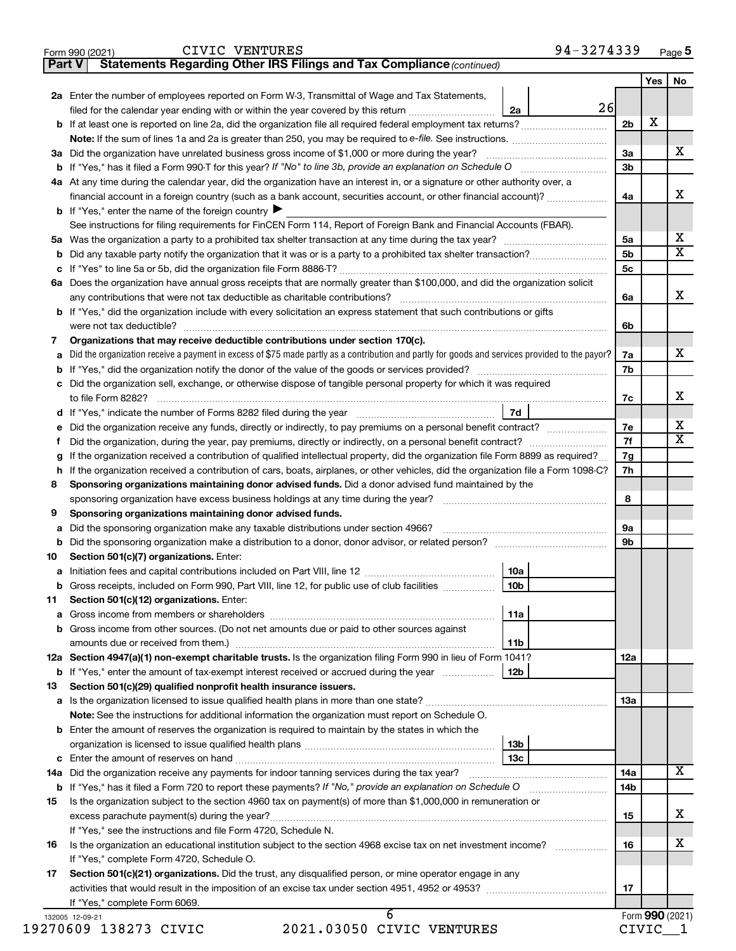|  |  | CIVIC VENT |
|--|--|------------|
|  |  |            |

**Part V Statements Regarding Other IRS Filings and Tax Compliance**

*(continued)*

|                | 2a Enter the number of employees reported on Form W-3, Transmittal of Wage and Tax Statements,                                                  |                | Yes | No |
|----------------|-------------------------------------------------------------------------------------------------------------------------------------------------|----------------|-----|----|
|                | 26<br>2a<br>filed for the calendar year ending with or within the year covered by this return                                                   |                |     |    |
|                |                                                                                                                                                 | 2b             | х   |    |
|                | <b>Note:</b> If the sum of lines 1a and 2a is greater than 250, you may be required to e-file. See instructions. <i>marrouum</i> manu-          |                |     |    |
|                | 3a Did the organization have unrelated business gross income of \$1,000 or more during the year?                                                | 3a             |     |    |
|                |                                                                                                                                                 | 3 <sub>b</sub> |     |    |
|                | 4a At any time during the calendar year, did the organization have an interest in, or a signature or other authority over, a                    |                |     |    |
|                | financial account in a foreign country (such as a bank account, securities account, or other financial account)?                                | 4a             |     |    |
|                | <b>b</b> If "Yes," enter the name of the foreign country $\blacktriangleright$                                                                  |                |     |    |
|                | See instructions for filing requirements for FinCEN Form 114, Report of Foreign Bank and Financial Accounts (FBAR).                             |                |     |    |
|                |                                                                                                                                                 | 5a             |     |    |
|                |                                                                                                                                                 | 5 <sub>b</sub> |     |    |
|                |                                                                                                                                                 | 5c             |     |    |
|                | 6a Does the organization have annual gross receipts that are normally greater than \$100,000, and did the organization solicit                  |                |     |    |
|                |                                                                                                                                                 | 6a             |     |    |
|                | b If "Yes," did the organization include with every solicitation an express statement that such contributions or gifts                          |                |     |    |
|                |                                                                                                                                                 |                |     |    |
|                |                                                                                                                                                 | 6b             |     |    |
| 7              | Organizations that may receive deductible contributions under section 170(c).                                                                   |                |     |    |
| a              | Did the organization receive a payment in excess of \$75 made partly as a contribution and partly for goods and services provided to the payor? | 7a             |     |    |
|                |                                                                                                                                                 | 7b             |     |    |
|                | c Did the organization sell, exchange, or otherwise dispose of tangible personal property for which it was required                             |                |     |    |
|                | to file Form 8282?                                                                                                                              | 7с             |     |    |
|                | 7d                                                                                                                                              |                |     |    |
|                | e Did the organization receive any funds, directly or indirectly, to pay premiums on a personal benefit contract?                               | 7e             |     |    |
| Ť.             | Did the organization, during the year, pay premiums, directly or indirectly, on a personal benefit contract?                                    | 7f             |     |    |
| g              | If the organization received a contribution of qualified intellectual property, did the organization file Form 8899 as required?                | 7g             |     |    |
|                | h If the organization received a contribution of cars, boats, airplanes, or other vehicles, did the organization file a Form 1098-C?            | 7h             |     |    |
| 8              | Sponsoring organizations maintaining donor advised funds. Did a donor advised fund maintained by the                                            |                |     |    |
|                | sponsoring organization have excess business holdings at any time during the year?                                                              | 8              |     |    |
| 9              | Sponsoring organizations maintaining donor advised funds.                                                                                       |                |     |    |
| а              | Did the sponsoring organization make any taxable distributions under section 4966?                                                              | 9а             |     |    |
|                |                                                                                                                                                 | 9b             |     |    |
| 10             | Section 501(c)(7) organizations. Enter:                                                                                                         |                |     |    |
|                | <b>10a</b>                                                                                                                                      |                |     |    |
|                | 10 <sub>b</sub><br><b>b</b> Gross receipts, included on Form 990, Part VIII, line 12, for public use of club facilities <i>manameron</i> ,      |                |     |    |
|                | 11 Section 501(c)(12) organizations. Enter:                                                                                                     |                |     |    |
|                | 11a                                                                                                                                             |                |     |    |
|                | b Gross income from other sources. (Do not net amounts due or paid to other sources against                                                     |                |     |    |
|                | 11b                                                                                                                                             |                |     |    |
|                | 12a Section 4947(a)(1) non-exempt charitable trusts. Is the organization filing Form 990 in lieu of Form 1041?                                  | 12a            |     |    |
|                | <b>b</b> If "Yes," enter the amount of tax-exempt interest received or accrued during the year<br>12b                                           |                |     |    |
| 13             | Section 501(c)(29) qualified nonprofit health insurance issuers.                                                                                |                |     |    |
|                |                                                                                                                                                 | 13a            |     |    |
|                | Note: See the instructions for additional information the organization must report on Schedule O.                                               |                |     |    |
|                | <b>b</b> Enter the amount of reserves the organization is required to maintain by the states in which the                                       |                |     |    |
|                | 13 <sub>b</sub>                                                                                                                                 |                |     |    |
|                | 13с                                                                                                                                             |                |     |    |
|                |                                                                                                                                                 | 14a            |     |    |
|                |                                                                                                                                                 | 14b            |     |    |
|                | Is the organization subject to the section 4960 tax on payment(s) of more than \$1,000,000 in remuneration or                                   |                |     |    |
|                |                                                                                                                                                 | 15             |     |    |
|                |                                                                                                                                                 |                |     |    |
|                |                                                                                                                                                 |                |     |    |
|                | If "Yes," see the instructions and file Form 4720, Schedule N.                                                                                  |                |     |    |
|                | Is the organization an educational institution subject to the section 4968 excise tax on net investment income?                                 | 16             |     |    |
|                | If "Yes," complete Form 4720, Schedule O.                                                                                                       |                |     |    |
| 15<br>16<br>17 | Section 501(c)(21) organizations. Did the trust, any disqualified person, or mine operator engage in any                                        |                |     |    |
|                | If "Yes," complete Form 6069.                                                                                                                   | 17             |     |    |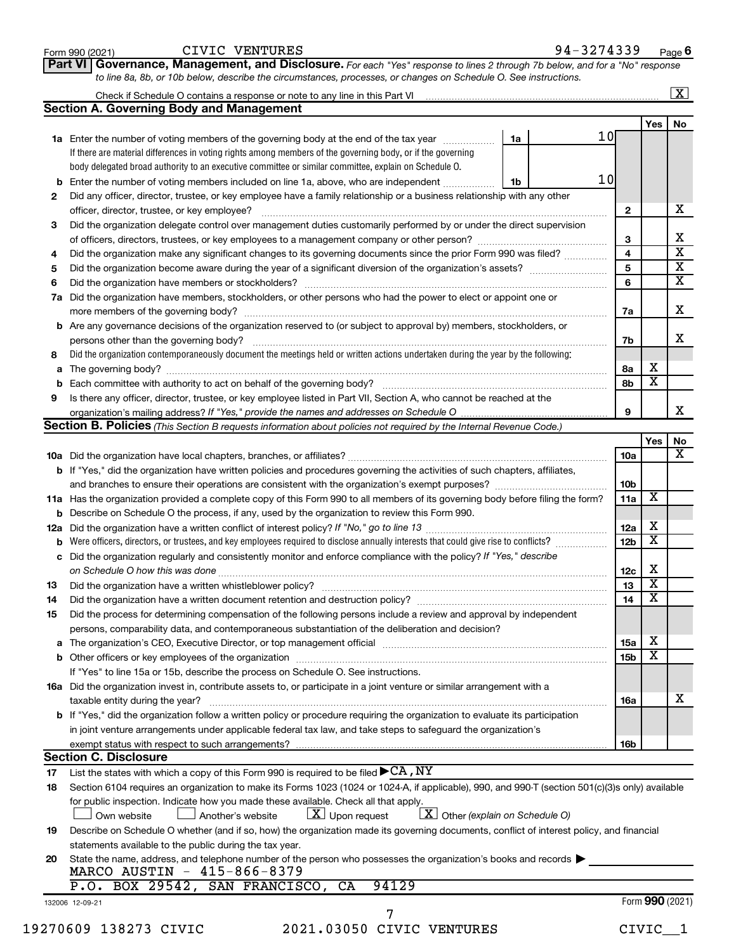|    |                                                                                                                                                  |                         |                         | $\overline{\mathbf{x}}$ |
|----|--------------------------------------------------------------------------------------------------------------------------------------------------|-------------------------|-------------------------|-------------------------|
|    | <b>Section A. Governing Body and Management</b>                                                                                                  |                         |                         |                         |
|    |                                                                                                                                                  |                         | Yes                     | No                      |
|    | 10 <sub>l</sub><br>1a<br>1a Enter the number of voting members of the governing body at the end of the tax year                                  |                         |                         |                         |
|    | If there are material differences in voting rights among members of the governing body, or if the governing                                      |                         |                         |                         |
|    | body delegated broad authority to an executive committee or similar committee, explain on Schedule O.                                            |                         |                         |                         |
|    | 10<br><b>b</b> Enter the number of voting members included on line 1a, above, who are independent<br>1b                                          |                         |                         |                         |
| 2  | Did any officer, director, trustee, or key employee have a family relationship or a business relationship with any other                         |                         |                         |                         |
|    | officer, director, trustee, or key employee?                                                                                                     | $\mathbf{2}$            |                         |                         |
| 3  | Did the organization delegate control over management duties customarily performed by or under the direct supervision                            |                         |                         | x                       |
|    | of officers, directors, trustees, or key employees to a management company or other person?                                                      | 3                       |                         |                         |
| 4  | Did the organization make any significant changes to its governing documents since the prior Form 990 was filed?                                 | $\overline{\mathbf{4}}$ |                         |                         |
| 5  |                                                                                                                                                  | 5                       |                         |                         |
|    |                                                                                                                                                  | 6                       |                         |                         |
| 6  |                                                                                                                                                  |                         |                         | $\overline{\mathtt{x}}$ |
|    | 7a Did the organization have members, stockholders, or other persons who had the power to elect or appoint one or                                |                         |                         |                         |
|    |                                                                                                                                                  | 7a                      |                         | x                       |
|    | <b>b</b> Are any governance decisions of the organization reserved to (or subject to approval by) members, stockholders, or                      |                         |                         | x                       |
|    | persons other than the governing body?                                                                                                           | 7b                      |                         |                         |
| 8  | Did the organization contemporaneously document the meetings held or written actions undertaken during the year by the following:                |                         |                         |                         |
|    |                                                                                                                                                  | 8а                      | X                       |                         |
|    |                                                                                                                                                  | 8b                      | $\overline{\textbf{x}}$ |                         |
| 9  | Is there any officer, director, trustee, or key employee listed in Part VII, Section A, who cannot be reached at the                             |                         |                         | X                       |
|    |                                                                                                                                                  | 9                       |                         |                         |
|    | Section B. Policies (This Section B requests information about policies not required by the Internal Revenue Code.)                              |                         |                         |                         |
|    |                                                                                                                                                  |                         | Yes                     | No                      |
|    |                                                                                                                                                  | 10a                     |                         |                         |
|    | <b>b</b> If "Yes," did the organization have written policies and procedures governing the activities of such chapters, affiliates,              |                         |                         |                         |
|    |                                                                                                                                                  | 10b                     |                         |                         |
|    | 11a Has the organization provided a complete copy of this Form 990 to all members of its governing body before filing the form?                  | 11a                     | X                       |                         |
|    | <b>b</b> Describe on Schedule O the process, if any, used by the organization to review this Form 990.                                           |                         |                         |                         |
|    |                                                                                                                                                  | 12a                     | х                       |                         |
|    | <b>b</b> Were officers, directors, or trustees, and key employees required to disclose annually interests that could give rise to conflicts?     | 12 <sub>b</sub>         | $\overline{\mathbf{x}}$ |                         |
|    | c Did the organization regularly and consistently monitor and enforce compliance with the policy? If "Yes," describe                             |                         |                         |                         |
|    |                                                                                                                                                  | 12c                     | х                       |                         |
| 13 |                                                                                                                                                  | 13                      | $\overline{\mathbf{x}}$ |                         |
|    | Did the organization have a written document retention and destruction policy? [11] manufaction manufaction in                                   | 14                      | $\overline{\text{x}}$   |                         |
| 14 |                                                                                                                                                  |                         |                         |                         |
| 15 | Did the process for determining compensation of the following persons include a review and approval by independent                               |                         |                         |                         |
|    | persons, comparability data, and contemporaneous substantiation of the deliberation and decision?                                                |                         | х                       |                         |
|    |                                                                                                                                                  | 15a                     | $\overline{\mathbf{x}}$ |                         |
|    |                                                                                                                                                  | 15 <sub>b</sub>         |                         |                         |
|    | If "Yes" to line 15a or 15b, describe the process on Schedule O. See instructions.                                                               |                         |                         |                         |
|    | 16a Did the organization invest in, contribute assets to, or participate in a joint venture or similar arrangement with a                        |                         |                         |                         |
|    | taxable entity during the year?                                                                                                                  | 16a                     |                         |                         |
|    | <b>b</b> If "Yes," did the organization follow a written policy or procedure requiring the organization to evaluate its participation            |                         |                         |                         |
|    | in joint venture arrangements under applicable federal tax law, and take steps to safeguard the organization's                                   |                         |                         |                         |
|    | exempt status with respect to such arrangements?                                                                                                 | 16b                     |                         |                         |
|    | <b>Section C. Disclosure</b>                                                                                                                     |                         |                         |                         |
| 17 | List the states with which a copy of this Form 990 is required to be filed $\blacktriangleright$ CA, NY                                          |                         |                         |                         |
| 18 | Section 6104 requires an organization to make its Forms 1023 (1024 or 1024-A, if applicable), 990, and 990-T (section 501(c)(3)s only) available |                         |                         |                         |
|    | for public inspection. Indicate how you made these available. Check all that apply.                                                              |                         |                         |                         |
|    | $X$ Other (explain on Schedule O)<br>$\lfloor x \rfloor$ Upon request<br>Another's website<br>Own website                                        |                         |                         |                         |
| 19 | Describe on Schedule O whether (and if so, how) the organization made its governing documents, conflict of interest policy, and financial        |                         |                         |                         |
|    | statements available to the public during the tax year.                                                                                          |                         |                         |                         |
| 20 | State the name, address, and telephone number of the person who possesses the organization's books and records                                   |                         |                         |                         |
|    | MARCO AUSTIN - 415-866-8379                                                                                                                      |                         |                         |                         |
|    | 94129<br>P.O. BOX 29542, SAN FRANCISCO,<br>CA                                                                                                    |                         |                         |                         |
|    |                                                                                                                                                  |                         | Form 990 (2021)         |                         |
|    | 132006 12-09-21                                                                                                                                  |                         |                         |                         |
|    | 2021.03050 CIVIC VENTURES                                                                                                                        |                         |                         |                         |
|    | 19270609 138273 CIVIC                                                                                                                            |                         | CIVIC <sub>1</sub>      |                         |
|    |                                                                                                                                                  |                         |                         |                         |

**Part VI** Governance, Management, and Disclosure. For each "Yes" response to lines 2 through 7b below, and for a "No" response

Form 990 (2021)  $CIVIC~VENTURES$  94 – 3274339  $Page$ 

**6**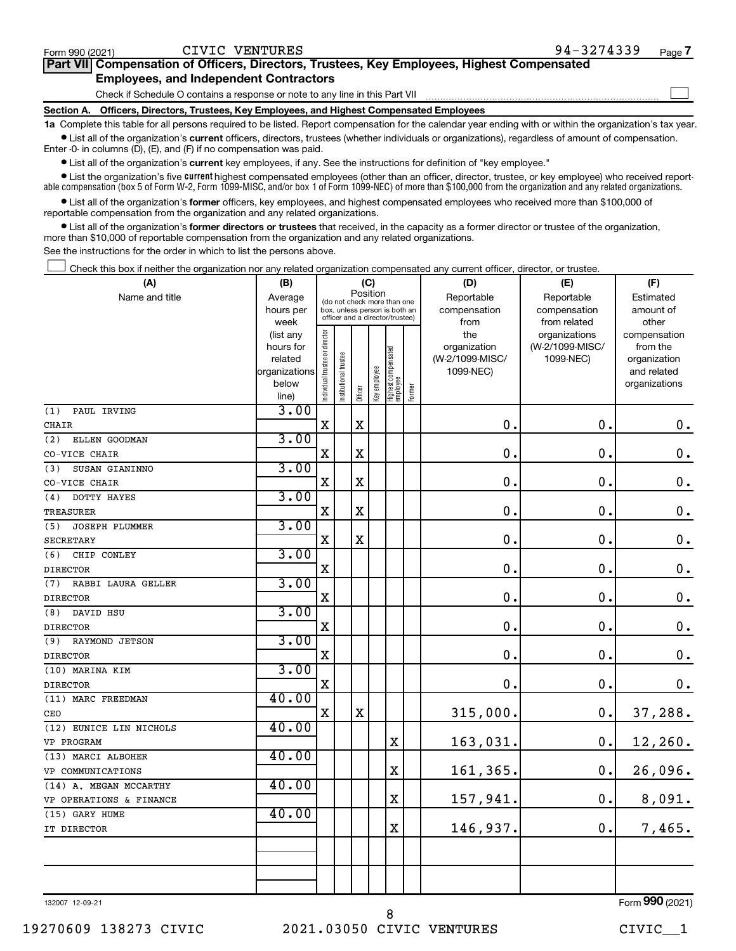| Form 990 (2021) | CIVIC VENTURES                                                                             | 94-3274339 | Page 7 |
|-----------------|--------------------------------------------------------------------------------------------|------------|--------|
|                 | Part VII Compensation of Officers, Directors, Trustees, Key Employees, Highest Compensated |            |        |
|                 | <b>Employees, and Independent Contractors</b>                                              |            |        |
|                 | Check if Schedule O contains a response or note to any line in this Part VII               |            |        |
|                 | Section A. Officers, Directors, Trustees, Key Employees, and Highest Compensated Employees |            |        |

**1a**  Complete this table for all persons required to be listed. Report compensation for the calendar year ending with or within the organization's tax year.  $\bullet$  List all of the organization's current officers, directors, trustees (whether individuals or organizations), regardless of amount of compensation.

Enter -0- in columns (D), (E), and (F) if no compensation was paid.

**•** List all of the organization's **current** key employees, if any. See the instructions for definition of "key employee."

**•** List the organization's five *current* highest compensated employees (other than an officer, director, trustee, or key employee) who received reportable compensation (box 5 of Form W-2, Form 1099-MISC, and/or box 1 of Form 1099-NEC) of more than \$100,000 from the organization and any related organizations.

 $\bullet$  List all of the organization's former officers, key employees, and highest compensated employees who received more than \$100,000 of reportable compensation from the organization and any related organizations.

**•** List all of the organization's former directors or trustees that received, in the capacity as a former director or trustee of the organization, more than \$10,000 of reportable compensation from the organization and any related organizations.

See the instructions for the order in which to list the persons above.

Check this box if neither the organization nor any related organization compensated any current officer, director, or trustee.  $\Box$ 

| (A)                          | (B)                    |                                |                                                                  |             | (C)          |                                 |        | (D)             | (E)             | (F)                          |
|------------------------------|------------------------|--------------------------------|------------------------------------------------------------------|-------------|--------------|---------------------------------|--------|-----------------|-----------------|------------------------------|
| Name and title               | Average                |                                | (do not check more than one                                      |             | Position     |                                 |        | Reportable      | Reportable      | Estimated                    |
|                              | hours per              |                                | box, unless person is both an<br>officer and a director/trustee) |             |              |                                 |        | compensation    | compensation    | amount of                    |
|                              | week                   |                                |                                                                  |             |              |                                 |        | from            | from related    | other                        |
|                              | (list any              |                                |                                                                  |             |              |                                 |        | the             | organizations   | compensation                 |
|                              | hours for              |                                |                                                                  |             |              |                                 |        | organization    | (W-2/1099-MISC/ | from the                     |
|                              | related                |                                |                                                                  |             |              |                                 |        | (W-2/1099-MISC/ | 1099-NEC)       | organization                 |
|                              | organizations<br>below |                                |                                                                  |             |              |                                 |        | 1099-NEC)       |                 | and related<br>organizations |
|                              | line)                  | Individual trustee or director | Institutional trustee                                            | Officer     | Key employee | Highest compensated<br>employee | Former |                 |                 |                              |
| PAUL IRVING<br>(1)           | 3.00                   |                                |                                                                  |             |              |                                 |        |                 |                 |                              |
| <b>CHAIR</b>                 |                        | $\mathbf X$                    |                                                                  | $\mathbf X$ |              |                                 |        | 0.              | 0.              | $\mathbf 0$ .                |
| (2)<br>ELLEN GOODMAN         | 3.00                   |                                |                                                                  |             |              |                                 |        |                 |                 |                              |
| CO-VICE CHAIR                |                        | $\mathbf X$                    |                                                                  | $\mathbf X$ |              |                                 |        | $\mathbf 0$     | 0.              | $\mathbf 0$ .                |
| SUSAN GIANINNO<br>(3)        | 3.00                   |                                |                                                                  |             |              |                                 |        |                 |                 |                              |
| CO-VICE CHAIR                |                        | X                              |                                                                  | $\mathbf X$ |              |                                 |        | $\mathbf 0$     | $\mathbf 0$     | $\mathbf 0$ .                |
| (4)<br>DOTTY HAYES           | 3.00                   |                                |                                                                  |             |              |                                 |        |                 |                 |                              |
| TREASURER                    |                        | $\mathbf X$                    |                                                                  | $\mathbf X$ |              |                                 |        | $\mathbf 0$     | 0.              | $\mathbf 0$ .                |
| <b>JOSEPH PLUMMER</b><br>(5) | 3.00                   |                                |                                                                  |             |              |                                 |        |                 |                 |                              |
| SECRETARY                    |                        | $\mathbf X$                    |                                                                  | $\mathbf X$ |              |                                 |        | $\mathbf 0$     | 0.              | $\mathbf 0$ .                |
| (6)<br>CHIP CONLEY           | 3.00                   |                                |                                                                  |             |              |                                 |        |                 |                 |                              |
| <b>DIRECTOR</b>              |                        | $\mathbf X$                    |                                                                  |             |              |                                 |        | 0               | $\mathbf 0$ .   | $\mathbf 0$ .                |
| RABBI LAURA GELLER<br>(7)    | 3.00                   |                                |                                                                  |             |              |                                 |        |                 |                 |                              |
| <b>DIRECTOR</b>              |                        | $\mathbf X$                    |                                                                  |             |              |                                 |        | $\mathbf 0$     | 0.              | $\mathbf 0$ .                |
| (8)<br>DAVID HSU             | 3.00                   |                                |                                                                  |             |              |                                 |        |                 |                 |                              |
| <b>DIRECTOR</b>              |                        | $\mathbf X$                    |                                                                  |             |              |                                 |        | $\mathbf 0$     | $\mathbf 0$ .   | $\mathbf 0$ .                |
| RAYMOND JETSON<br>(9)        | 3.00                   |                                |                                                                  |             |              |                                 |        |                 |                 |                              |
| <b>DIRECTOR</b>              |                        | $\mathbf X$                    |                                                                  |             |              |                                 |        | $\mathbf 0$     | 0.              | $\mathbf 0$ .                |
| (10) MARINA KIM              | 3.00                   |                                |                                                                  |             |              |                                 |        |                 |                 |                              |
| <b>DIRECTOR</b>              |                        | X                              |                                                                  |             |              |                                 |        | $\mathbf 0$ .   | $\mathbf 0$ .   | 0.                           |
| (11) MARC FREEDMAN           | 40.00                  |                                |                                                                  |             |              |                                 |        |                 |                 |                              |
| CEO                          |                        | X                              |                                                                  | $\mathbf X$ |              |                                 |        | 315,000.        | $\mathbf 0$ .   | 37,288.                      |
| (12) EUNICE LIN NICHOLS      | 40.00                  |                                |                                                                  |             |              |                                 |        |                 |                 |                              |
| VP PROGRAM                   |                        |                                |                                                                  |             |              | X                               |        | 163,031.        | $\mathbf 0$ .   | 12,260.                      |
| (13) MARCI ALBOHER           | 40.00                  |                                |                                                                  |             |              |                                 |        |                 |                 |                              |
| VP COMMUNICATIONS            |                        |                                |                                                                  |             |              | X                               |        | 161,365.        | $\mathbf 0$ .   | 26,096.                      |
| (14) A. MEGAN MCCARTHY       | 40.00                  |                                |                                                                  |             |              |                                 |        |                 |                 |                              |
| VP OPERATIONS & FINANCE      |                        |                                |                                                                  |             |              | X                               |        | 157,941.        | 0.              | 8,091.                       |
| (15) GARY HUME               | 40.00                  |                                |                                                                  |             |              |                                 |        |                 |                 |                              |
| IT DIRECTOR                  |                        |                                |                                                                  |             |              | $\mathbf x$                     |        | 146,937.        | 0.              | 7,465.                       |
|                              |                        |                                |                                                                  |             |              |                                 |        |                 |                 |                              |
|                              |                        |                                |                                                                  |             |              |                                 |        |                 |                 |                              |
|                              |                        |                                |                                                                  |             |              |                                 |        |                 |                 |                              |
|                              |                        |                                |                                                                  |             |              |                                 |        |                 |                 |                              |

132007 12-09-21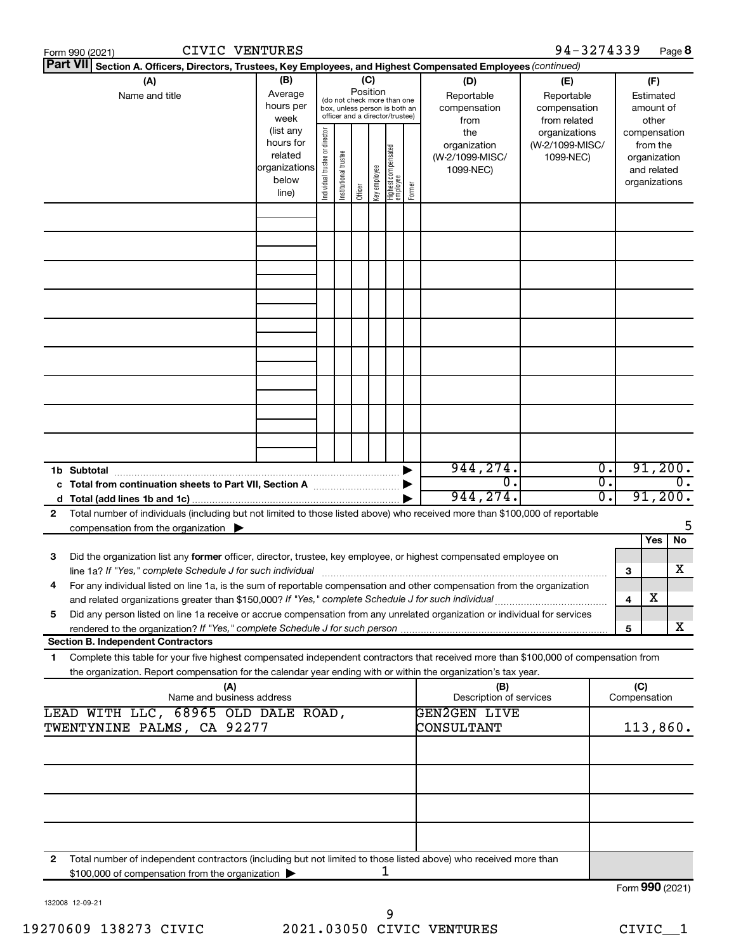|              | CIVIC VENTURES<br>Form 990 (2021)                                                                                                                                                                                                                      |                                                         |                                |                       |                 |              |                                                                                                 |        |                                                       | 94-3274339                                        |                                   |                         |                                                                          | Page 8          |
|--------------|--------------------------------------------------------------------------------------------------------------------------------------------------------------------------------------------------------------------------------------------------------|---------------------------------------------------------|--------------------------------|-----------------------|-----------------|--------------|-------------------------------------------------------------------------------------------------|--------|-------------------------------------------------------|---------------------------------------------------|-----------------------------------|-------------------------|--------------------------------------------------------------------------|-----------------|
|              | <b>Part VII</b><br>Section A. Officers, Directors, Trustees, Key Employees, and Highest Compensated Employees (continued)                                                                                                                              |                                                         |                                |                       |                 |              |                                                                                                 |        |                                                       |                                                   |                                   |                         |                                                                          |                 |
|              | (A)<br>Name and title                                                                                                                                                                                                                                  | (B)<br>Average<br>hours per<br>week<br>(list any        |                                |                       | (C)<br>Position |              | (do not check more than one<br>box, unless person is both an<br>officer and a director/trustee) |        | (D)<br>Reportable<br>compensation<br>from             | (E)<br>Reportable<br>compensation<br>from related |                                   |                         | (F)<br>Estimated<br>amount of<br>other                                   |                 |
|              |                                                                                                                                                                                                                                                        | hours for<br>related<br>organizations<br>below<br>line) | Individual trustee or director | Institutional trustee | Officer         | key employee | Highest compensated<br>employee                                                                 | Former | the<br>organization<br>(W-2/1099-MISC/<br>1099-NEC)   | organizations<br>(W-2/1099-MISC/<br>1099-NEC)     |                                   |                         | compensation<br>from the<br>organization<br>and related<br>organizations |                 |
|              |                                                                                                                                                                                                                                                        |                                                         |                                |                       |                 |              |                                                                                                 |        |                                                       |                                                   |                                   |                         |                                                                          |                 |
|              |                                                                                                                                                                                                                                                        |                                                         |                                |                       |                 |              |                                                                                                 |        |                                                       |                                                   |                                   |                         |                                                                          |                 |
|              |                                                                                                                                                                                                                                                        |                                                         |                                |                       |                 |              |                                                                                                 |        |                                                       |                                                   |                                   |                         |                                                                          |                 |
|              |                                                                                                                                                                                                                                                        |                                                         |                                |                       |                 |              |                                                                                                 |        |                                                       |                                                   |                                   |                         |                                                                          |                 |
|              |                                                                                                                                                                                                                                                        |                                                         |                                |                       |                 |              |                                                                                                 |        |                                                       |                                                   |                                   |                         |                                                                          |                 |
|              |                                                                                                                                                                                                                                                        |                                                         |                                |                       |                 |              |                                                                                                 |        |                                                       |                                                   |                                   |                         |                                                                          |                 |
|              |                                                                                                                                                                                                                                                        |                                                         |                                |                       |                 |              |                                                                                                 |        |                                                       |                                                   |                                   |                         |                                                                          |                 |
|              |                                                                                                                                                                                                                                                        |                                                         |                                |                       |                 |              |                                                                                                 |        | 944, 274.                                             |                                                   | $\overline{0}$ .                  |                         |                                                                          | 91,200.         |
|              |                                                                                                                                                                                                                                                        |                                                         |                                |                       |                 |              |                                                                                                 |        | $\overline{0}$ .<br>944,274.                          |                                                   | $\overline{0}$ .<br>σ.<br>91,200. |                         | $\overline{0}$ .                                                         |                 |
| $\mathbf{2}$ | Total number of individuals (including but not limited to those listed above) who received more than \$100,000 of reportable<br>compensation from the organization $\blacktriangleright$                                                               |                                                         |                                |                       |                 |              |                                                                                                 |        |                                                       |                                                   |                                   |                         |                                                                          | 5               |
| З            | Did the organization list any former officer, director, trustee, key employee, or highest compensated employee on                                                                                                                                      |                                                         |                                |                       |                 |              |                                                                                                 |        |                                                       |                                                   |                                   |                         | Yes                                                                      | No<br>х         |
| 4            | For any individual listed on line 1a, is the sum of reportable compensation and other compensation from the organization                                                                                                                               |                                                         |                                |                       |                 |              |                                                                                                 |        |                                                       |                                                   |                                   | 3<br>$\overline{\bf 4}$ | х                                                                        |                 |
| 5            | Did any person listed on line 1a receive or accrue compensation from any unrelated organization or individual for services                                                                                                                             |                                                         |                                |                       |                 |              |                                                                                                 |        |                                                       |                                                   |                                   | 5                       |                                                                          | х               |
|              | <b>Section B. Independent Contractors</b>                                                                                                                                                                                                              |                                                         |                                |                       |                 |              |                                                                                                 |        |                                                       |                                                   |                                   |                         |                                                                          |                 |
| 1            | Complete this table for your five highest compensated independent contractors that received more than \$100,000 of compensation from<br>the organization. Report compensation for the calendar year ending with or within the organization's tax year. |                                                         |                                |                       |                 |              |                                                                                                 |        |                                                       |                                                   |                                   |                         |                                                                          |                 |
|              | (A)<br>Name and business address<br>LEAD WITH LLC, 68965 OLD DALE ROAD,                                                                                                                                                                                |                                                         |                                |                       |                 |              |                                                                                                 |        | (B)<br>Description of services<br><b>GEN2GEN LIVE</b> |                                                   |                                   | (C)<br>Compensation     |                                                                          |                 |
|              | TWENTYNINE PALMS, CA 92277                                                                                                                                                                                                                             |                                                         |                                |                       |                 |              |                                                                                                 |        | CONSULTANT                                            |                                                   |                                   |                         |                                                                          | 113,860.        |
|              |                                                                                                                                                                                                                                                        |                                                         |                                |                       |                 |              |                                                                                                 |        |                                                       |                                                   |                                   |                         |                                                                          |                 |
|              |                                                                                                                                                                                                                                                        |                                                         |                                |                       |                 |              |                                                                                                 |        |                                                       |                                                   |                                   |                         |                                                                          |                 |
|              |                                                                                                                                                                                                                                                        |                                                         |                                |                       |                 |              |                                                                                                 |        |                                                       |                                                   |                                   |                         |                                                                          |                 |
| $\mathbf{2}$ | Total number of independent contractors (including but not limited to those listed above) who received more than<br>\$100,000 of compensation from the organization                                                                                    |                                                         |                                |                       |                 |              | 1                                                                                               |        |                                                       |                                                   |                                   |                         |                                                                          |                 |
|              |                                                                                                                                                                                                                                                        |                                                         |                                |                       |                 |              |                                                                                                 |        |                                                       |                                                   |                                   |                         |                                                                          | Form 990 (2021) |

132008 12-09-21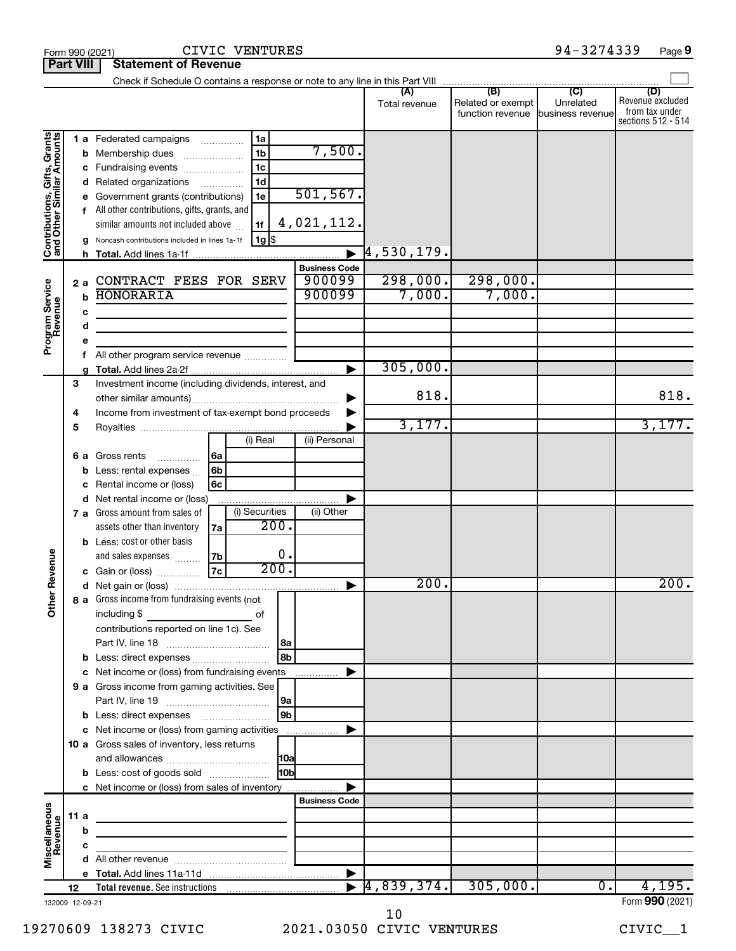|                                 |                       |      |                                                       |          |                |      |                       | (A)<br>Total revenue        | (B)<br>Related or exempt<br>function revenue | (C)<br>Unrelated<br>business revenue | (D)<br>Revenue excluded<br>from tax under<br>sections 512 - 514 |
|---------------------------------|-----------------------|------|-------------------------------------------------------|----------|----------------|------|-----------------------|-----------------------------|----------------------------------------------|--------------------------------------|-----------------------------------------------------------------|
|                                 |                       |      | 1 a Federated campaigns                               |          | 1a             |      |                       |                             |                                              |                                      |                                                                 |
| Grants<br>mour                  |                       |      | <b>b</b> Membership dues                              |          | 1 <sub>b</sub> |      | 7,500.                |                             |                                              |                                      |                                                                 |
|                                 |                       |      | c Fundraising events                                  |          | 1c             |      |                       |                             |                                              |                                      |                                                                 |
| Gifts,<br>$\overline{a}$        |                       |      | d Related organizations                               | $\cdots$ | 1 <sub>d</sub> |      |                       |                             |                                              |                                      |                                                                 |
|                                 |                       |      | e Government grants (contributions)                   |          | 1e             |      | 501, 567.             |                             |                                              |                                      |                                                                 |
|                                 |                       |      | f All other contributions, gifts, grants, and         |          |                |      |                       |                             |                                              |                                      |                                                                 |
|                                 |                       |      | similar amounts not included above                    |          | 1f             |      | 4,021,112.            |                             |                                              |                                      |                                                                 |
|                                 |                       |      | g Noncash contributions included in lines 1a-1f       |          | $1g$ \$        |      |                       |                             |                                              |                                      |                                                                 |
| Contributions,<br>and Other Sim |                       |      |                                                       |          |                |      |                       | $\left[4\, , 530\, , 179$ . |                                              |                                      |                                                                 |
|                                 |                       |      |                                                       |          |                |      | <b>Business Code</b>  |                             |                                              |                                      |                                                                 |
|                                 |                       | 2a   | CONTRACT FEES FOR SERV                                |          |                |      | 900099                | 298,000.                    | 298,000.                                     |                                      |                                                                 |
|                                 | <b>HONORARIA</b><br>b |      |                                                       |          |                |      | 900099                | 7,000.                      | 7,000.                                       |                                      |                                                                 |
| Program Service<br>Revenue      |                       | c    |                                                       |          |                |      |                       |                             |                                              |                                      |                                                                 |
|                                 |                       | d    |                                                       |          |                |      |                       |                             |                                              |                                      |                                                                 |
|                                 |                       |      |                                                       |          |                |      |                       |                             |                                              |                                      |                                                                 |
|                                 |                       |      | All other program service revenue                     |          |                |      |                       |                             |                                              |                                      |                                                                 |
|                                 |                       |      |                                                       |          |                |      | $\blacktriangleright$ | 305,000.                    |                                              |                                      |                                                                 |
|                                 | 3                     |      | Investment income (including dividends, interest, and |          |                |      |                       |                             |                                              |                                      |                                                                 |
|                                 |                       |      |                                                       |          |                |      | ▶                     | 818.                        |                                              |                                      | 818.                                                            |
|                                 | 4                     |      | Income from investment of tax-exempt bond proceeds    |          |                |      |                       |                             |                                              |                                      |                                                                 |
|                                 | 5                     |      |                                                       |          |                |      |                       | 3,177.                      |                                              |                                      | 3,177.                                                          |
|                                 |                       |      |                                                       |          | (i) Real       |      | (ii) Personal         |                             |                                              |                                      |                                                                 |
|                                 |                       | 6а   | Gross rents<br>.                                      | 6a       |                |      |                       |                             |                                              |                                      |                                                                 |
|                                 |                       | b    | Less: rental expenses                                 | 6b       |                |      |                       |                             |                                              |                                      |                                                                 |
|                                 |                       |      | Rental income or (loss)                               | 6c       |                |      |                       |                             |                                              |                                      |                                                                 |
|                                 |                       |      | d Net rental income or (loss)                         |          |                |      |                       |                             |                                              |                                      |                                                                 |
|                                 |                       |      | 7 a Gross amount from sales of                        |          | (i) Securities |      | (ii) Other            |                             |                                              |                                      |                                                                 |
|                                 |                       |      | assets other than inventory                           | 7a       |                | 200. |                       |                             |                                              |                                      |                                                                 |
|                                 |                       |      | <b>b</b> Less: cost or other basis                    |          |                |      |                       |                             |                                              |                                      |                                                                 |
|                                 |                       |      | and sales expenses                                    | 7b       |                | О.   |                       |                             |                                              |                                      |                                                                 |
| ther Revenue                    |                       |      | c Gain or (loss)                                      | 7c       |                | 200. |                       |                             |                                              |                                      |                                                                 |
|                                 |                       |      |                                                       |          |                |      |                       | 200.                        |                                              |                                      | 200.                                                            |
|                                 |                       |      | 8 a Gross income from fundraising events (not         |          |                |      |                       |                             |                                              |                                      |                                                                 |
| 0                               |                       |      | including \$                                          |          | οf             |      |                       |                             |                                              |                                      |                                                                 |
|                                 |                       |      | contributions reported on line 1c). See               |          |                |      |                       |                             |                                              |                                      |                                                                 |
|                                 |                       |      |                                                       |          |                | l 8a |                       |                             |                                              |                                      |                                                                 |
|                                 |                       |      |                                                       |          |                | 8b   |                       |                             |                                              |                                      |                                                                 |
|                                 |                       |      | c Net income or (loss) from fundraising events        |          |                |      | .                     |                             |                                              |                                      |                                                                 |
|                                 |                       |      | 9 a Gross income from gaming activities. See          |          |                |      |                       |                             |                                              |                                      |                                                                 |
|                                 |                       |      |                                                       |          |                | 9a   |                       |                             |                                              |                                      |                                                                 |
|                                 |                       |      | <b>b</b> Less: direct expenses <b>manually</b>        |          |                | 9b   |                       |                             |                                              |                                      |                                                                 |
|                                 |                       |      | c Net income or (loss) from gaming activities         |          |                |      |                       |                             |                                              |                                      |                                                                 |
|                                 |                       |      | 10 a Gross sales of inventory, less returns           |          |                |      |                       |                             |                                              |                                      |                                                                 |
|                                 |                       |      |                                                       |          |                | 10a  |                       |                             |                                              |                                      |                                                                 |
|                                 |                       |      | <b>b</b> Less: cost of goods sold                     |          |                | 10bl |                       |                             |                                              |                                      |                                                                 |
|                                 |                       |      | c Net income or (loss) from sales of inventory        |          |                |      |                       |                             |                                              |                                      |                                                                 |
|                                 |                       |      |                                                       |          |                |      | <b>Business Code</b>  |                             |                                              |                                      |                                                                 |
|                                 |                       | 11 a |                                                       |          |                |      |                       |                             |                                              |                                      |                                                                 |
|                                 |                       | b    |                                                       |          |                |      |                       |                             |                                              |                                      |                                                                 |
| Miscellaneous<br>Revenue        |                       | с    |                                                       |          |                |      |                       |                             |                                              |                                      |                                                                 |
|                                 |                       |      |                                                       |          |                |      |                       |                             |                                              |                                      |                                                                 |
|                                 |                       |      |                                                       |          |                |      | ▶                     |                             |                                              |                                      |                                                                 |
|                                 | 12                    |      |                                                       |          |                |      | $\blacktriangleright$ | [4, 839, 374.]              | 305,000.                                     | 0.                                   | 4,195.                                                          |
| 132009 12-09-21                 |                       |      |                                                       |          |                |      |                       |                             |                                              |                                      | Form 990 (2021)                                                 |

132009 12-09-21

**Part VIII Statement of Revenue**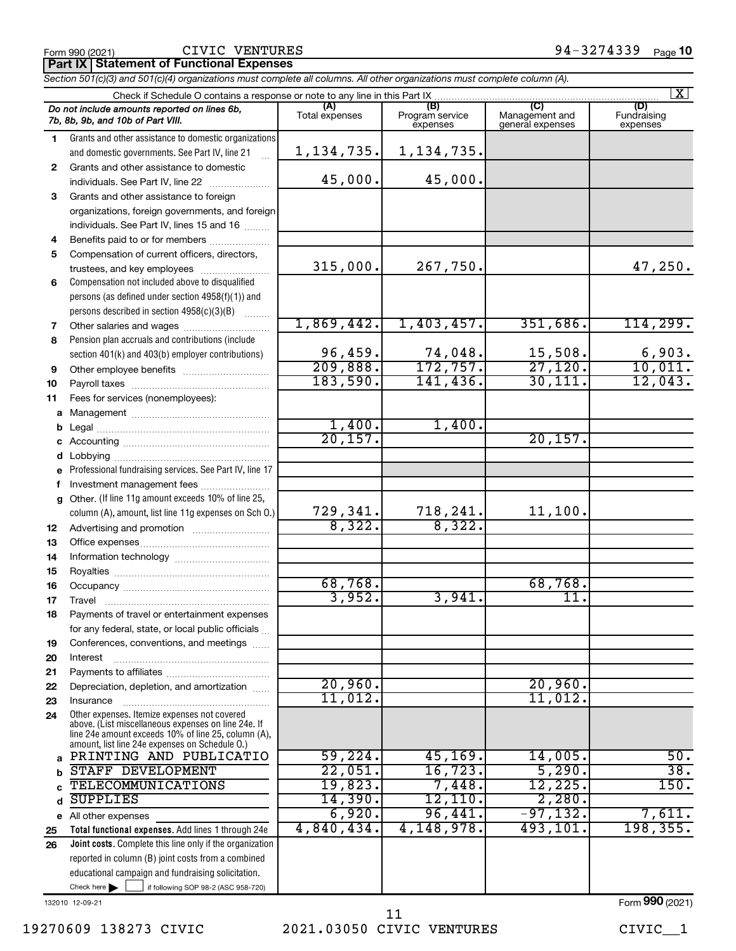## CIVIC VENTURES

**Part IX Statement of Functional Expenses**

*Section 501(c)(3) and 501(c)(4) organizations must complete all columns. All other organizations must complete column (A).*

|          |                                                                                                            |                       |                                    |                                    | $\mathbf{X}$                   |
|----------|------------------------------------------------------------------------------------------------------------|-----------------------|------------------------------------|------------------------------------|--------------------------------|
|          | Do not include amounts reported on lines 6b,<br>7b, 8b, 9b, and 10b of Part VIII.                          | (A)<br>Total expenses | (B)<br>Program service<br>expenses | Management and<br>general expenses | (D)<br>Fundraising<br>expenses |
| 1.       | Grants and other assistance to domestic organizations                                                      |                       |                                    |                                    |                                |
|          | and domestic governments. See Part IV, line 21                                                             | 1,134,735.            | 1, 134, 735.                       |                                    |                                |
| 2        | Grants and other assistance to domestic<br>individuals. See Part IV, line 22                               | 45,000.               | 45,000.                            |                                    |                                |
| 3        | Grants and other assistance to foreign                                                                     |                       |                                    |                                    |                                |
|          | organizations, foreign governments, and foreign                                                            |                       |                                    |                                    |                                |
|          | individuals. See Part IV, lines 15 and 16                                                                  |                       |                                    |                                    |                                |
| 4        | Benefits paid to or for members                                                                            |                       |                                    |                                    |                                |
| 5        | Compensation of current officers, directors,                                                               |                       |                                    |                                    |                                |
|          | trustees, and key employees                                                                                | 315,000.              | 267,750.                           |                                    | 47,250.                        |
| 6        | Compensation not included above to disqualified                                                            |                       |                                    |                                    |                                |
|          | persons (as defined under section 4958(f)(1)) and                                                          |                       |                                    |                                    |                                |
|          | persons described in section 4958(c)(3)(B)                                                                 |                       |                                    |                                    |                                |
| 7        |                                                                                                            | 1,869,442.            | 1,403,457.                         | 351,686.                           | 114, 299.                      |
| 8        | Pension plan accruals and contributions (include                                                           |                       |                                    |                                    |                                |
|          | section 401(k) and 403(b) employer contributions)                                                          | 96,459.               | $\frac{74,048}{172,757}$           | 15,508.                            | 6,903.                         |
| 9        |                                                                                                            | 209,888.              |                                    | 27,120.                            | 10,011.                        |
| 10       |                                                                                                            | 183,590.              | 141,436.                           | 30, 111.                           | 12,043.                        |
| 11       | Fees for services (nonemployees):                                                                          |                       |                                    |                                    |                                |
| a        |                                                                                                            | 1,400.                | 1,400.                             |                                    |                                |
| b        |                                                                                                            | 20, 157.              |                                    | 20, 157.                           |                                |
| с<br>d   |                                                                                                            |                       |                                    |                                    |                                |
|          | Professional fundraising services. See Part IV, line 17                                                    |                       |                                    |                                    |                                |
| f        | Investment management fees                                                                                 |                       |                                    |                                    |                                |
| g        | Other. (If line 11g amount exceeds 10% of line 25,                                                         |                       |                                    |                                    |                                |
|          | column (A), amount, list line 11g expenses on Sch O.)                                                      | 729,341.              | 718,241.                           | 11,100.                            |                                |
| 12       |                                                                                                            | 8,322.                | 8,322.                             |                                    |                                |
| 13       |                                                                                                            |                       |                                    |                                    |                                |
| 14       |                                                                                                            |                       |                                    |                                    |                                |
| 15       |                                                                                                            |                       |                                    |                                    |                                |
| 16       |                                                                                                            | 68,768.               |                                    | 68,768.                            |                                |
| 17       | Travel                                                                                                     | 3,952.                | 3,941.                             | 11.                                |                                |
| 18       | Payments of travel or entertainment expenses                                                               |                       |                                    |                                    |                                |
|          | for any federal, state, or local public officials                                                          |                       |                                    |                                    |                                |
| 19<br>20 | Conferences, conventions, and meetings<br>Interest                                                         |                       |                                    |                                    |                                |
| 21       |                                                                                                            |                       |                                    |                                    |                                |
| 22       | Depreciation, depletion, and amortization                                                                  | 20,960.               |                                    | 20,960.                            |                                |
| 23       | Insurance                                                                                                  | 11,012.               |                                    | 11,012.                            |                                |
| 24       | Other expenses. Itemize expenses not covered                                                               |                       |                                    |                                    |                                |
|          | above. (List miscellaneous expenses on line 24e. If<br>line 24e amount exceeds 10% of line 25, column (A), |                       |                                    |                                    |                                |
|          | amount, list line 24e expenses on Schedule O.)                                                             |                       |                                    |                                    |                                |
| a        | PRINTING AND PUBLICATIO                                                                                    | 59,224.               | 45, 169.                           | 14,005.                            | 50.                            |
| b        | STAFF DEVELOPMENT                                                                                          | 22,051.               | 16, 723.                           | 5,290.                             | $\overline{38}$ .              |
|          | <b>TELECOMMUNICATIONS</b><br><b>SUPPLIES</b>                                                               | 19,823.<br>14,390.    | 7,448.<br>12, 110.                 | 12,225.<br>2,280.                  | 150.                           |
| d        |                                                                                                            | 6,920.                | 96,441.                            | $-97,132.$                         | 7,611.                         |
| е        | All other expenses<br>Total functional expenses. Add lines 1 through 24e                                   | 4,840,434.            | 4,148,978.                         | 493,101.                           | 198, 355.                      |
| 25<br>26 | Joint costs. Complete this line only if the organization                                                   |                       |                                    |                                    |                                |
|          | reported in column (B) joint costs from a combined                                                         |                       |                                    |                                    |                                |
|          | educational campaign and fundraising solicitation.                                                         |                       |                                    |                                    |                                |
|          | Check here $\blacktriangleright$<br>if following SOP 98-2 (ASC 958-720)                                    |                       |                                    |                                    |                                |
|          |                                                                                                            |                       |                                    |                                    |                                |

132010 12-09-21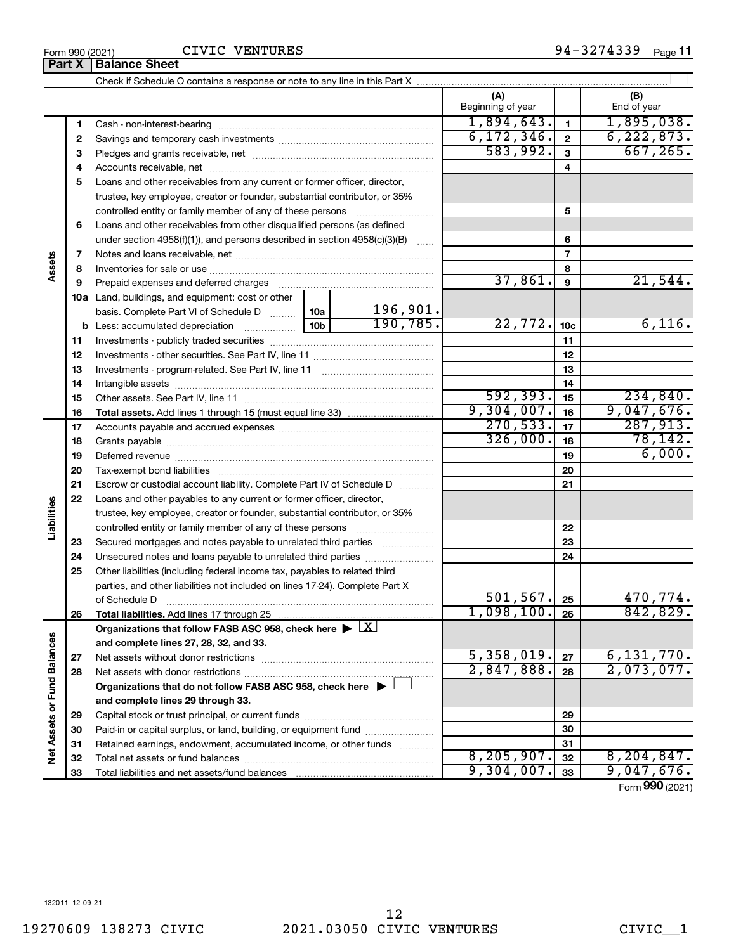CIVIC VENTURES

|                             | Part X | <b>Balance Sheet</b>                                                                                   |  |          |                          |                 |                    |
|-----------------------------|--------|--------------------------------------------------------------------------------------------------------|--|----------|--------------------------|-----------------|--------------------|
|                             |        |                                                                                                        |  |          |                          |                 |                    |
|                             |        |                                                                                                        |  |          | (A)<br>Beginning of year |                 | (B)<br>End of year |
|                             | 1      |                                                                                                        |  |          | 1,894,643.               | 1               | 1,895,038.         |
|                             | 2      |                                                                                                        |  |          | 6, 172, 346.             | $\overline{2}$  | 6, 222, 873.       |
|                             | 3      |                                                                                                        |  |          | 583,992.                 | 3               | 667, 265.          |
|                             | 4      |                                                                                                        |  |          |                          | 4               |                    |
|                             | 5      | Loans and other receivables from any current or former officer, director,                              |  |          |                          |                 |                    |
|                             |        | trustee, key employee, creator or founder, substantial contributor, or 35%                             |  |          |                          |                 |                    |
|                             |        |                                                                                                        |  |          |                          | 5               |                    |
|                             | 6      | Loans and other receivables from other disqualified persons (as defined                                |  |          |                          |                 |                    |
|                             |        | under section $4958(f)(1)$ , and persons described in section $4958(c)(3)(B)$                          |  | $\sim$   |                          | 6               |                    |
|                             | 7      |                                                                                                        |  |          |                          | 7               |                    |
| Assets                      | 8      |                                                                                                        |  |          | 8                        |                 |                    |
|                             | 9      |                                                                                                        |  |          | 37,861.                  | 9               | 21,544.            |
|                             |        | <b>10a</b> Land, buildings, and equipment: cost or other                                               |  |          |                          |                 |                    |
|                             |        | basis. Complete Part VI of Schedule D  10a                                                             |  | 196,901. |                          |                 |                    |
|                             |        |                                                                                                        |  | 190,785. | 22, 772.                 | 10 <sub>c</sub> | 6,116.             |
|                             | 11     |                                                                                                        |  |          |                          | 11              |                    |
|                             | 12     |                                                                                                        |  | 12       |                          |                 |                    |
|                             | 13     |                                                                                                        |  |          | 13                       |                 |                    |
|                             | 14     |                                                                                                        |  |          |                          | 14              |                    |
|                             | 15     |                                                                                                        |  |          | 592, 393.                | 15              | 234,840.           |
|                             | 16     |                                                                                                        |  |          | 9,304,007.               | 16              | 9,047,676.         |
|                             | 17     |                                                                                                        |  |          | 270,533.                 | 17              | 287,913.           |
|                             | 18     |                                                                                                        |  | 326,000. | 18                       | 78,142.         |                    |
|                             | 19     |                                                                                                        |  |          | 19                       | 6,000.          |                    |
|                             | 20     |                                                                                                        |  |          |                          | 20              |                    |
|                             | 21     | Escrow or custodial account liability. Complete Part IV of Schedule D                                  |  |          |                          | 21              |                    |
|                             | 22     | Loans and other payables to any current or former officer, director,                                   |  |          |                          |                 |                    |
|                             |        | trustee, key employee, creator or founder, substantial contributor, or 35%                             |  |          |                          |                 |                    |
| Liabilities                 |        | controlled entity or family member of any of these persons                                             |  |          |                          | 22              |                    |
|                             | 23     | Secured mortgages and notes payable to unrelated third parties                                         |  |          |                          | 23              |                    |
|                             | 24     | Unsecured notes and loans payable to unrelated third parties                                           |  |          |                          | 24              |                    |
|                             | 25     | Other liabilities (including federal income tax, payables to related third                             |  |          |                          |                 |                    |
|                             |        | parties, and other liabilities not included on lines 17-24). Complete Part X                           |  |          |                          |                 |                    |
|                             |        | of Schedule D                                                                                          |  |          | 501, 567.                | 25              | 470,774.           |
|                             | 26     | Total liabilities. Add lines 17 through 25                                                             |  |          | 1,098,100.               | 26              | 842,829.           |
|                             |        | Organizations that follow FASB ASC 958, check here $\blacktriangleright \lfloor \underline{X} \rfloor$ |  |          |                          |                 |                    |
|                             |        | and complete lines 27, 28, 32, and 33.                                                                 |  |          |                          |                 |                    |
|                             | 27     |                                                                                                        |  |          | 5,358,019.               | 27              | 6, 131, 770.       |
|                             | 28     |                                                                                                        |  |          | 2,847,888.               | 28              | 2,073,077.         |
|                             |        | Organizations that do not follow FASB ASC 958, check here $\blacktriangleright$                        |  |          |                          |                 |                    |
| Net Assets or Fund Balances |        | and complete lines 29 through 33.                                                                      |  |          |                          |                 |                    |
|                             | 29     |                                                                                                        |  |          |                          | 29              |                    |
|                             | 30     | Paid-in or capital surplus, or land, building, or equipment fund                                       |  |          |                          | 30              |                    |
|                             | 31     | Retained earnings, endowment, accumulated income, or other funds                                       |  |          |                          | 31              |                    |
|                             | 32     |                                                                                                        |  |          | 8, 205, 907.             | 32              | 8, 204, 847.       |
|                             | 33     |                                                                                                        |  |          | 9,304,007.               | 33              | 9,047,676.         |

Form (2021) **990**

132011 12-09-21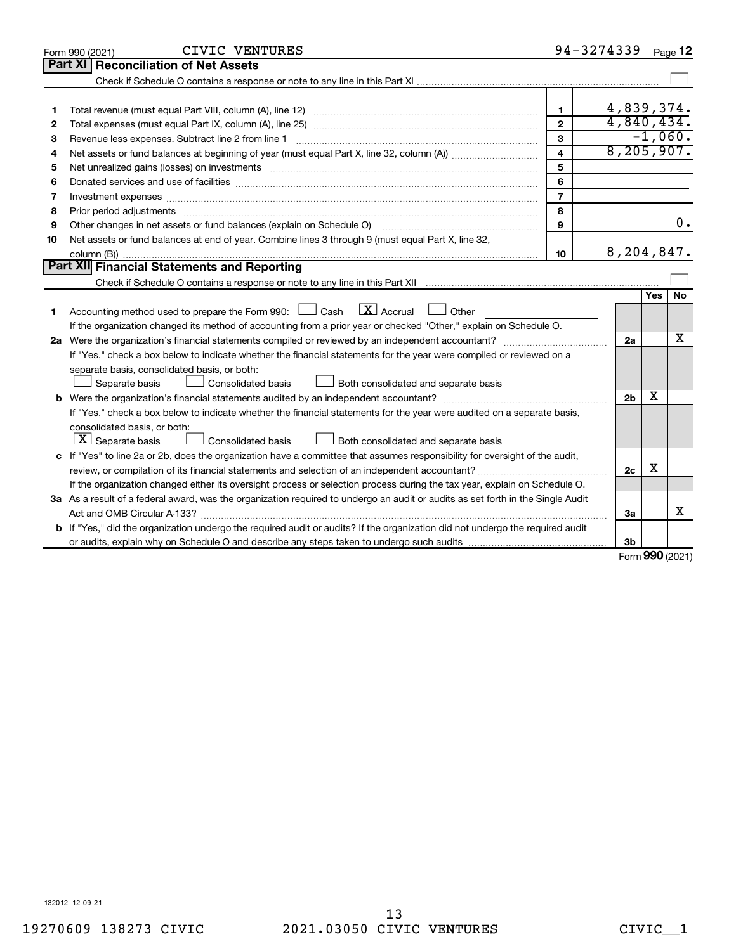|    | CIVIC VENTURES<br>Form 990 (2021)                                                                                                                                                                                              |                         | 94-3274339     |           | Page 12          |
|----|--------------------------------------------------------------------------------------------------------------------------------------------------------------------------------------------------------------------------------|-------------------------|----------------|-----------|------------------|
|    | Part XI<br><b>Reconciliation of Net Assets</b>                                                                                                                                                                                 |                         |                |           |                  |
|    |                                                                                                                                                                                                                                |                         |                |           |                  |
|    |                                                                                                                                                                                                                                |                         |                |           |                  |
| 1  |                                                                                                                                                                                                                                | $\mathbf{1}$            | 4,839,374.     |           |                  |
| 2  |                                                                                                                                                                                                                                | $\overline{2}$          | 4,840,434.     |           |                  |
| З  |                                                                                                                                                                                                                                | 3                       |                |           | $-1,060.$        |
| 4  |                                                                                                                                                                                                                                | $\overline{\mathbf{4}}$ | 8, 205, 907.   |           |                  |
| 5  | Net unrealized gains (losses) on investments [11] matter contracts and the state of the state of the state of the state of the state of the state of the state of the state of the state of the state of the state of the stat | 5                       |                |           |                  |
| 6  |                                                                                                                                                                                                                                | 6                       |                |           |                  |
| 7  | Investment expenses www.communication.com/www.communication.com/www.communication.com/www.com                                                                                                                                  | $\overline{7}$          |                |           |                  |
| 8  | Prior period adjustments www.communication.communication.communication.com/news-managements                                                                                                                                    | 8                       |                |           |                  |
| 9  | Other changes in net assets or fund balances (explain on Schedule O)                                                                                                                                                           | 9                       |                |           | $\overline{0}$ . |
| 10 | Net assets or fund balances at end of year. Combine lines 3 through 9 (must equal Part X, line 32,                                                                                                                             |                         |                |           |                  |
|    |                                                                                                                                                                                                                                | 10                      | 8,204,847.     |           |                  |
|    | <b>Part XII</b> Financial Statements and Reporting                                                                                                                                                                             |                         |                |           |                  |
|    |                                                                                                                                                                                                                                |                         |                |           |                  |
|    |                                                                                                                                                                                                                                |                         |                | Yes       | No               |
| 1. | $\lfloor x \rfloor$ Accrual<br>Accounting method used to prepare the Form 990: [130] Cash<br>Other<br>$\mathbf{L}$                                                                                                             |                         |                |           |                  |
|    | If the organization changed its method of accounting from a prior year or checked "Other," explain on Schedule O.                                                                                                              |                         |                |           |                  |
|    |                                                                                                                                                                                                                                |                         | 2a             |           | x                |
|    | If "Yes," check a box below to indicate whether the financial statements for the year were compiled or reviewed on a                                                                                                           |                         |                |           |                  |
|    | separate basis, consolidated basis, or both:                                                                                                                                                                                   |                         |                |           |                  |
|    | Both consolidated and separate basis<br>Consolidated basis<br>Separate basis                                                                                                                                                   |                         |                |           |                  |
|    |                                                                                                                                                                                                                                |                         | 2 <sub>b</sub> | x         |                  |
|    | If "Yes," check a box below to indicate whether the financial statements for the year were audited on a separate basis,                                                                                                        |                         |                |           |                  |
|    | consolidated basis, or both:                                                                                                                                                                                                   |                         |                |           |                  |
|    | $ \mathbf{X} $ Separate basis<br>Consolidated basis<br>Both consolidated and separate basis                                                                                                                                    |                         |                |           |                  |
|    | c If "Yes" to line 2a or 2b, does the organization have a committee that assumes responsibility for oversight of the audit,                                                                                                    |                         |                |           |                  |
|    |                                                                                                                                                                                                                                |                         | 2c             | X         |                  |
|    | If the organization changed either its oversight process or selection process during the tax year, explain on Schedule O.                                                                                                      |                         |                |           |                  |
|    | 3a As a result of a federal award, was the organization required to undergo an audit or audits as set forth in the Single Audit                                                                                                |                         |                |           |                  |
|    |                                                                                                                                                                                                                                |                         | За             |           | x                |
|    | <b>b</b> If "Yes," did the organization undergo the required audit or audits? If the organization did not undergo the required audit                                                                                           |                         |                |           |                  |
|    |                                                                                                                                                                                                                                |                         | 3b             | $000 - 1$ |                  |

Form (2021) **990**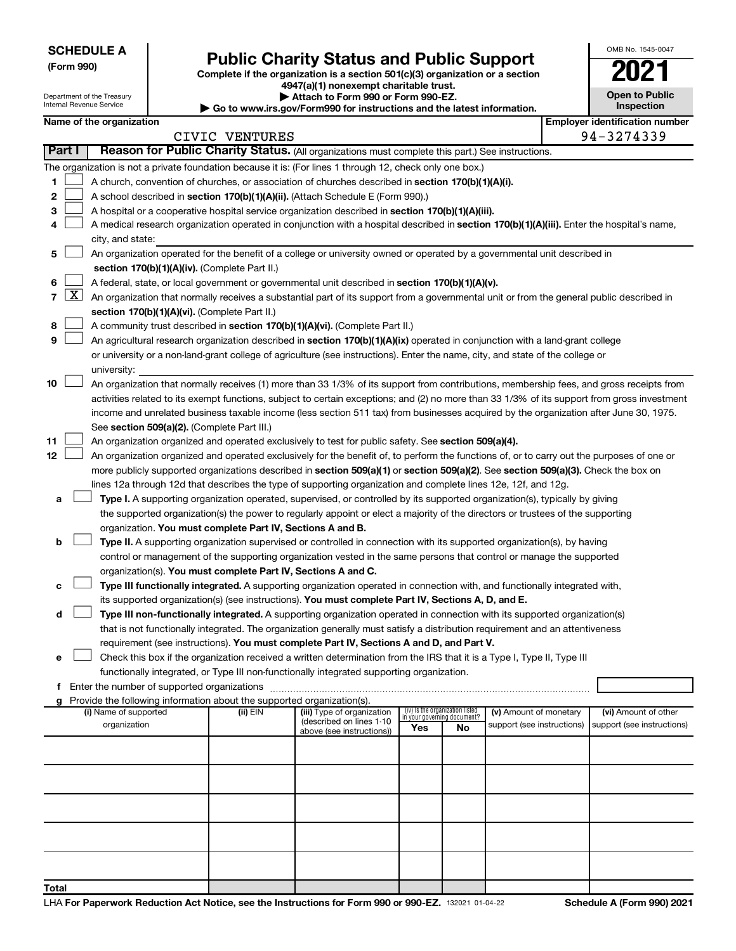Department of the Treasury Internal Revenue Service

# Form 990)<br> **Complete if the organization is a section 501(c)(3) organization or a section**<br> **Public Charity Status and Public Support**

**4947(a)(1) nonexempt charitable trust. | Attach to Form 990 or Form 990-EZ.** 

**| Go to www.irs.gov/Form990 for instructions and the latest information.**

| <b>Open to Public</b><br>Inspection |
|-------------------------------------|
|                                     |

OMB No. 1545-0047

 $\mathbf I$ 

|  | Name of the organization |
|--|--------------------------|
|  |                          |

|        |       | Name of the organization                                                                                                                     |                |                                                        |                             |                                 |                                                      |  | <b>Employer identification number</b>              |  |  |
|--------|-------|----------------------------------------------------------------------------------------------------------------------------------------------|----------------|--------------------------------------------------------|-----------------------------|---------------------------------|------------------------------------------------------|--|----------------------------------------------------|--|--|
|        |       |                                                                                                                                              | CIVIC VENTURES |                                                        |                             |                                 |                                                      |  | 94-3274339                                         |  |  |
| Part I |       | Reason for Public Charity Status. (All organizations must complete this part.) See instructions.                                             |                |                                                        |                             |                                 |                                                      |  |                                                    |  |  |
|        |       | The organization is not a private foundation because it is: (For lines 1 through 12, check only one box.)                                    |                |                                                        |                             |                                 |                                                      |  |                                                    |  |  |
| 1      |       | A church, convention of churches, or association of churches described in section 170(b)(1)(A)(i).                                           |                |                                                        |                             |                                 |                                                      |  |                                                    |  |  |
| 2      |       | A school described in section 170(b)(1)(A)(ii). (Attach Schedule E (Form 990).)                                                              |                |                                                        |                             |                                 |                                                      |  |                                                    |  |  |
| 3      |       | A hospital or a cooperative hospital service organization described in section 170(b)(1)(A)(iii).                                            |                |                                                        |                             |                                 |                                                      |  |                                                    |  |  |
| 4      |       | A medical research organization operated in conjunction with a hospital described in section 170(b)(1)(A)(iii). Enter the hospital's name,   |                |                                                        |                             |                                 |                                                      |  |                                                    |  |  |
|        |       | city, and state:                                                                                                                             |                |                                                        |                             |                                 |                                                      |  |                                                    |  |  |
| 5      |       | An organization operated for the benefit of a college or university owned or operated by a governmental unit described in                    |                |                                                        |                             |                                 |                                                      |  |                                                    |  |  |
|        |       | section 170(b)(1)(A)(iv). (Complete Part II.)                                                                                                |                |                                                        |                             |                                 |                                                      |  |                                                    |  |  |
| 6      |       | A federal, state, or local government or governmental unit described in section 170(b)(1)(A)(v).                                             |                |                                                        |                             |                                 |                                                      |  |                                                    |  |  |
|        | 7   X | An organization that normally receives a substantial part of its support from a governmental unit or from the general public described in    |                |                                                        |                             |                                 |                                                      |  |                                                    |  |  |
|        |       | section 170(b)(1)(A)(vi). (Complete Part II.)                                                                                                |                |                                                        |                             |                                 |                                                      |  |                                                    |  |  |
| 8      |       | A community trust described in section 170(b)(1)(A)(vi). (Complete Part II.)                                                                 |                |                                                        |                             |                                 |                                                      |  |                                                    |  |  |
| 9      |       | An agricultural research organization described in section 170(b)(1)(A)(ix) operated in conjunction with a land-grant college                |                |                                                        |                             |                                 |                                                      |  |                                                    |  |  |
|        |       | or university or a non-land-grant college of agriculture (see instructions). Enter the name, city, and state of the college or               |                |                                                        |                             |                                 |                                                      |  |                                                    |  |  |
|        |       | university:                                                                                                                                  |                |                                                        |                             |                                 |                                                      |  |                                                    |  |  |
| 10     |       | An organization that normally receives (1) more than 33 1/3% of its support from contributions, membership fees, and gross receipts from     |                |                                                        |                             |                                 |                                                      |  |                                                    |  |  |
|        |       | activities related to its exempt functions, subject to certain exceptions; and (2) no more than 33 1/3% of its support from gross investment |                |                                                        |                             |                                 |                                                      |  |                                                    |  |  |
|        |       | income and unrelated business taxable income (less section 511 tax) from businesses acquired by the organization after June 30, 1975.        |                |                                                        |                             |                                 |                                                      |  |                                                    |  |  |
|        |       | See section 509(a)(2). (Complete Part III.)                                                                                                  |                |                                                        |                             |                                 |                                                      |  |                                                    |  |  |
| 11     |       | An organization organized and operated exclusively to test for public safety. See section 509(a)(4).                                         |                |                                                        |                             |                                 |                                                      |  |                                                    |  |  |
| 12     |       | An organization organized and operated exclusively for the benefit of, to perform the functions of, or to carry out the purposes of one or   |                |                                                        |                             |                                 |                                                      |  |                                                    |  |  |
|        |       | more publicly supported organizations described in section 509(a)(1) or section 509(a)(2). See section 509(a)(3). Check the box on           |                |                                                        |                             |                                 |                                                      |  |                                                    |  |  |
|        |       | lines 12a through 12d that describes the type of supporting organization and complete lines 12e, 12f, and 12g.                               |                |                                                        |                             |                                 |                                                      |  |                                                    |  |  |
| a      |       | Type I. A supporting organization operated, supervised, or controlled by its supported organization(s), typically by giving                  |                |                                                        |                             |                                 |                                                      |  |                                                    |  |  |
|        |       | the supported organization(s) the power to regularly appoint or elect a majority of the directors or trustees of the supporting              |                |                                                        |                             |                                 |                                                      |  |                                                    |  |  |
|        |       | organization. You must complete Part IV, Sections A and B.                                                                                   |                |                                                        |                             |                                 |                                                      |  |                                                    |  |  |
| b      |       | Type II. A supporting organization supervised or controlled in connection with its supported organization(s), by having                      |                |                                                        |                             |                                 |                                                      |  |                                                    |  |  |
|        |       | control or management of the supporting organization vested in the same persons that control or manage the supported                         |                |                                                        |                             |                                 |                                                      |  |                                                    |  |  |
|        |       | organization(s). You must complete Part IV, Sections A and C.                                                                                |                |                                                        |                             |                                 |                                                      |  |                                                    |  |  |
| с      |       | Type III functionally integrated. A supporting organization operated in connection with, and functionally integrated with,                   |                |                                                        |                             |                                 |                                                      |  |                                                    |  |  |
|        |       | its supported organization(s) (see instructions). You must complete Part IV, Sections A, D, and E.                                           |                |                                                        |                             |                                 |                                                      |  |                                                    |  |  |
| d      |       | Type III non-functionally integrated. A supporting organization operated in connection with its supported organization(s)                    |                |                                                        |                             |                                 |                                                      |  |                                                    |  |  |
|        |       | that is not functionally integrated. The organization generally must satisfy a distribution requirement and an attentiveness                 |                |                                                        |                             |                                 |                                                      |  |                                                    |  |  |
|        |       | requirement (see instructions). You must complete Part IV, Sections A and D, and Part V.                                                     |                |                                                        |                             |                                 |                                                      |  |                                                    |  |  |
|        |       | Check this box if the organization received a written determination from the IRS that it is a Type I, Type II, Type III                      |                |                                                        |                             |                                 |                                                      |  |                                                    |  |  |
|        |       | functionally integrated, or Type III non-functionally integrated supporting organization.                                                    |                |                                                        |                             |                                 |                                                      |  |                                                    |  |  |
|        |       | f Enter the number of supported organizations                                                                                                |                |                                                        |                             |                                 |                                                      |  |                                                    |  |  |
|        |       | g Provide the following information about the supported organization(s).                                                                     |                |                                                        |                             | (iv) Is the organization listed |                                                      |  |                                                    |  |  |
|        |       | (i) Name of supported<br>organization                                                                                                        | (ii) EIN       | (iii) Type of organization<br>(described on lines 1-10 | in your governing document? |                                 | (v) Amount of monetary<br>support (see instructions) |  | (vi) Amount of other<br>support (see instructions) |  |  |
|        |       |                                                                                                                                              |                | above (see instructions))                              | Yes                         | No                              |                                                      |  |                                                    |  |  |
|        |       |                                                                                                                                              |                |                                                        |                             |                                 |                                                      |  |                                                    |  |  |
|        |       |                                                                                                                                              |                |                                                        |                             |                                 |                                                      |  |                                                    |  |  |
|        |       |                                                                                                                                              |                |                                                        |                             |                                 |                                                      |  |                                                    |  |  |
|        |       |                                                                                                                                              |                |                                                        |                             |                                 |                                                      |  |                                                    |  |  |
|        |       |                                                                                                                                              |                |                                                        |                             |                                 |                                                      |  |                                                    |  |  |
|        |       |                                                                                                                                              |                |                                                        |                             |                                 |                                                      |  |                                                    |  |  |
|        |       |                                                                                                                                              |                |                                                        |                             |                                 |                                                      |  |                                                    |  |  |
|        |       |                                                                                                                                              |                |                                                        |                             |                                 |                                                      |  |                                                    |  |  |
|        |       |                                                                                                                                              |                |                                                        |                             |                                 |                                                      |  |                                                    |  |  |
| Total  |       |                                                                                                                                              |                |                                                        |                             |                                 |                                                      |  |                                                    |  |  |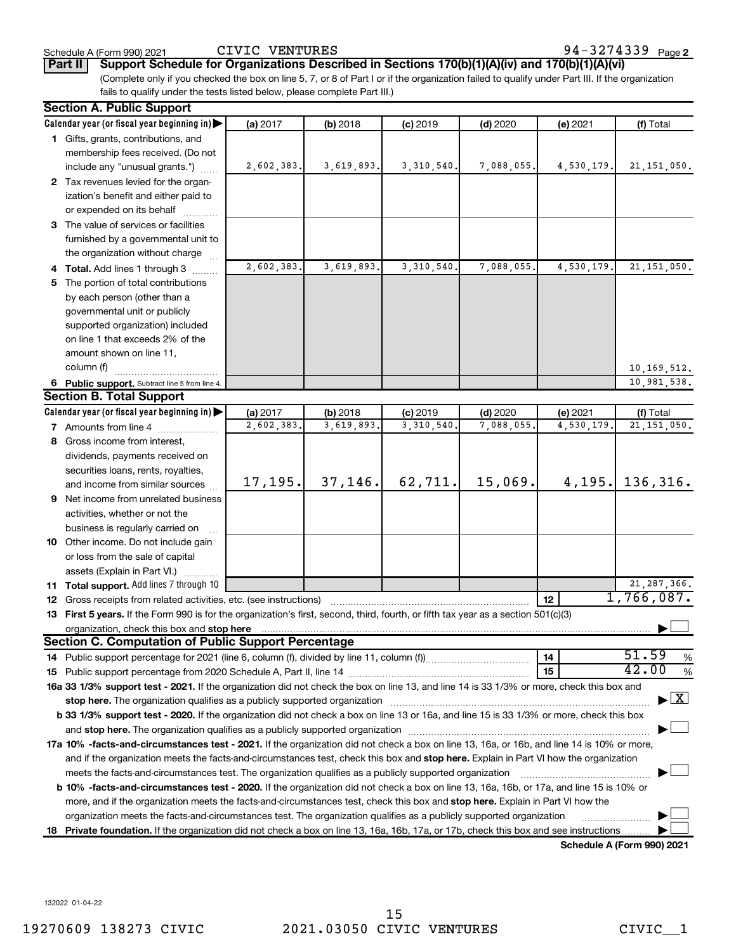**Part II** | Support Schedule for Organizations Described in Sections 170(b)(1)(A)(iv) and 170(b)(1)(A)(vi)

(Complete only if you checked the box on line 5, 7, or 8 of Part I or if the organization failed to qualify under Part III. If the organization fails to qualify under the tests listed below, please complete Part III.)

| <b>Section A. Public Support</b>                                                                                                                                                                                                    |            |            |              |            |            |                                    |
|-------------------------------------------------------------------------------------------------------------------------------------------------------------------------------------------------------------------------------------|------------|------------|--------------|------------|------------|------------------------------------|
| Calendar year (or fiscal year beginning in)                                                                                                                                                                                         | (a) 2017   | (b) 2018   | $(c)$ 2019   | $(d)$ 2020 | (e) 2021   | (f) Total                          |
| 1 Gifts, grants, contributions, and                                                                                                                                                                                                 |            |            |              |            |            |                                    |
| membership fees received. (Do not                                                                                                                                                                                                   |            |            |              |            |            |                                    |
| include any "unusual grants.")                                                                                                                                                                                                      | 2,602,383. | 3,619,893. | 3, 310, 540. | 7,088,055. | 4,530,179. | 21, 151, 050.                      |
| 2 Tax revenues levied for the organ-                                                                                                                                                                                                |            |            |              |            |            |                                    |
| ization's benefit and either paid to                                                                                                                                                                                                |            |            |              |            |            |                                    |
| or expended on its behalf                                                                                                                                                                                                           |            |            |              |            |            |                                    |
| 3 The value of services or facilities                                                                                                                                                                                               |            |            |              |            |            |                                    |
| furnished by a governmental unit to                                                                                                                                                                                                 |            |            |              |            |            |                                    |
| the organization without charge                                                                                                                                                                                                     |            |            |              |            |            |                                    |
| 4 Total. Add lines 1 through 3                                                                                                                                                                                                      | 2,602,383  | 3,619,893. | 3,310,540    | 7,088,055  | 4,530,179  | 21, 151, 050.                      |
| 5 The portion of total contributions                                                                                                                                                                                                |            |            |              |            |            |                                    |
| by each person (other than a                                                                                                                                                                                                        |            |            |              |            |            |                                    |
| governmental unit or publicly                                                                                                                                                                                                       |            |            |              |            |            |                                    |
| supported organization) included                                                                                                                                                                                                    |            |            |              |            |            |                                    |
| on line 1 that exceeds 2% of the                                                                                                                                                                                                    |            |            |              |            |            |                                    |
| amount shown on line 11,                                                                                                                                                                                                            |            |            |              |            |            |                                    |
| column (f)                                                                                                                                                                                                                          |            |            |              |            |            | 10, 169, 512.                      |
| 6 Public support. Subtract line 5 from line 4.                                                                                                                                                                                      |            |            |              |            |            | 10,981,538.                        |
| <b>Section B. Total Support</b>                                                                                                                                                                                                     |            |            |              |            |            |                                    |
| Calendar year (or fiscal year beginning in)                                                                                                                                                                                         | (a) 2017   | (b) 2018   | $(c)$ 2019   | $(d)$ 2020 | (e) 2021   | (f) Total                          |
| <b>7</b> Amounts from line 4                                                                                                                                                                                                        | 2,602,383  | 3,619,893. | 3,310,540    | 7,088,055  | 4,530,179  | 21, 151, 050.                      |
| 8 Gross income from interest,                                                                                                                                                                                                       |            |            |              |            |            |                                    |
| dividends, payments received on                                                                                                                                                                                                     |            |            |              |            |            |                                    |
| securities loans, rents, royalties,                                                                                                                                                                                                 |            |            |              |            |            |                                    |
| and income from similar sources                                                                                                                                                                                                     | 17, 195.   | 37,146.    | 62,711.      | 15,069.    | 4,195.     | 136, 316.                          |
| <b>9</b> Net income from unrelated business                                                                                                                                                                                         |            |            |              |            |            |                                    |
| activities, whether or not the                                                                                                                                                                                                      |            |            |              |            |            |                                    |
| business is regularly carried on                                                                                                                                                                                                    |            |            |              |            |            |                                    |
| 10 Other income. Do not include gain                                                                                                                                                                                                |            |            |              |            |            |                                    |
| or loss from the sale of capital                                                                                                                                                                                                    |            |            |              |            |            |                                    |
| assets (Explain in Part VI.)                                                                                                                                                                                                        |            |            |              |            |            |                                    |
| 11 Total support. Add lines 7 through 10                                                                                                                                                                                            |            |            |              |            |            | 21, 287, 366.                      |
| <b>12</b> Gross receipts from related activities, etc. (see instructions)                                                                                                                                                           |            |            |              |            | 12         | 1,766,087.                         |
| 13 First 5 years. If the Form 990 is for the organization's first, second, third, fourth, or fifth tax year as a section 501(c)(3)                                                                                                  |            |            |              |            |            |                                    |
| organization, check this box and stop here <b>construction and construction</b> construction of the state of the state of the state of the state of the state of the state of the state of the state of the state of the state of t |            |            |              |            |            |                                    |
| <b>Section C. Computation of Public Support Percentage</b>                                                                                                                                                                          |            |            |              |            |            |                                    |
|                                                                                                                                                                                                                                     |            |            |              |            | 14         | 51.59<br>%                         |
|                                                                                                                                                                                                                                     |            |            |              |            | 15         | 42.00<br>%                         |
| 16a 33 1/3% support test - 2021. If the organization did not check the box on line 13, and line 14 is 33 1/3% or more, check this box and                                                                                           |            |            |              |            |            |                                    |
| stop here. The organization qualifies as a publicly supported organization manufaction manufacture or the organization                                                                                                              |            |            |              |            |            | $\blacktriangleright$ $\mathbf{X}$ |
| b 33 1/3% support test - 2020. If the organization did not check a box on line 13 or 16a, and line 15 is 33 1/3% or more, check this box                                                                                            |            |            |              |            |            |                                    |
|                                                                                                                                                                                                                                     |            |            |              |            |            |                                    |
| 17a 10% -facts-and-circumstances test - 2021. If the organization did not check a box on line 13, 16a, or 16b, and line 14 is 10% or more,                                                                                          |            |            |              |            |            |                                    |
| and if the organization meets the facts-and-circumstances test, check this box and stop here. Explain in Part VI how the organization                                                                                               |            |            |              |            |            |                                    |
| meets the facts-and-circumstances test. The organization qualifies as a publicly supported organization                                                                                                                             |            |            |              |            |            |                                    |
| <b>b 10%</b> -facts-and-circumstances test - 2020. If the organization did not check a box on line 13, 16a, 16b, or 17a, and line 15 is 10% or                                                                                      |            |            |              |            |            |                                    |
| more, and if the organization meets the facts-and-circumstances test, check this box and stop here. Explain in Part VI how the                                                                                                      |            |            |              |            |            |                                    |
| organization meets the facts-and-circumstances test. The organization qualifies as a publicly supported organization                                                                                                                |            |            |              |            |            |                                    |
| 18 Private foundation. If the organization did not check a box on line 13, 16a, 16b, 17a, or 17b, check this box and see instructions                                                                                               |            |            |              |            |            |                                    |
|                                                                                                                                                                                                                                     |            |            |              |            |            | Schedule A (Form 990) 2021         |

**Schedule A (Form 990) 2021**

132022 01-04-22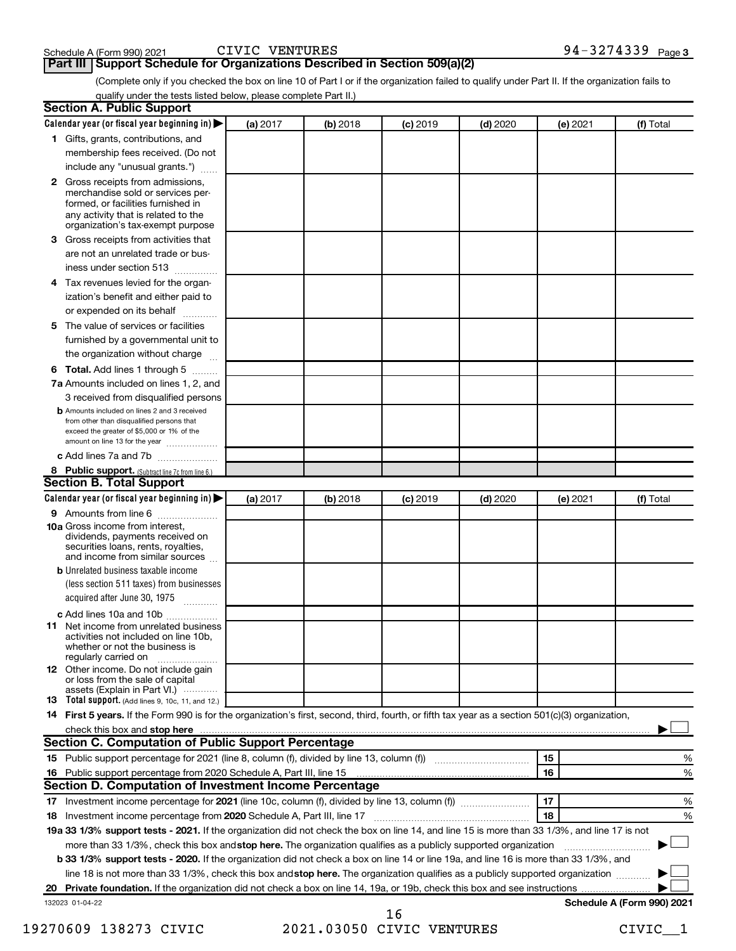## **Part III | Support Schedule for Organizations Described in Section 509(a)(2)**

(Complete only if you checked the box on line 10 of Part I or if the organization failed to qualify under Part II. If the organization fails to qualify under the tests listed below, please complete Part II.)

|    | <b>Section A. Public Support</b>                                                                                                                                                                                                     |          |            |            |            |          |                            |
|----|--------------------------------------------------------------------------------------------------------------------------------------------------------------------------------------------------------------------------------------|----------|------------|------------|------------|----------|----------------------------|
|    | Calendar year (or fiscal year beginning in)                                                                                                                                                                                          | (a) 2017 | (b) 2018   | $(c)$ 2019 | $(d)$ 2020 | (e) 2021 | (f) Total                  |
|    | 1 Gifts, grants, contributions, and                                                                                                                                                                                                  |          |            |            |            |          |                            |
|    | membership fees received. (Do not                                                                                                                                                                                                    |          |            |            |            |          |                            |
|    | include any "unusual grants.")                                                                                                                                                                                                       |          |            |            |            |          |                            |
|    | <b>2</b> Gross receipts from admissions,<br>merchandise sold or services per-<br>formed, or facilities furnished in<br>any activity that is related to the<br>organization's tax-exempt purpose                                      |          |            |            |            |          |                            |
|    | 3 Gross receipts from activities that                                                                                                                                                                                                |          |            |            |            |          |                            |
|    | are not an unrelated trade or bus-<br>iness under section 513                                                                                                                                                                        |          |            |            |            |          |                            |
|    | 4 Tax revenues levied for the organ-                                                                                                                                                                                                 |          |            |            |            |          |                            |
|    | ization's benefit and either paid to<br>or expended on its behalf                                                                                                                                                                    |          |            |            |            |          |                            |
|    | 5 The value of services or facilities                                                                                                                                                                                                |          |            |            |            |          |                            |
|    | furnished by a governmental unit to<br>the organization without charge                                                                                                                                                               |          |            |            |            |          |                            |
|    | <b>6 Total.</b> Add lines 1 through 5                                                                                                                                                                                                |          |            |            |            |          |                            |
|    | 7a Amounts included on lines 1, 2, and                                                                                                                                                                                               |          |            |            |            |          |                            |
|    | 3 received from disqualified persons                                                                                                                                                                                                 |          |            |            |            |          |                            |
|    | <b>b</b> Amounts included on lines 2 and 3 received<br>from other than disqualified persons that<br>exceed the greater of \$5,000 or 1% of the<br>amount on line 13 for the year                                                     |          |            |            |            |          |                            |
|    | c Add lines 7a and 7b                                                                                                                                                                                                                |          |            |            |            |          |                            |
|    | 8 Public support. (Subtract line 7c from line 6.)                                                                                                                                                                                    |          |            |            |            |          |                            |
|    | <b>Section B. Total Support</b>                                                                                                                                                                                                      |          |            |            |            |          |                            |
|    | Calendar year (or fiscal year beginning in)                                                                                                                                                                                          | (a) 2017 | $(b)$ 2018 | $(c)$ 2019 | $(d)$ 2020 | (e) 2021 | (f) Total                  |
|    | 9 Amounts from line 6                                                                                                                                                                                                                |          |            |            |            |          |                            |
|    | <b>10a</b> Gross income from interest,<br>dividends, payments received on<br>securities loans, rents, royalties,<br>and income from similar sources                                                                                  |          |            |            |            |          |                            |
|    | <b>b</b> Unrelated business taxable income                                                                                                                                                                                           |          |            |            |            |          |                            |
|    | (less section 511 taxes) from businesses<br>acquired after June 30, 1975                                                                                                                                                             |          |            |            |            |          |                            |
|    | c Add lines 10a and 10b                                                                                                                                                                                                              |          |            |            |            |          |                            |
|    | <b>11</b> Net income from unrelated business<br>activities not included on line 10b.<br>whether or not the business is<br>regularly carried on                                                                                       |          |            |            |            |          |                            |
|    | <b>12</b> Other income. Do not include gain<br>or loss from the sale of capital<br>assets (Explain in Part VI.)                                                                                                                      |          |            |            |            |          |                            |
|    | <b>13</b> Total support. (Add lines 9, 10c, 11, and 12.)                                                                                                                                                                             |          |            |            |            |          |                            |
|    | 14 First 5 years. If the Form 990 is for the organization's first, second, third, fourth, or fifth tax year as a section 501(c)(3) organization,                                                                                     |          |            |            |            |          |                            |
|    | check this box and stop here <b>contained and according to the state of the state of the state of the state of the state of the state of the state of the state of the state of the state of the state of the state of the state</b> |          |            |            |            |          |                            |
|    | Section C. Computation of Public Support Percentage                                                                                                                                                                                  |          |            |            |            |          |                            |
|    | 15 Public support percentage for 2021 (line 8, column (f), divided by line 13, column (f) <i></i>                                                                                                                                    |          |            |            |            | 15       | ℅                          |
|    | 16 Public support percentage from 2020 Schedule A, Part III, line 15<br>Section D. Computation of Investment Income Percentage                                                                                                       |          |            |            |            | 16       | %                          |
|    |                                                                                                                                                                                                                                      |          |            |            |            | 17       | %                          |
|    | 18 Investment income percentage from 2020 Schedule A, Part III, line 17                                                                                                                                                              |          |            |            |            | 18       | %                          |
|    | 19a 33 1/3% support tests - 2021. If the organization did not check the box on line 14, and line 15 is more than 33 1/3%, and line 17 is not                                                                                         |          |            |            |            |          |                            |
|    | more than 33 1/3%, check this box and stop here. The organization qualifies as a publicly supported organization                                                                                                                     |          |            |            |            |          |                            |
|    | b 33 1/3% support tests - 2020. If the organization did not check a box on line 14 or line 19a, and line 16 is more than 33 1/3%, and                                                                                                |          |            |            |            |          |                            |
|    | line 18 is not more than 33 1/3%, check this box and stop here. The organization qualifies as a publicly supported organization                                                                                                      |          |            |            |            |          |                            |
| 20 |                                                                                                                                                                                                                                      |          |            |            |            |          |                            |
|    | 132023 01-04-22                                                                                                                                                                                                                      |          |            |            |            |          | Schedule A (Form 990) 2021 |
|    |                                                                                                                                                                                                                                      |          |            | 1 G        |            |          |                            |

<sup>19270609 138273</sup> CIVIC 2021.03050 CIVIC VENTURES CIVIC\_\_1 16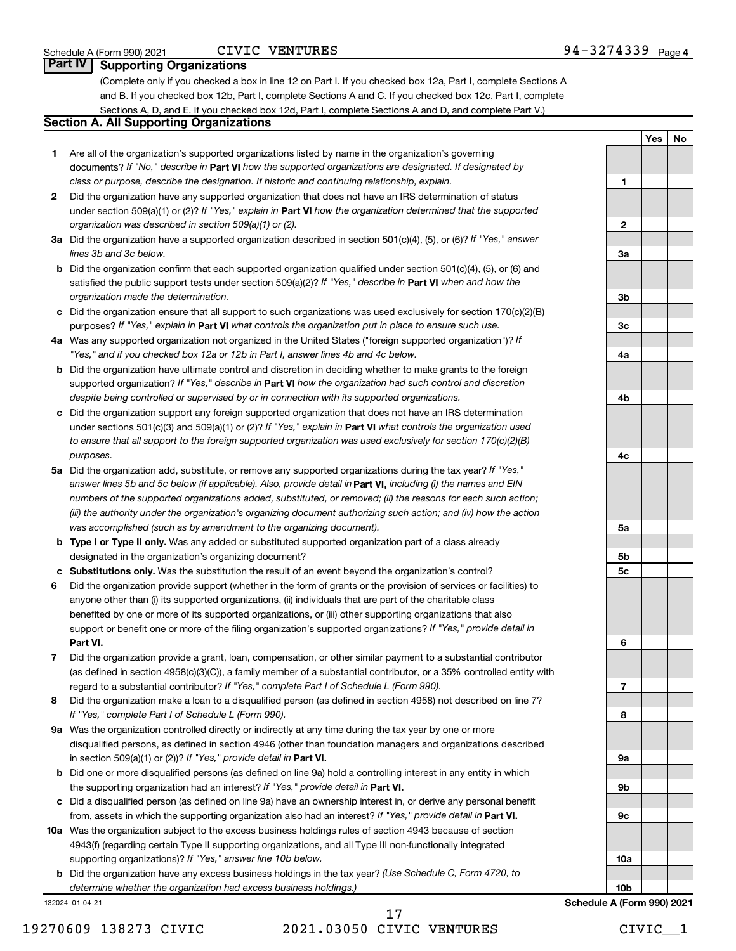## CIVIC VENTURES

**1**

**2**

**3a**

**3b**

**3c**

**4a**

**4b**

**4c**

**5a**

**5b 5c**

**6**

**7**

**8**

**9a**

**9b**

**Yes No**

# **Part IV Supporting Organizations**

(Complete only if you checked a box in line 12 on Part I. If you checked box 12a, Part I, complete Sections A and B. If you checked box 12b, Part I, complete Sections A and C. If you checked box 12c, Part I, complete Sections A, D, and E. If you checked box 12d, Part I, complete Sections A and D, and complete Part V.)

# **Section A. All Supporting Organizations**

- **1** Are all of the organization's supported organizations listed by name in the organization's governing documents? If "No," describe in Part VI how the supported organizations are designated. If designated by *class or purpose, describe the designation. If historic and continuing relationship, explain.*
- **2** Did the organization have any supported organization that does not have an IRS determination of status under section 509(a)(1) or (2)? If "Yes," explain in Part **VI** how the organization determined that the supported *organization was described in section 509(a)(1) or (2).*
- **3a** Did the organization have a supported organization described in section 501(c)(4), (5), or (6)? If "Yes," answer *lines 3b and 3c below.*
- **b** Did the organization confirm that each supported organization qualified under section 501(c)(4), (5), or (6) and satisfied the public support tests under section 509(a)(2)? If "Yes," describe in Part VI when and how the *organization made the determination.*
- **c** Did the organization ensure that all support to such organizations was used exclusively for section 170(c)(2)(B) purposes? If "Yes," explain in Part VI what controls the organization put in place to ensure such use.
- **4 a** *If* Was any supported organization not organized in the United States ("foreign supported organization")? *"Yes," and if you checked box 12a or 12b in Part I, answer lines 4b and 4c below.*
- **b** Did the organization have ultimate control and discretion in deciding whether to make grants to the foreign supported organization? If "Yes," describe in Part VI how the organization had such control and discretion *despite being controlled or supervised by or in connection with its supported organizations.*
- **c** Did the organization support any foreign supported organization that does not have an IRS determination under sections 501(c)(3) and 509(a)(1) or (2)? If "Yes," explain in Part VI what controls the organization used *to ensure that all support to the foreign supported organization was used exclusively for section 170(c)(2)(B) purposes.*
- **5a** Did the organization add, substitute, or remove any supported organizations during the tax year? If "Yes," answer lines 5b and 5c below (if applicable). Also, provide detail in **Part VI,** including (i) the names and EIN *numbers of the supported organizations added, substituted, or removed; (ii) the reasons for each such action; (iii) the authority under the organization's organizing document authorizing such action; and (iv) how the action was accomplished (such as by amendment to the organizing document).*
- **b Type I or Type II only.** Was any added or substituted supported organization part of a class already designated in the organization's organizing document?
- **c Substitutions only.**  Was the substitution the result of an event beyond the organization's control?
- **6** Did the organization provide support (whether in the form of grants or the provision of services or facilities) to **Part VI.** support or benefit one or more of the filing organization's supported organizations? If "Yes," provide detail in anyone other than (i) its supported organizations, (ii) individuals that are part of the charitable class benefited by one or more of its supported organizations, or (iii) other supporting organizations that also
- **7** Did the organization provide a grant, loan, compensation, or other similar payment to a substantial contributor regard to a substantial contributor? If "Yes," complete Part I of Schedule L (Form 990). (as defined in section 4958(c)(3)(C)), a family member of a substantial contributor, or a 35% controlled entity with
- **8** Did the organization make a loan to a disqualified person (as defined in section 4958) not described on line 7? *If "Yes," complete Part I of Schedule L (Form 990).*
- **9 a** Was the organization controlled directly or indirectly at any time during the tax year by one or more in section 509(a)(1) or (2))? If "Yes," provide detail in **Part VI.** disqualified persons, as defined in section 4946 (other than foundation managers and organizations described
- **b** Did one or more disqualified persons (as defined on line 9a) hold a controlling interest in any entity in which the supporting organization had an interest? If "Yes," provide detail in Part VI.
- **c** Did a disqualified person (as defined on line 9a) have an ownership interest in, or derive any personal benefit from, assets in which the supporting organization also had an interest? If "Yes," provide detail in Part VI.
- **10 a** Was the organization subject to the excess business holdings rules of section 4943 because of section supporting organizations)? If "Yes," answer line 10b below. 4943(f) (regarding certain Type II supporting organizations, and all Type III non-functionally integrated
	- **b** Did the organization have any excess business holdings in the tax year? (Use Schedule C, Form 4720, to *determine whether the organization had excess business holdings.)*

132024 01-04-21

**9c 10a 10b Schedule A (Form 990) 2021**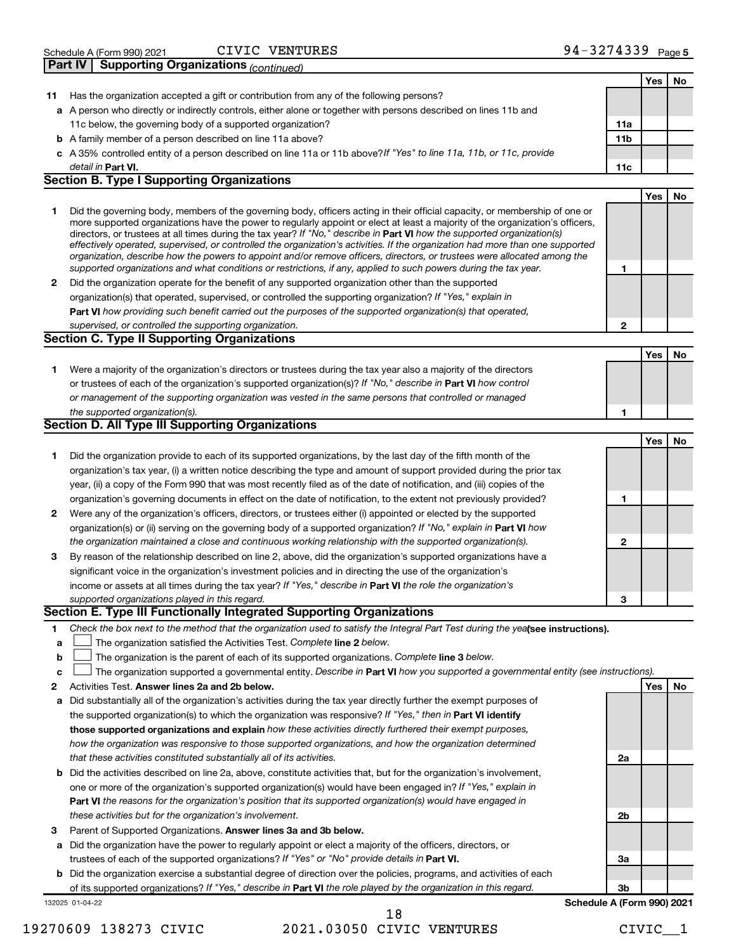| Schedule A (Form 990) 2021                            | <b>VENTURES</b><br>CIVIC | 94-3274339 $_{Page 5}$ |  |
|-------------------------------------------------------|--------------------------|------------------------|--|
| <b>Part IV   Supporting Organizations (continued)</b> |                          |                        |  |

|    |                                                                                                                                                                                                                                                            |                        | Yes        | No |
|----|------------------------------------------------------------------------------------------------------------------------------------------------------------------------------------------------------------------------------------------------------------|------------------------|------------|----|
| 11 | Has the organization accepted a gift or contribution from any of the following persons?                                                                                                                                                                    |                        |            |    |
|    | a A person who directly or indirectly controls, either alone or together with persons described on lines 11b and                                                                                                                                           |                        |            |    |
|    | 11c below, the governing body of a supported organization?                                                                                                                                                                                                 | 11a<br>11 <sub>b</sub> |            |    |
|    | <b>b</b> A family member of a person described on line 11a above?                                                                                                                                                                                          |                        |            |    |
|    | c A 35% controlled entity of a person described on line 11a or 11b above?If "Yes" to line 11a, 11b, or 11c, provide                                                                                                                                        | 11c                    |            |    |
|    | detail in <b>Part VI.</b><br><b>Section B. Type I Supporting Organizations</b>                                                                                                                                                                             |                        |            |    |
|    |                                                                                                                                                                                                                                                            |                        | Yes        | No |
| 1  | Did the governing body, members of the governing body, officers acting in their official capacity, or membership of one or                                                                                                                                 |                        |            |    |
|    | more supported organizations have the power to regularly appoint or elect at least a majority of the organization's officers,                                                                                                                              |                        |            |    |
|    | directors, or trustees at all times during the tax year? If "No," describe in Part VI how the supported organization(s)                                                                                                                                    |                        |            |    |
|    | effectively operated, supervised, or controlled the organization's activities. If the organization had more than one supported<br>organization, describe how the powers to appoint and/or remove officers, directors, or trustees were allocated among the |                        |            |    |
|    | supported organizations and what conditions or restrictions, if any, applied to such powers during the tax year.                                                                                                                                           | 1                      |            |    |
| 2  | Did the organization operate for the benefit of any supported organization other than the supported                                                                                                                                                        |                        |            |    |
|    | organization(s) that operated, supervised, or controlled the supporting organization? If "Yes," explain in                                                                                                                                                 |                        |            |    |
|    | Part VI how providing such benefit carried out the purposes of the supported organization(s) that operated,                                                                                                                                                |                        |            |    |
|    | supervised, or controlled the supporting organization.                                                                                                                                                                                                     | $\mathbf{2}$           |            |    |
|    | <b>Section C. Type II Supporting Organizations</b>                                                                                                                                                                                                         |                        |            |    |
|    |                                                                                                                                                                                                                                                            |                        | <b>Yes</b> | No |
| 1  | Were a majority of the organization's directors or trustees during the tax year also a majority of the directors                                                                                                                                           |                        |            |    |
|    | or trustees of each of the organization's supported organization(s)? If "No," describe in Part VI how control                                                                                                                                              |                        |            |    |
|    | or management of the supporting organization was vested in the same persons that controlled or managed                                                                                                                                                     |                        |            |    |
|    | the supported organization(s).                                                                                                                                                                                                                             | 1                      |            |    |
|    | Section D. All Type III Supporting Organizations                                                                                                                                                                                                           |                        |            |    |
|    |                                                                                                                                                                                                                                                            |                        | Yes        | No |
| 1  | Did the organization provide to each of its supported organizations, by the last day of the fifth month of the                                                                                                                                             |                        |            |    |
|    | organization's tax year, (i) a written notice describing the type and amount of support provided during the prior tax                                                                                                                                      |                        |            |    |
|    | year, (ii) a copy of the Form 990 that was most recently filed as of the date of notification, and (iii) copies of the                                                                                                                                     |                        |            |    |
|    | organization's governing documents in effect on the date of notification, to the extent not previously provided?                                                                                                                                           | 1                      |            |    |
| 2  | Were any of the organization's officers, directors, or trustees either (i) appointed or elected by the supported                                                                                                                                           |                        |            |    |
|    | organization(s) or (ii) serving on the governing body of a supported organization? If "No," explain in <b>Part VI</b> how                                                                                                                                  |                        |            |    |
|    | the organization maintained a close and continuous working relationship with the supported organization(s).                                                                                                                                                | $\mathbf{2}$           |            |    |
| 3  | By reason of the relationship described on line 2, above, did the organization's supported organizations have a                                                                                                                                            |                        |            |    |
|    | significant voice in the organization's investment policies and in directing the use of the organization's                                                                                                                                                 |                        |            |    |
|    | income or assets at all times during the tax year? If "Yes," describe in Part VI the role the organization's                                                                                                                                               |                        |            |    |
|    | supported organizations played in this regard.                                                                                                                                                                                                             | 3                      |            |    |
|    | Section E. Type III Functionally Integrated Supporting Organizations                                                                                                                                                                                       |                        |            |    |
| 1  | Check the box next to the method that the organization used to satisfy the Integral Part Test during the yealsee instructions).                                                                                                                            |                        |            |    |
| a  | The organization satisfied the Activities Test. Complete line 2 below.                                                                                                                                                                                     |                        |            |    |
| b  | The organization is the parent of each of its supported organizations. Complete line 3 below.                                                                                                                                                              |                        |            |    |
| с  | The organization supported a governmental entity. Describe in Part VI how you supported a governmental entity (see instructions).                                                                                                                          |                        |            |    |
| 2  | Activities Test. Answer lines 2a and 2b below.                                                                                                                                                                                                             |                        | Yes        | No |
| а  | Did substantially all of the organization's activities during the tax year directly further the exempt purposes of                                                                                                                                         |                        |            |    |
|    | the supported organization(s) to which the organization was responsive? If "Yes," then in Part VI identify                                                                                                                                                 |                        |            |    |
|    | those supported organizations and explain how these activities directly furthered their exempt purposes,                                                                                                                                                   |                        |            |    |
|    | how the organization was responsive to those supported organizations, and how the organization determined                                                                                                                                                  |                        |            |    |
|    | that these activities constituted substantially all of its activities.                                                                                                                                                                                     | 2a                     |            |    |
| b  | Did the activities described on line 2a, above, constitute activities that, but for the organization's involvement,                                                                                                                                        |                        |            |    |
|    | one or more of the organization's supported organization(s) would have been engaged in? If "Yes," explain in                                                                                                                                               |                        |            |    |
|    | Part VI the reasons for the organization's position that its supported organization(s) would have engaged in                                                                                                                                               |                        |            |    |
|    | these activities but for the organization's involvement.                                                                                                                                                                                                   | 2b                     |            |    |
| З  | Parent of Supported Organizations. Answer lines 3a and 3b below.                                                                                                                                                                                           |                        |            |    |
| a  | Did the organization have the power to regularly appoint or elect a majority of the officers, directors, or                                                                                                                                                |                        |            |    |
|    | trustees of each of the supported organizations? If "Yes" or "No" provide details in Part VI.                                                                                                                                                              | За                     |            |    |
| b  | Did the organization exercise a substantial degree of direction over the policies, programs, and activities of each                                                                                                                                        |                        |            |    |
|    | of its supported organizations? If "Yes," describe in Part VI the role played by the organization in this regard.                                                                                                                                          | 3b                     |            |    |

132025 01-04-22

# 19270609 138273 CIVIC 2021.03050 CIVIC VENTURES CIVIC\_\_1 18

**Schedule A (Form 990) 2021**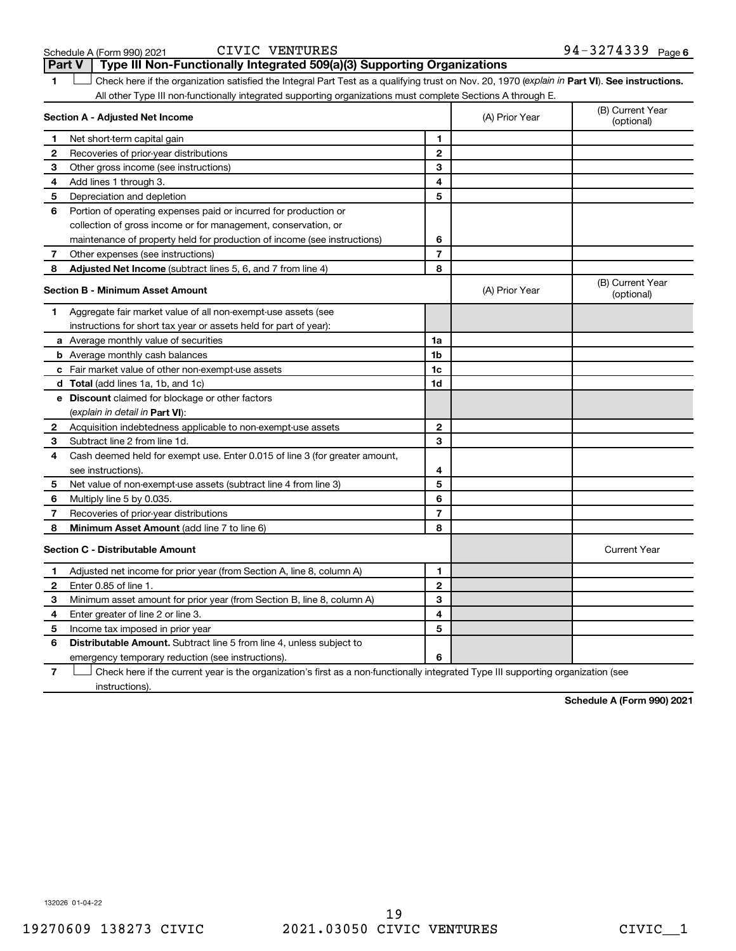| Schedule A (Form 990) 202 |  |  |
|---------------------------|--|--|
|---------------------------|--|--|

| Schedule A (Form 990) 2021 | CIVIC VENTURES | $94 - 3274339$ Page 6 |
|----------------------------|----------------|-----------------------|
|----------------------------|----------------|-----------------------|

**1 Part VI** See instructions. Check here if the organization satisfied the Integral Part Test as a qualifying trust on Nov. 20, 1970 (explain in Part **VI**). See instructions. **Section A - Adjusted Net Income 1 2 3 4 5 6 7 8 1 2 3 4 5 6 7 Adjusted Net Income** (subtract lines 5, 6, and 7 from line 4) **8 8 Section B - Minimum Asset Amount 1 2 3 4 5 6 7 8 a** Average monthly value of securities **b** Average monthly cash balances **c** Fair market value of other non-exempt-use assets **d Total**  (add lines 1a, 1b, and 1c) **e Discount** claimed for blockage or other factors **1a 1b 1c 1d 2 3 4 5 6 7 8** (explain in detail in Part VI): **Minimum Asset Amount**  (add line 7 to line 6) **Section C - Distributable Amount 1 2 3 4 5 6 1 2 3 4 5 6** Distributable Amount. Subtract line 5 from line 4, unless subject to All other Type III non-functionally integrated supporting organizations must complete Sections A through E. (B) Current Year (A) Prior Year Net short-term capital gain Recoveries of prior-year distributions Other gross income (see instructions) Add lines 1 through 3. Depreciation and depletion Portion of operating expenses paid or incurred for production or collection of gross income or for management, conservation, or maintenance of property held for production of income (see instructions) Other expenses (see instructions) (B) Current Year  $(A)$  Prior Year  $\left\{\n\begin{array}{ccc}\n\downarrow & \downarrow \\
\downarrow & \downarrow\n\end{array}\n\right.$  (optional) Aggregate fair market value of all non-exempt-use assets (see instructions for short tax year or assets held for part of year): Acquisition indebtedness applicable to non-exempt-use assets Subtract line 2 from line 1d. Cash deemed held for exempt use. Enter 0.015 of line 3 (for greater amount, see instructions). Net value of non-exempt-use assets (subtract line 4 from line 3) Multiply line 5 by 0.035. Recoveries of prior-year distributions Current Year Adjusted net income for prior year (from Section A, line 8, column A) Enter 0.85 of line 1. Minimum asset amount for prior year (from Section B, line 8, column A) Enter greater of line 2 or line 3. Income tax imposed in prior year emergency temporary reduction (see instructions). **Part V** Type III Non-Functionally Integrated 509(a)(3) Supporting Organizations  $\mathbf{f}(\mathbf{r})$ 

**7** Check here if the current year is the organization's first as a non-functionally integrated Type III supporting organization (see instructions).

**Schedule A (Form 990) 2021**

132026 01-04-22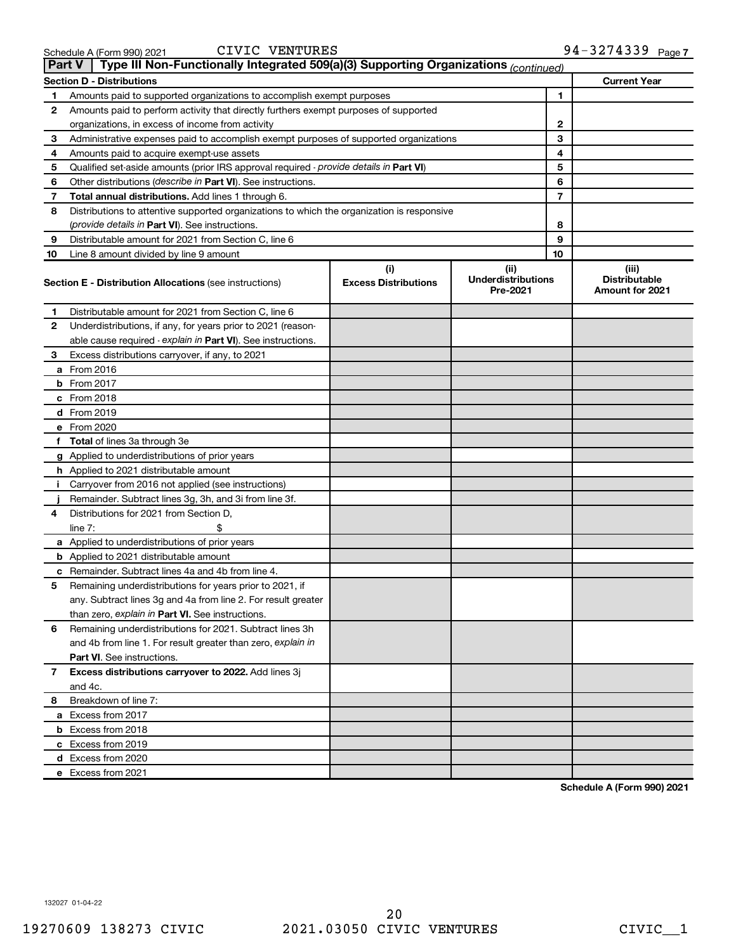| <b>Part V</b> | Type III Non-Functionally Integrated 509(a)(3) Supporting Organizations (continued)        |                                    |                                               |    |                                                  |
|---------------|--------------------------------------------------------------------------------------------|------------------------------------|-----------------------------------------------|----|--------------------------------------------------|
|               | <b>Section D - Distributions</b>                                                           |                                    |                                               |    | <b>Current Year</b>                              |
| 1             | Amounts paid to supported organizations to accomplish exempt purposes                      |                                    |                                               | 1  |                                                  |
| 2             | Amounts paid to perform activity that directly furthers exempt purposes of supported       |                                    |                                               |    |                                                  |
|               | organizations, in excess of income from activity                                           |                                    |                                               | 2  |                                                  |
| 3             | Administrative expenses paid to accomplish exempt purposes of supported organizations      |                                    |                                               | 3  |                                                  |
| 4             | Amounts paid to acquire exempt-use assets                                                  |                                    |                                               | 4  |                                                  |
| 5             | Qualified set-aside amounts (prior IRS approval required - provide details in Part VI)     |                                    |                                               | 5  |                                                  |
| 6             | Other distributions ( <i>describe in Part VI</i> ). See instructions.                      |                                    |                                               | 6  |                                                  |
| 7             | Total annual distributions. Add lines 1 through 6.                                         |                                    |                                               | 7  |                                                  |
| 8             | Distributions to attentive supported organizations to which the organization is responsive |                                    |                                               |    |                                                  |
|               | ( <i>provide details in Part VI</i> ). See instructions.                                   |                                    |                                               | 8  |                                                  |
| 9             | Distributable amount for 2021 from Section C, line 6                                       |                                    |                                               | 9  |                                                  |
| 10            | Line 8 amount divided by line 9 amount                                                     |                                    |                                               | 10 |                                                  |
|               | <b>Section E - Distribution Allocations (see instructions)</b>                             | (i)<br><b>Excess Distributions</b> | (ii)<br><b>Underdistributions</b><br>Pre-2021 |    | (iii)<br><b>Distributable</b><br>Amount for 2021 |
| 1             | Distributable amount for 2021 from Section C, line 6                                       |                                    |                                               |    |                                                  |
| 2             | Underdistributions, if any, for years prior to 2021 (reason-                               |                                    |                                               |    |                                                  |
|               | able cause required - explain in Part VI). See instructions.                               |                                    |                                               |    |                                                  |
| 3             | Excess distributions carryover, if any, to 2021                                            |                                    |                                               |    |                                                  |
|               | a From 2016                                                                                |                                    |                                               |    |                                                  |
|               | <b>b</b> From 2017                                                                         |                                    |                                               |    |                                                  |
|               | c From 2018                                                                                |                                    |                                               |    |                                                  |
|               | d From 2019                                                                                |                                    |                                               |    |                                                  |
|               | e From 2020                                                                                |                                    |                                               |    |                                                  |
|               | f Total of lines 3a through 3e                                                             |                                    |                                               |    |                                                  |
|               | g Applied to underdistributions of prior years                                             |                                    |                                               |    |                                                  |
|               | <b>h</b> Applied to 2021 distributable amount                                              |                                    |                                               |    |                                                  |
| I.            | Carryover from 2016 not applied (see instructions)                                         |                                    |                                               |    |                                                  |
|               | Remainder. Subtract lines 3g, 3h, and 3i from line 3f.                                     |                                    |                                               |    |                                                  |
| 4             | Distributions for 2021 from Section D,                                                     |                                    |                                               |    |                                                  |
|               | line $7:$                                                                                  |                                    |                                               |    |                                                  |
|               | a Applied to underdistributions of prior years                                             |                                    |                                               |    |                                                  |
|               | <b>b</b> Applied to 2021 distributable amount                                              |                                    |                                               |    |                                                  |
|               | c Remainder. Subtract lines 4a and 4b from line 4.                                         |                                    |                                               |    |                                                  |
| 5             | Remaining underdistributions for years prior to 2021, if                                   |                                    |                                               |    |                                                  |
|               | any. Subtract lines 3g and 4a from line 2. For result greater                              |                                    |                                               |    |                                                  |
|               | than zero, explain in Part VI. See instructions.                                           |                                    |                                               |    |                                                  |
| 6             | Remaining underdistributions for 2021. Subtract lines 3h                                   |                                    |                                               |    |                                                  |
|               | and 4b from line 1. For result greater than zero, explain in                               |                                    |                                               |    |                                                  |
|               | <b>Part VI.</b> See instructions.                                                          |                                    |                                               |    |                                                  |
| 7             | Excess distributions carryover to 2022. Add lines 3j                                       |                                    |                                               |    |                                                  |
|               | and 4c.                                                                                    |                                    |                                               |    |                                                  |
| 8             | Breakdown of line 7:                                                                       |                                    |                                               |    |                                                  |
|               | a Excess from 2017                                                                         |                                    |                                               |    |                                                  |
|               | <b>b</b> Excess from 2018                                                                  |                                    |                                               |    |                                                  |
|               | c Excess from 2019                                                                         |                                    |                                               |    |                                                  |
|               | d Excess from 2020                                                                         |                                    |                                               |    |                                                  |
|               | e Excess from 2021                                                                         |                                    |                                               |    |                                                  |

**Schedule A (Form 990) 2021**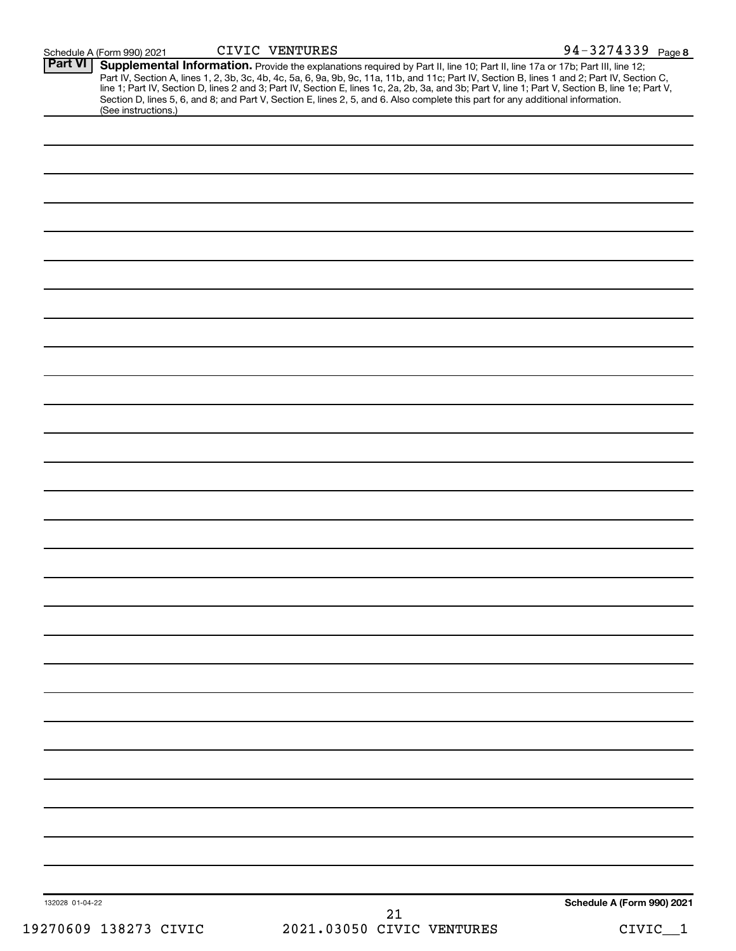| (See instructions.)   | Part IV, Section A, lines 1, 2, 3b, 3c, 4b, 4c, 5a, 6, 9a, 9b, 9c, 11a, 11b, and 11c; Part IV, Section B, lines 1 and 2; Part IV, Section C, line 1; Part IV, Section D, lines 2 and 3; Part IV, Section E, lines 1c, 2a, 2b,<br>Section D, lines 5, 6, and 8; and Part V, Section E, lines 2, 5, and 6. Also complete this part for any additional information. |                            |
|-----------------------|------------------------------------------------------------------------------------------------------------------------------------------------------------------------------------------------------------------------------------------------------------------------------------------------------------------------------------------------------------------|----------------------------|
|                       |                                                                                                                                                                                                                                                                                                                                                                  |                            |
|                       |                                                                                                                                                                                                                                                                                                                                                                  |                            |
|                       |                                                                                                                                                                                                                                                                                                                                                                  |                            |
|                       |                                                                                                                                                                                                                                                                                                                                                                  |                            |
|                       |                                                                                                                                                                                                                                                                                                                                                                  |                            |
|                       |                                                                                                                                                                                                                                                                                                                                                                  |                            |
|                       |                                                                                                                                                                                                                                                                                                                                                                  |                            |
|                       |                                                                                                                                                                                                                                                                                                                                                                  |                            |
|                       |                                                                                                                                                                                                                                                                                                                                                                  |                            |
|                       |                                                                                                                                                                                                                                                                                                                                                                  |                            |
|                       |                                                                                                                                                                                                                                                                                                                                                                  |                            |
|                       |                                                                                                                                                                                                                                                                                                                                                                  |                            |
|                       |                                                                                                                                                                                                                                                                                                                                                                  |                            |
|                       |                                                                                                                                                                                                                                                                                                                                                                  |                            |
|                       |                                                                                                                                                                                                                                                                                                                                                                  |                            |
|                       |                                                                                                                                                                                                                                                                                                                                                                  |                            |
|                       |                                                                                                                                                                                                                                                                                                                                                                  |                            |
|                       |                                                                                                                                                                                                                                                                                                                                                                  |                            |
|                       |                                                                                                                                                                                                                                                                                                                                                                  |                            |
|                       |                                                                                                                                                                                                                                                                                                                                                                  |                            |
|                       |                                                                                                                                                                                                                                                                                                                                                                  |                            |
|                       |                                                                                                                                                                                                                                                                                                                                                                  |                            |
|                       |                                                                                                                                                                                                                                                                                                                                                                  |                            |
|                       |                                                                                                                                                                                                                                                                                                                                                                  |                            |
|                       |                                                                                                                                                                                                                                                                                                                                                                  |                            |
|                       |                                                                                                                                                                                                                                                                                                                                                                  |                            |
|                       |                                                                                                                                                                                                                                                                                                                                                                  |                            |
|                       |                                                                                                                                                                                                                                                                                                                                                                  |                            |
|                       |                                                                                                                                                                                                                                                                                                                                                                  |                            |
|                       |                                                                                                                                                                                                                                                                                                                                                                  |                            |
|                       |                                                                                                                                                                                                                                                                                                                                                                  |                            |
|                       |                                                                                                                                                                                                                                                                                                                                                                  |                            |
|                       |                                                                                                                                                                                                                                                                                                                                                                  |                            |
|                       |                                                                                                                                                                                                                                                                                                                                                                  |                            |
|                       |                                                                                                                                                                                                                                                                                                                                                                  |                            |
|                       |                                                                                                                                                                                                                                                                                                                                                                  |                            |
|                       |                                                                                                                                                                                                                                                                                                                                                                  |                            |
|                       |                                                                                                                                                                                                                                                                                                                                                                  |                            |
|                       |                                                                                                                                                                                                                                                                                                                                                                  |                            |
|                       |                                                                                                                                                                                                                                                                                                                                                                  |                            |
|                       |                                                                                                                                                                                                                                                                                                                                                                  |                            |
|                       |                                                                                                                                                                                                                                                                                                                                                                  |                            |
|                       |                                                                                                                                                                                                                                                                                                                                                                  |                            |
|                       |                                                                                                                                                                                                                                                                                                                                                                  |                            |
|                       |                                                                                                                                                                                                                                                                                                                                                                  | Schedule A (Form 990) 2021 |
| 132028 01-04-22       | 21                                                                                                                                                                                                                                                                                                                                                               |                            |
| 19270609 138273 CIVIC | 2021.03050 CIVIC VENTURES                                                                                                                                                                                                                                                                                                                                        | $CIVIC_1$                  |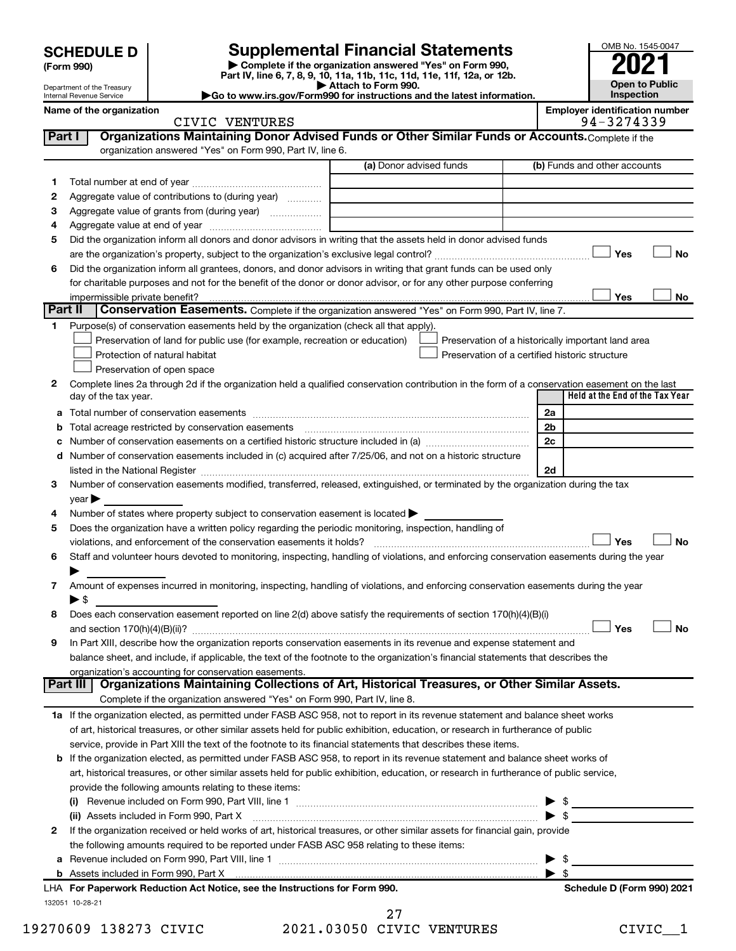| <b>SCHEDULE D</b> |  |
|-------------------|--|
|-------------------|--|

Department of the Treasury Internal Revenue Service

| (Form 990) |  |
|------------|--|
|------------|--|

# **SCHEDULE D Supplemental Financial Statements**<br>(Form 990) **2021**<br>**and We also the State organization assessed "Yes" on Form 990, 2021**

**| Complete if the organization answered "Yes" on Form 990, Part IV, line 6, 7, 8, 9, 10, 11a, 11b, 11c, 11d, 11e, 11f, 12a, or 12b.**

**| Attach to Form 990. |Go to www.irs.gov/Form990 for instructions and the latest information.**

| <b>Employer identification nun</b> |         |  |
|------------------------------------|---------|--|
|                                    | 0001000 |  |

|         | Name of the organization<br>CIVIC VENTURES                                                                                                     |                         |  | <b>Employer identification number</b><br>94-3274339 |           |
|---------|------------------------------------------------------------------------------------------------------------------------------------------------|-------------------------|--|-----------------------------------------------------|-----------|
| Part I  | Organizations Maintaining Donor Advised Funds or Other Similar Funds or Accounts. Complete if the                                              |                         |  |                                                     |           |
|         | organization answered "Yes" on Form 990, Part IV, line 6.                                                                                      |                         |  |                                                     |           |
|         |                                                                                                                                                | (a) Donor advised funds |  | (b) Funds and other accounts                        |           |
| 1.      |                                                                                                                                                |                         |  |                                                     |           |
| 2       | Aggregate value of contributions to (during year)                                                                                              |                         |  |                                                     |           |
| З       | Aggregate value of grants from (during year)                                                                                                   |                         |  |                                                     |           |
| 4       |                                                                                                                                                |                         |  |                                                     |           |
| 5       | Did the organization inform all donors and donor advisors in writing that the assets held in donor advised funds                               |                         |  |                                                     |           |
|         |                                                                                                                                                |                         |  | Yes                                                 | No        |
| 6       | Did the organization inform all grantees, donors, and donor advisors in writing that grant funds can be used only                              |                         |  |                                                     |           |
|         | for charitable purposes and not for the benefit of the donor or donor advisor, or for any other purpose conferring                             |                         |  |                                                     |           |
|         | impermissible private benefit?                                                                                                                 |                         |  | Yes                                                 | No        |
| Part II | Conservation Easements. Complete if the organization answered "Yes" on Form 990, Part IV, line 7.                                              |                         |  |                                                     |           |
| 1.      | Purpose(s) of conservation easements held by the organization (check all that apply).                                                          |                         |  |                                                     |           |
|         | Preservation of land for public use (for example, recreation or education)                                                                     |                         |  | Preservation of a historically important land area  |           |
|         | Protection of natural habitat                                                                                                                  |                         |  | Preservation of a certified historic structure      |           |
|         | Preservation of open space                                                                                                                     |                         |  |                                                     |           |
| 2       | Complete lines 2a through 2d if the organization held a qualified conservation contribution in the form of a conservation easement on the last |                         |  |                                                     |           |
|         | day of the tax year.                                                                                                                           |                         |  | Held at the End of the Tax Year                     |           |
| а       |                                                                                                                                                |                         |  | 2a                                                  |           |
| b       |                                                                                                                                                |                         |  | 2b                                                  |           |
| с       |                                                                                                                                                |                         |  | 2c                                                  |           |
|         | d Number of conservation easements included in (c) acquired after 7/25/06, and not on a historic structure                                     |                         |  |                                                     |           |
|         |                                                                                                                                                |                         |  | 2d                                                  |           |
| 3       | Number of conservation easements modified, transferred, released, extinguished, or terminated by the organization during the tax               |                         |  |                                                     |           |
|         | year                                                                                                                                           |                         |  |                                                     |           |
| 4       | Number of states where property subject to conservation easement is located $\blacktriangleright$                                              |                         |  |                                                     |           |
| 5       | Does the organization have a written policy regarding the periodic monitoring, inspection, handling of                                         |                         |  |                                                     |           |
|         |                                                                                                                                                |                         |  | Yes                                                 | <b>No</b> |
| 6       | Staff and volunteer hours devoted to monitoring, inspecting, handling of violations, and enforcing conservation easements during the year      |                         |  |                                                     |           |
|         |                                                                                                                                                |                         |  |                                                     |           |
| 7       | Amount of expenses incurred in monitoring, inspecting, handling of violations, and enforcing conservation easements during the year            |                         |  |                                                     |           |
|         | $\blacktriangleright$ \$                                                                                                                       |                         |  |                                                     |           |
| 8       | Does each conservation easement reported on line $2(d)$ above satisfy the requirements of section 170(h)(4)(B)(i)                              |                         |  |                                                     |           |
|         |                                                                                                                                                |                         |  | Yes                                                 | No        |
| 9       | In Part XIII, describe how the organization reports conservation easements in its revenue and expense statement and                            |                         |  |                                                     |           |
|         | balance sheet, and include, if applicable, the text of the footnote to the organization's financial statements that describes the              |                         |  |                                                     |           |
|         | organization's accounting for conservation easements.                                                                                          |                         |  |                                                     |           |
|         | Organizations Maintaining Collections of Art, Historical Treasures, or Other Similar Assets.<br>Part III                                       |                         |  |                                                     |           |
|         | Complete if the organization answered "Yes" on Form 990, Part IV, line 8.                                                                      |                         |  |                                                     |           |
|         | 1a If the organization elected, as permitted under FASB ASC 958, not to report in its revenue statement and balance sheet works                |                         |  |                                                     |           |
|         | of art, historical treasures, or other similar assets held for public exhibition, education, or research in furtherance of public              |                         |  |                                                     |           |
|         | service, provide in Part XIII the text of the footnote to its financial statements that describes these items.                                 |                         |  |                                                     |           |
|         | <b>b</b> If the organization elected, as permitted under FASB ASC 958, to report in its revenue statement and balance sheet works of           |                         |  |                                                     |           |
|         | art, historical treasures, or other similar assets held for public exhibition, education, or research in furtherance of public service,        |                         |  |                                                     |           |
|         | provide the following amounts relating to these items:                                                                                         |                         |  |                                                     |           |
|         |                                                                                                                                                |                         |  | $\triangleright$ \$                                 |           |
|         | (ii) Assets included in Form 990, Part X [11] [2000] [2010] Assets included in Form 990, Part X [11] [11] [200                                 |                         |  | $\blacktriangleright$ s                             |           |
| 2       | If the organization received or held works of art, historical treasures, or other similar assets for financial gain, provide                   |                         |  |                                                     |           |
|         | the following amounts required to be reported under FASB ASC 958 relating to these items:                                                      |                         |  |                                                     |           |
|         |                                                                                                                                                |                         |  | - \$                                                |           |
|         | LHA For Paperwork Reduction Act Notice, see the Instructions for Form 990.                                                                     |                         |  | -\$<br>►                                            |           |
|         |                                                                                                                                                |                         |  | Schedule D (Form 990) 2021                          |           |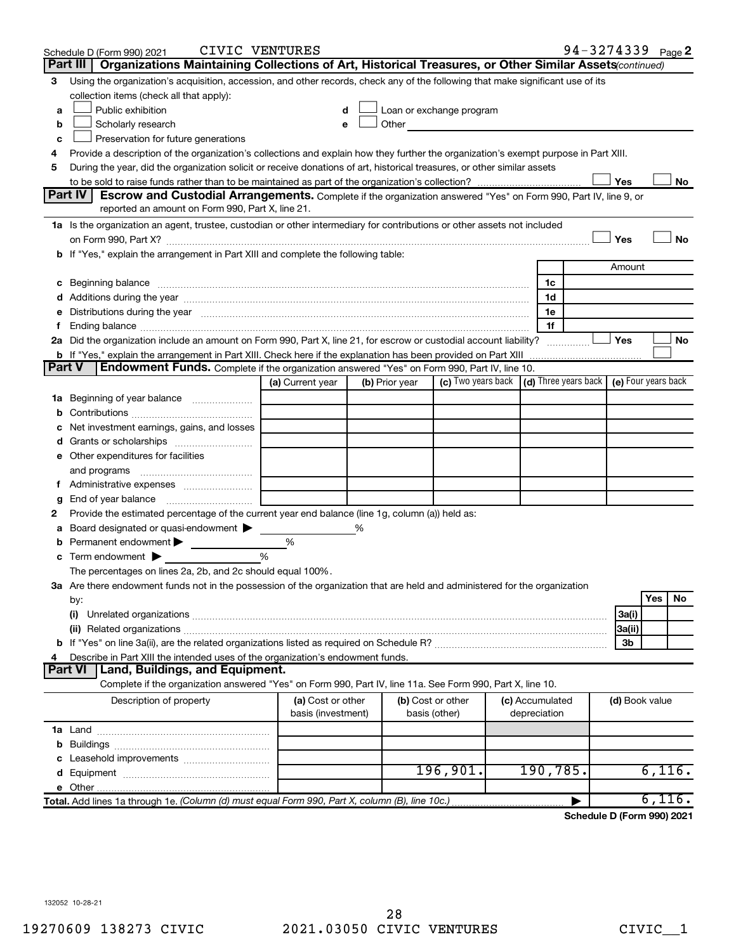| 3                                                                                                                                                                                                                                                                                                                                                                                                                                                                                                                                                                                                                                                                                                                                                                                                                                                                                                                                                                                                                                                                                                                                                                                                                                                                                                                                                                                                                                                                                                                                                                                                                                                                                                                                                                                                                                                                                                                                                                                                                                                                                                                                                                                                                                                                                                                                                                                                                                                                                                                                                                                                                                                                                                                                                                                                                                                                                                                                                                                                                                                                                                                                                                                                                                                                                                                                                                                                                   |                                          |                  |  |  |  |     |  |    |
|---------------------------------------------------------------------------------------------------------------------------------------------------------------------------------------------------------------------------------------------------------------------------------------------------------------------------------------------------------------------------------------------------------------------------------------------------------------------------------------------------------------------------------------------------------------------------------------------------------------------------------------------------------------------------------------------------------------------------------------------------------------------------------------------------------------------------------------------------------------------------------------------------------------------------------------------------------------------------------------------------------------------------------------------------------------------------------------------------------------------------------------------------------------------------------------------------------------------------------------------------------------------------------------------------------------------------------------------------------------------------------------------------------------------------------------------------------------------------------------------------------------------------------------------------------------------------------------------------------------------------------------------------------------------------------------------------------------------------------------------------------------------------------------------------------------------------------------------------------------------------------------------------------------------------------------------------------------------------------------------------------------------------------------------------------------------------------------------------------------------------------------------------------------------------------------------------------------------------------------------------------------------------------------------------------------------------------------------------------------------------------------------------------------------------------------------------------------------------------------------------------------------------------------------------------------------------------------------------------------------------------------------------------------------------------------------------------------------------------------------------------------------------------------------------------------------------------------------------------------------------------------------------------------------------------------------------------------------------------------------------------------------------------------------------------------------------------------------------------------------------------------------------------------------------------------------------------------------------------------------------------------------------------------------------------------------------------------------------------------------------------------------------------------------|------------------------------------------|------------------|--|--|--|-----|--|----|
|                                                                                                                                                                                                                                                                                                                                                                                                                                                                                                                                                                                                                                                                                                                                                                                                                                                                                                                                                                                                                                                                                                                                                                                                                                                                                                                                                                                                                                                                                                                                                                                                                                                                                                                                                                                                                                                                                                                                                                                                                                                                                                                                                                                                                                                                                                                                                                                                                                                                                                                                                                                                                                                                                                                                                                                                                                                                                                                                                                                                                                                                                                                                                                                                                                                                                                                                                                                                                     | collection items (check all that apply): |                  |  |  |  |     |  |    |
| a                                                                                                                                                                                                                                                                                                                                                                                                                                                                                                                                                                                                                                                                                                                                                                                                                                                                                                                                                                                                                                                                                                                                                                                                                                                                                                                                                                                                                                                                                                                                                                                                                                                                                                                                                                                                                                                                                                                                                                                                                                                                                                                                                                                                                                                                                                                                                                                                                                                                                                                                                                                                                                                                                                                                                                                                                                                                                                                                                                                                                                                                                                                                                                                                                                                                                                                                                                                                                   | Public exhibition                        |                  |  |  |  |     |  |    |
| b                                                                                                                                                                                                                                                                                                                                                                                                                                                                                                                                                                                                                                                                                                                                                                                                                                                                                                                                                                                                                                                                                                                                                                                                                                                                                                                                                                                                                                                                                                                                                                                                                                                                                                                                                                                                                                                                                                                                                                                                                                                                                                                                                                                                                                                                                                                                                                                                                                                                                                                                                                                                                                                                                                                                                                                                                                                                                                                                                                                                                                                                                                                                                                                                                                                                                                                                                                                                                   | Scholarly research                       |                  |  |  |  |     |  |    |
| с                                                                                                                                                                                                                                                                                                                                                                                                                                                                                                                                                                                                                                                                                                                                                                                                                                                                                                                                                                                                                                                                                                                                                                                                                                                                                                                                                                                                                                                                                                                                                                                                                                                                                                                                                                                                                                                                                                                                                                                                                                                                                                                                                                                                                                                                                                                                                                                                                                                                                                                                                                                                                                                                                                                                                                                                                                                                                                                                                                                                                                                                                                                                                                                                                                                                                                                                                                                                                   | Preservation for future generations      |                  |  |  |  |     |  |    |
| 4                                                                                                                                                                                                                                                                                                                                                                                                                                                                                                                                                                                                                                                                                                                                                                                                                                                                                                                                                                                                                                                                                                                                                                                                                                                                                                                                                                                                                                                                                                                                                                                                                                                                                                                                                                                                                                                                                                                                                                                                                                                                                                                                                                                                                                                                                                                                                                                                                                                                                                                                                                                                                                                                                                                                                                                                                                                                                                                                                                                                                                                                                                                                                                                                                                                                                                                                                                                                                   |                                          |                  |  |  |  |     |  |    |
| 5                                                                                                                                                                                                                                                                                                                                                                                                                                                                                                                                                                                                                                                                                                                                                                                                                                                                                                                                                                                                                                                                                                                                                                                                                                                                                                                                                                                                                                                                                                                                                                                                                                                                                                                                                                                                                                                                                                                                                                                                                                                                                                                                                                                                                                                                                                                                                                                                                                                                                                                                                                                                                                                                                                                                                                                                                                                                                                                                                                                                                                                                                                                                                                                                                                                                                                                                                                                                                   |                                          |                  |  |  |  |     |  |    |
|                                                                                                                                                                                                                                                                                                                                                                                                                                                                                                                                                                                                                                                                                                                                                                                                                                                                                                                                                                                                                                                                                                                                                                                                                                                                                                                                                                                                                                                                                                                                                                                                                                                                                                                                                                                                                                                                                                                                                                                                                                                                                                                                                                                                                                                                                                                                                                                                                                                                                                                                                                                                                                                                                                                                                                                                                                                                                                                                                                                                                                                                                                                                                                                                                                                                                                                                                                                                                     |                                          |                  |  |  |  |     |  | No |
|                                                                                                                                                                                                                                                                                                                                                                                                                                                                                                                                                                                                                                                                                                                                                                                                                                                                                                                                                                                                                                                                                                                                                                                                                                                                                                                                                                                                                                                                                                                                                                                                                                                                                                                                                                                                                                                                                                                                                                                                                                                                                                                                                                                                                                                                                                                                                                                                                                                                                                                                                                                                                                                                                                                                                                                                                                                                                                                                                                                                                                                                                                                                                                                                                                                                                                                                                                                                                     |                                          |                  |  |  |  |     |  |    |
|                                                                                                                                                                                                                                                                                                                                                                                                                                                                                                                                                                                                                                                                                                                                                                                                                                                                                                                                                                                                                                                                                                                                                                                                                                                                                                                                                                                                                                                                                                                                                                                                                                                                                                                                                                                                                                                                                                                                                                                                                                                                                                                                                                                                                                                                                                                                                                                                                                                                                                                                                                                                                                                                                                                                                                                                                                                                                                                                                                                                                                                                                                                                                                                                                                                                                                                                                                                                                     |                                          |                  |  |  |  |     |  |    |
|                                                                                                                                                                                                                                                                                                                                                                                                                                                                                                                                                                                                                                                                                                                                                                                                                                                                                                                                                                                                                                                                                                                                                                                                                                                                                                                                                                                                                                                                                                                                                                                                                                                                                                                                                                                                                                                                                                                                                                                                                                                                                                                                                                                                                                                                                                                                                                                                                                                                                                                                                                                                                                                                                                                                                                                                                                                                                                                                                                                                                                                                                                                                                                                                                                                                                                                                                                                                                     |                                          |                  |  |  |  |     |  |    |
|                                                                                                                                                                                                                                                                                                                                                                                                                                                                                                                                                                                                                                                                                                                                                                                                                                                                                                                                                                                                                                                                                                                                                                                                                                                                                                                                                                                                                                                                                                                                                                                                                                                                                                                                                                                                                                                                                                                                                                                                                                                                                                                                                                                                                                                                                                                                                                                                                                                                                                                                                                                                                                                                                                                                                                                                                                                                                                                                                                                                                                                                                                                                                                                                                                                                                                                                                                                                                     |                                          |                  |  |  |  |     |  |    |
|                                                                                                                                                                                                                                                                                                                                                                                                                                                                                                                                                                                                                                                                                                                                                                                                                                                                                                                                                                                                                                                                                                                                                                                                                                                                                                                                                                                                                                                                                                                                                                                                                                                                                                                                                                                                                                                                                                                                                                                                                                                                                                                                                                                                                                                                                                                                                                                                                                                                                                                                                                                                                                                                                                                                                                                                                                                                                                                                                                                                                                                                                                                                                                                                                                                                                                                                                                                                                     |                                          |                  |  |  |  |     |  |    |
|                                                                                                                                                                                                                                                                                                                                                                                                                                                                                                                                                                                                                                                                                                                                                                                                                                                                                                                                                                                                                                                                                                                                                                                                                                                                                                                                                                                                                                                                                                                                                                                                                                                                                                                                                                                                                                                                                                                                                                                                                                                                                                                                                                                                                                                                                                                                                                                                                                                                                                                                                                                                                                                                                                                                                                                                                                                                                                                                                                                                                                                                                                                                                                                                                                                                                                                                                                                                                     |                                          |                  |  |  |  |     |  |    |
|                                                                                                                                                                                                                                                                                                                                                                                                                                                                                                                                                                                                                                                                                                                                                                                                                                                                                                                                                                                                                                                                                                                                                                                                                                                                                                                                                                                                                                                                                                                                                                                                                                                                                                                                                                                                                                                                                                                                                                                                                                                                                                                                                                                                                                                                                                                                                                                                                                                                                                                                                                                                                                                                                                                                                                                                                                                                                                                                                                                                                                                                                                                                                                                                                                                                                                                                                                                                                     |                                          |                  |  |  |  |     |  |    |
|                                                                                                                                                                                                                                                                                                                                                                                                                                                                                                                                                                                                                                                                                                                                                                                                                                                                                                                                                                                                                                                                                                                                                                                                                                                                                                                                                                                                                                                                                                                                                                                                                                                                                                                                                                                                                                                                                                                                                                                                                                                                                                                                                                                                                                                                                                                                                                                                                                                                                                                                                                                                                                                                                                                                                                                                                                                                                                                                                                                                                                                                                                                                                                                                                                                                                                                                                                                                                     |                                          |                  |  |  |  |     |  |    |
|                                                                                                                                                                                                                                                                                                                                                                                                                                                                                                                                                                                                                                                                                                                                                                                                                                                                                                                                                                                                                                                                                                                                                                                                                                                                                                                                                                                                                                                                                                                                                                                                                                                                                                                                                                                                                                                                                                                                                                                                                                                                                                                                                                                                                                                                                                                                                                                                                                                                                                                                                                                                                                                                                                                                                                                                                                                                                                                                                                                                                                                                                                                                                                                                                                                                                                                                                                                                                     |                                          |                  |  |  |  |     |  |    |
|                                                                                                                                                                                                                                                                                                                                                                                                                                                                                                                                                                                                                                                                                                                                                                                                                                                                                                                                                                                                                                                                                                                                                                                                                                                                                                                                                                                                                                                                                                                                                                                                                                                                                                                                                                                                                                                                                                                                                                                                                                                                                                                                                                                                                                                                                                                                                                                                                                                                                                                                                                                                                                                                                                                                                                                                                                                                                                                                                                                                                                                                                                                                                                                                                                                                                                                                                                                                                     |                                          |                  |  |  |  | Yes |  | No |
|                                                                                                                                                                                                                                                                                                                                                                                                                                                                                                                                                                                                                                                                                                                                                                                                                                                                                                                                                                                                                                                                                                                                                                                                                                                                                                                                                                                                                                                                                                                                                                                                                                                                                                                                                                                                                                                                                                                                                                                                                                                                                                                                                                                                                                                                                                                                                                                                                                                                                                                                                                                                                                                                                                                                                                                                                                                                                                                                                                                                                                                                                                                                                                                                                                                                                                                                                                                                                     |                                          |                  |  |  |  |     |  |    |
|                                                                                                                                                                                                                                                                                                                                                                                                                                                                                                                                                                                                                                                                                                                                                                                                                                                                                                                                                                                                                                                                                                                                                                                                                                                                                                                                                                                                                                                                                                                                                                                                                                                                                                                                                                                                                                                                                                                                                                                                                                                                                                                                                                                                                                                                                                                                                                                                                                                                                                                                                                                                                                                                                                                                                                                                                                                                                                                                                                                                                                                                                                                                                                                                                                                                                                                                                                                                                     |                                          |                  |  |  |  |     |  |    |
|                                                                                                                                                                                                                                                                                                                                                                                                                                                                                                                                                                                                                                                                                                                                                                                                                                                                                                                                                                                                                                                                                                                                                                                                                                                                                                                                                                                                                                                                                                                                                                                                                                                                                                                                                                                                                                                                                                                                                                                                                                                                                                                                                                                                                                                                                                                                                                                                                                                                                                                                                                                                                                                                                                                                                                                                                                                                                                                                                                                                                                                                                                                                                                                                                                                                                                                                                                                                                     |                                          | (a) Current year |  |  |  |     |  |    |
|                                                                                                                                                                                                                                                                                                                                                                                                                                                                                                                                                                                                                                                                                                                                                                                                                                                                                                                                                                                                                                                                                                                                                                                                                                                                                                                                                                                                                                                                                                                                                                                                                                                                                                                                                                                                                                                                                                                                                                                                                                                                                                                                                                                                                                                                                                                                                                                                                                                                                                                                                                                                                                                                                                                                                                                                                                                                                                                                                                                                                                                                                                                                                                                                                                                                                                                                                                                                                     |                                          |                  |  |  |  |     |  |    |
|                                                                                                                                                                                                                                                                                                                                                                                                                                                                                                                                                                                                                                                                                                                                                                                                                                                                                                                                                                                                                                                                                                                                                                                                                                                                                                                                                                                                                                                                                                                                                                                                                                                                                                                                                                                                                                                                                                                                                                                                                                                                                                                                                                                                                                                                                                                                                                                                                                                                                                                                                                                                                                                                                                                                                                                                                                                                                                                                                                                                                                                                                                                                                                                                                                                                                                                                                                                                                     |                                          |                  |  |  |  |     |  |    |
|                                                                                                                                                                                                                                                                                                                                                                                                                                                                                                                                                                                                                                                                                                                                                                                                                                                                                                                                                                                                                                                                                                                                                                                                                                                                                                                                                                                                                                                                                                                                                                                                                                                                                                                                                                                                                                                                                                                                                                                                                                                                                                                                                                                                                                                                                                                                                                                                                                                                                                                                                                                                                                                                                                                                                                                                                                                                                                                                                                                                                                                                                                                                                                                                                                                                                                                                                                                                                     |                                          |                  |  |  |  |     |  |    |
|                                                                                                                                                                                                                                                                                                                                                                                                                                                                                                                                                                                                                                                                                                                                                                                                                                                                                                                                                                                                                                                                                                                                                                                                                                                                                                                                                                                                                                                                                                                                                                                                                                                                                                                                                                                                                                                                                                                                                                                                                                                                                                                                                                                                                                                                                                                                                                                                                                                                                                                                                                                                                                                                                                                                                                                                                                                                                                                                                                                                                                                                                                                                                                                                                                                                                                                                                                                                                     |                                          |                  |  |  |  |     |  |    |
|                                                                                                                                                                                                                                                                                                                                                                                                                                                                                                                                                                                                                                                                                                                                                                                                                                                                                                                                                                                                                                                                                                                                                                                                                                                                                                                                                                                                                                                                                                                                                                                                                                                                                                                                                                                                                                                                                                                                                                                                                                                                                                                                                                                                                                                                                                                                                                                                                                                                                                                                                                                                                                                                                                                                                                                                                                                                                                                                                                                                                                                                                                                                                                                                                                                                                                                                                                                                                     |                                          |                  |  |  |  |     |  |    |
|                                                                                                                                                                                                                                                                                                                                                                                                                                                                                                                                                                                                                                                                                                                                                                                                                                                                                                                                                                                                                                                                                                                                                                                                                                                                                                                                                                                                                                                                                                                                                                                                                                                                                                                                                                                                                                                                                                                                                                                                                                                                                                                                                                                                                                                                                                                                                                                                                                                                                                                                                                                                                                                                                                                                                                                                                                                                                                                                                                                                                                                                                                                                                                                                                                                                                                                                                                                                                     | and programs                             |                  |  |  |  |     |  |    |
|                                                                                                                                                                                                                                                                                                                                                                                                                                                                                                                                                                                                                                                                                                                                                                                                                                                                                                                                                                                                                                                                                                                                                                                                                                                                                                                                                                                                                                                                                                                                                                                                                                                                                                                                                                                                                                                                                                                                                                                                                                                                                                                                                                                                                                                                                                                                                                                                                                                                                                                                                                                                                                                                                                                                                                                                                                                                                                                                                                                                                                                                                                                                                                                                                                                                                                                                                                                                                     |                                          |                  |  |  |  |     |  |    |
| g                                                                                                                                                                                                                                                                                                                                                                                                                                                                                                                                                                                                                                                                                                                                                                                                                                                                                                                                                                                                                                                                                                                                                                                                                                                                                                                                                                                                                                                                                                                                                                                                                                                                                                                                                                                                                                                                                                                                                                                                                                                                                                                                                                                                                                                                                                                                                                                                                                                                                                                                                                                                                                                                                                                                                                                                                                                                                                                                                                                                                                                                                                                                                                                                                                                                                                                                                                                                                   |                                          |                  |  |  |  |     |  |    |
| 2                                                                                                                                                                                                                                                                                                                                                                                                                                                                                                                                                                                                                                                                                                                                                                                                                                                                                                                                                                                                                                                                                                                                                                                                                                                                                                                                                                                                                                                                                                                                                                                                                                                                                                                                                                                                                                                                                                                                                                                                                                                                                                                                                                                                                                                                                                                                                                                                                                                                                                                                                                                                                                                                                                                                                                                                                                                                                                                                                                                                                                                                                                                                                                                                                                                                                                                                                                                                                   |                                          |                  |  |  |  |     |  |    |
| а                                                                                                                                                                                                                                                                                                                                                                                                                                                                                                                                                                                                                                                                                                                                                                                                                                                                                                                                                                                                                                                                                                                                                                                                                                                                                                                                                                                                                                                                                                                                                                                                                                                                                                                                                                                                                                                                                                                                                                                                                                                                                                                                                                                                                                                                                                                                                                                                                                                                                                                                                                                                                                                                                                                                                                                                                                                                                                                                                                                                                                                                                                                                                                                                                                                                                                                                                                                                                   |                                          |                  |  |  |  |     |  |    |
|                                                                                                                                                                                                                                                                                                                                                                                                                                                                                                                                                                                                                                                                                                                                                                                                                                                                                                                                                                                                                                                                                                                                                                                                                                                                                                                                                                                                                                                                                                                                                                                                                                                                                                                                                                                                                                                                                                                                                                                                                                                                                                                                                                                                                                                                                                                                                                                                                                                                                                                                                                                                                                                                                                                                                                                                                                                                                                                                                                                                                                                                                                                                                                                                                                                                                                                                                                                                                     |                                          |                  |  |  |  |     |  |    |
|                                                                                                                                                                                                                                                                                                                                                                                                                                                                                                                                                                                                                                                                                                                                                                                                                                                                                                                                                                                                                                                                                                                                                                                                                                                                                                                                                                                                                                                                                                                                                                                                                                                                                                                                                                                                                                                                                                                                                                                                                                                                                                                                                                                                                                                                                                                                                                                                                                                                                                                                                                                                                                                                                                                                                                                                                                                                                                                                                                                                                                                                                                                                                                                                                                                                                                                                                                                                                     |                                          |                  |  |  |  |     |  |    |
|                                                                                                                                                                                                                                                                                                                                                                                                                                                                                                                                                                                                                                                                                                                                                                                                                                                                                                                                                                                                                                                                                                                                                                                                                                                                                                                                                                                                                                                                                                                                                                                                                                                                                                                                                                                                                                                                                                                                                                                                                                                                                                                                                                                                                                                                                                                                                                                                                                                                                                                                                                                                                                                                                                                                                                                                                                                                                                                                                                                                                                                                                                                                                                                                                                                                                                                                                                                                                     |                                          |                  |  |  |  |     |  |    |
|                                                                                                                                                                                                                                                                                                                                                                                                                                                                                                                                                                                                                                                                                                                                                                                                                                                                                                                                                                                                                                                                                                                                                                                                                                                                                                                                                                                                                                                                                                                                                                                                                                                                                                                                                                                                                                                                                                                                                                                                                                                                                                                                                                                                                                                                                                                                                                                                                                                                                                                                                                                                                                                                                                                                                                                                                                                                                                                                                                                                                                                                                                                                                                                                                                                                                                                                                                                                                     |                                          |                  |  |  |  |     |  | No |
|                                                                                                                                                                                                                                                                                                                                                                                                                                                                                                                                                                                                                                                                                                                                                                                                                                                                                                                                                                                                                                                                                                                                                                                                                                                                                                                                                                                                                                                                                                                                                                                                                                                                                                                                                                                                                                                                                                                                                                                                                                                                                                                                                                                                                                                                                                                                                                                                                                                                                                                                                                                                                                                                                                                                                                                                                                                                                                                                                                                                                                                                                                                                                                                                                                                                                                                                                                                                                     |                                          |                  |  |  |  |     |  |    |
|                                                                                                                                                                                                                                                                                                                                                                                                                                                                                                                                                                                                                                                                                                                                                                                                                                                                                                                                                                                                                                                                                                                                                                                                                                                                                                                                                                                                                                                                                                                                                                                                                                                                                                                                                                                                                                                                                                                                                                                                                                                                                                                                                                                                                                                                                                                                                                                                                                                                                                                                                                                                                                                                                                                                                                                                                                                                                                                                                                                                                                                                                                                                                                                                                                                                                                                                                                                                                     |                                          |                  |  |  |  |     |  |    |
|                                                                                                                                                                                                                                                                                                                                                                                                                                                                                                                                                                                                                                                                                                                                                                                                                                                                                                                                                                                                                                                                                                                                                                                                                                                                                                                                                                                                                                                                                                                                                                                                                                                                                                                                                                                                                                                                                                                                                                                                                                                                                                                                                                                                                                                                                                                                                                                                                                                                                                                                                                                                                                                                                                                                                                                                                                                                                                                                                                                                                                                                                                                                                                                                                                                                                                                                                                                                                     |                                          |                  |  |  |  |     |  |    |
| 4                                                                                                                                                                                                                                                                                                                                                                                                                                                                                                                                                                                                                                                                                                                                                                                                                                                                                                                                                                                                                                                                                                                                                                                                                                                                                                                                                                                                                                                                                                                                                                                                                                                                                                                                                                                                                                                                                                                                                                                                                                                                                                                                                                                                                                                                                                                                                                                                                                                                                                                                                                                                                                                                                                                                                                                                                                                                                                                                                                                                                                                                                                                                                                                                                                                                                                                                                                                                                   |                                          |                  |  |  |  |     |  |    |
|                                                                                                                                                                                                                                                                                                                                                                                                                                                                                                                                                                                                                                                                                                                                                                                                                                                                                                                                                                                                                                                                                                                                                                                                                                                                                                                                                                                                                                                                                                                                                                                                                                                                                                                                                                                                                                                                                                                                                                                                                                                                                                                                                                                                                                                                                                                                                                                                                                                                                                                                                                                                                                                                                                                                                                                                                                                                                                                                                                                                                                                                                                                                                                                                                                                                                                                                                                                                                     |                                          |                  |  |  |  |     |  |    |
|                                                                                                                                                                                                                                                                                                                                                                                                                                                                                                                                                                                                                                                                                                                                                                                                                                                                                                                                                                                                                                                                                                                                                                                                                                                                                                                                                                                                                                                                                                                                                                                                                                                                                                                                                                                                                                                                                                                                                                                                                                                                                                                                                                                                                                                                                                                                                                                                                                                                                                                                                                                                                                                                                                                                                                                                                                                                                                                                                                                                                                                                                                                                                                                                                                                                                                                                                                                                                     |                                          |                  |  |  |  |     |  |    |
|                                                                                                                                                                                                                                                                                                                                                                                                                                                                                                                                                                                                                                                                                                                                                                                                                                                                                                                                                                                                                                                                                                                                                                                                                                                                                                                                                                                                                                                                                                                                                                                                                                                                                                                                                                                                                                                                                                                                                                                                                                                                                                                                                                                                                                                                                                                                                                                                                                                                                                                                                                                                                                                                                                                                                                                                                                                                                                                                                                                                                                                                                                                                                                                                                                                                                                                                                                                                                     | Description of property                  |                  |  |  |  |     |  |    |
|                                                                                                                                                                                                                                                                                                                                                                                                                                                                                                                                                                                                                                                                                                                                                                                                                                                                                                                                                                                                                                                                                                                                                                                                                                                                                                                                                                                                                                                                                                                                                                                                                                                                                                                                                                                                                                                                                                                                                                                                                                                                                                                                                                                                                                                                                                                                                                                                                                                                                                                                                                                                                                                                                                                                                                                                                                                                                                                                                                                                                                                                                                                                                                                                                                                                                                                                                                                                                     |                                          |                  |  |  |  |     |  |    |
|                                                                                                                                                                                                                                                                                                                                                                                                                                                                                                                                                                                                                                                                                                                                                                                                                                                                                                                                                                                                                                                                                                                                                                                                                                                                                                                                                                                                                                                                                                                                                                                                                                                                                                                                                                                                                                                                                                                                                                                                                                                                                                                                                                                                                                                                                                                                                                                                                                                                                                                                                                                                                                                                                                                                                                                                                                                                                                                                                                                                                                                                                                                                                                                                                                                                                                                                                                                                                     |                                          |                  |  |  |  |     |  |    |
| 94-3274339 Page 2<br>CIVIC VENTURES<br>Schedule D (Form 990) 2021<br>Part III   Organizations Maintaining Collections of Art, Historical Treasures, or Other Similar Assets (continued)<br>Using the organization's acquisition, accession, and other records, check any of the following that make significant use of its<br>Loan or exchange program<br>Other and the contract of the contract of the contract of the contract of the contract of the contract of the contract of the contract of the contract of the contract of the contract of the contract of the contract of the<br>Provide a description of the organization's collections and explain how they further the organization's exempt purpose in Part XIII.<br>During the year, did the organization solicit or receive donations of art, historical treasures, or other similar assets<br>Yes<br>Part IV<br>Escrow and Custodial Arrangements. Complete if the organization answered "Yes" on Form 990, Part IV, line 9, or<br>reported an amount on Form 990, Part X, line 21.<br>1a Is the organization an agent, trustee, custodian or other intermediary for contributions or other assets not included<br>Yes<br>No<br>b If "Yes," explain the arrangement in Part XIII and complete the following table:<br>Amount<br>c Beginning balance measurements and the contract of the contract of the contract of the contract of the contract of the contract of the contract of the contract of the contract of the contract of the contract of the contr<br>1c<br>1d<br>e Distributions during the year manufactured and continuum control of the control of the control of the state of the control of the control of the control of the control of the control of the control of the control of the<br>1e<br>1f<br>2a Did the organization include an amount on Form 990, Part X, line 21, for escrow or custodial account liability?<br><b>Part V</b><br><b>Endowment Funds.</b> Complete if the organization answered "Yes" on Form 990, Part IV, line 10.<br>(c) Two years back $\vert$ (d) Three years back $\vert$<br>(e) Four years back<br>(b) Prior year<br><b>1a</b> Beginning of year balance<br>Net investment earnings, gains, and losses<br>e Other expenditures for facilities<br>f Administrative expenses<br>End of year balance <i>manually contained</i><br>Provide the estimated percentage of the current year end balance (line 1g, column (a)) held as:<br>Board designated or quasi-endowment<br>%<br><b>b</b> Permanent endowment $\blacktriangleright$<br>%<br><b>c</b> Term endowment $\blacktriangleright$<br>%<br>The percentages on lines 2a, 2b, and 2c should equal 100%.<br>3a Are there endowment funds not in the possession of the organization that are held and administered for the organization<br><b>Yes</b><br>by:<br>3a(i)<br>(i)<br>3a(ii)<br>3b<br>Describe in Part XIII the intended uses of the organization's endowment funds.<br>Land, Buildings, and Equipment.<br><b>Part VI</b><br>Complete if the organization answered "Yes" on Form 990, Part IV, line 11a. See Form 990, Part X, line 10.<br>(a) Cost or other<br>(b) Cost or other<br>(c) Accumulated<br>(d) Book value<br>basis (investment)<br>depreciation<br>basis (other)<br>196,901.<br>190,785.<br>6,116.<br>6,116.<br>Total. Add lines 1a through 1e. (Column (d) must equal Form 990, Part X, column (B), line 10c.)<br>▶ |                                          |                  |  |  |  |     |  |    |
|                                                                                                                                                                                                                                                                                                                                                                                                                                                                                                                                                                                                                                                                                                                                                                                                                                                                                                                                                                                                                                                                                                                                                                                                                                                                                                                                                                                                                                                                                                                                                                                                                                                                                                                                                                                                                                                                                                                                                                                                                                                                                                                                                                                                                                                                                                                                                                                                                                                                                                                                                                                                                                                                                                                                                                                                                                                                                                                                                                                                                                                                                                                                                                                                                                                                                                                                                                                                                     |                                          |                  |  |  |  |     |  |    |
|                                                                                                                                                                                                                                                                                                                                                                                                                                                                                                                                                                                                                                                                                                                                                                                                                                                                                                                                                                                                                                                                                                                                                                                                                                                                                                                                                                                                                                                                                                                                                                                                                                                                                                                                                                                                                                                                                                                                                                                                                                                                                                                                                                                                                                                                                                                                                                                                                                                                                                                                                                                                                                                                                                                                                                                                                                                                                                                                                                                                                                                                                                                                                                                                                                                                                                                                                                                                                     |                                          |                  |  |  |  |     |  |    |
|                                                                                                                                                                                                                                                                                                                                                                                                                                                                                                                                                                                                                                                                                                                                                                                                                                                                                                                                                                                                                                                                                                                                                                                                                                                                                                                                                                                                                                                                                                                                                                                                                                                                                                                                                                                                                                                                                                                                                                                                                                                                                                                                                                                                                                                                                                                                                                                                                                                                                                                                                                                                                                                                                                                                                                                                                                                                                                                                                                                                                                                                                                                                                                                                                                                                                                                                                                                                                     |                                          |                  |  |  |  |     |  |    |

**Schedule D (Form 990) 2021**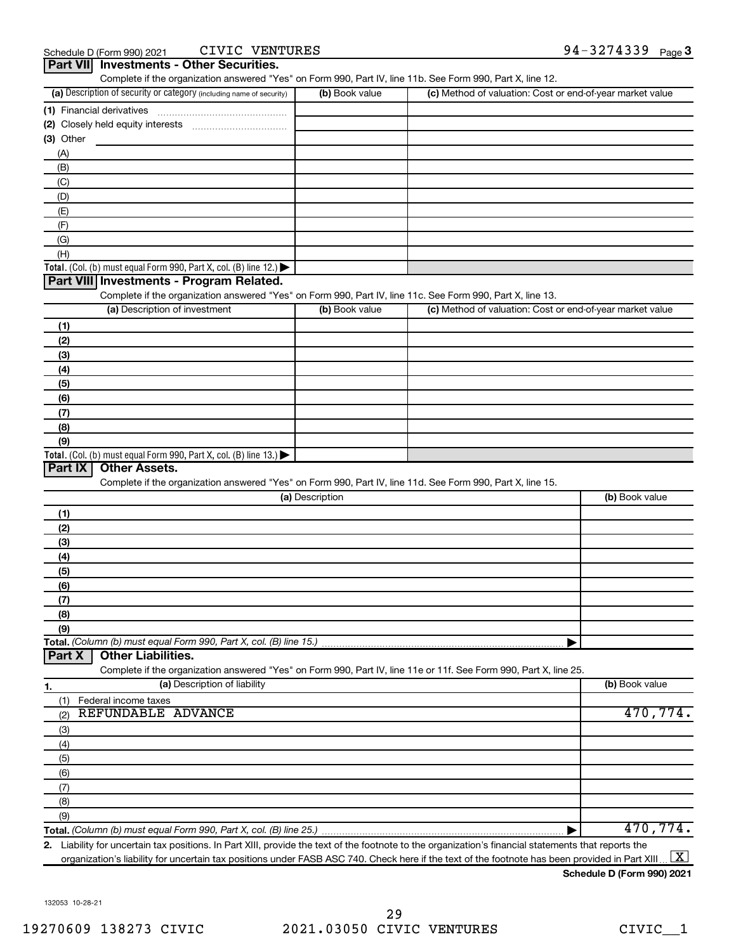| Complete if the organization answered "Yes" on Form 990, Part IV, line 11b. See Form 990, Part X, line 12.<br>(a) Description of security or category (including name of security) | (b) Book value  | (c) Method of valuation: Cost or end-of-year market value |          |
|------------------------------------------------------------------------------------------------------------------------------------------------------------------------------------|-----------------|-----------------------------------------------------------|----------|
| (1) Financial derivatives                                                                                                                                                          |                 |                                                           |          |
|                                                                                                                                                                                    |                 |                                                           |          |
| (3) Other                                                                                                                                                                          |                 |                                                           |          |
| (A)                                                                                                                                                                                |                 |                                                           |          |
| (B)                                                                                                                                                                                |                 |                                                           |          |
| (C)                                                                                                                                                                                |                 |                                                           |          |
| (D)                                                                                                                                                                                |                 |                                                           |          |
| (E)                                                                                                                                                                                |                 |                                                           |          |
| (F)                                                                                                                                                                                |                 |                                                           |          |
| (G)                                                                                                                                                                                |                 |                                                           |          |
| (H)                                                                                                                                                                                |                 |                                                           |          |
| Total. (Col. (b) must equal Form 990, Part X, col. (B) line $12$ .)                                                                                                                |                 |                                                           |          |
| Part VIII Investments - Program Related.                                                                                                                                           |                 |                                                           |          |
| Complete if the organization answered "Yes" on Form 990, Part IV, line 11c. See Form 990, Part X, line 13.                                                                         |                 |                                                           |          |
| (a) Description of investment                                                                                                                                                      | (b) Book value  | (c) Method of valuation: Cost or end-of-year market value |          |
| (1)                                                                                                                                                                                |                 |                                                           |          |
| (2)                                                                                                                                                                                |                 |                                                           |          |
| (3)                                                                                                                                                                                |                 |                                                           |          |
| (4)                                                                                                                                                                                |                 |                                                           |          |
| (5)                                                                                                                                                                                |                 |                                                           |          |
| (6)                                                                                                                                                                                |                 |                                                           |          |
| (7)                                                                                                                                                                                |                 |                                                           |          |
| (8)                                                                                                                                                                                |                 |                                                           |          |
| (9)                                                                                                                                                                                |                 |                                                           |          |
| Total. (Col. (b) must equal Form 990, Part X, col. (B) line 13.)                                                                                                                   |                 |                                                           |          |
| <b>Other Assets.</b><br>Part IX                                                                                                                                                    |                 |                                                           |          |
| Complete if the organization answered "Yes" on Form 990, Part IV, line 11d. See Form 990, Part X, line 15.                                                                         |                 |                                                           |          |
|                                                                                                                                                                                    | (a) Description | (b) Book value                                            |          |
| (1)                                                                                                                                                                                |                 |                                                           |          |
| (2)                                                                                                                                                                                |                 |                                                           |          |
| (3)                                                                                                                                                                                |                 |                                                           |          |
| (4)                                                                                                                                                                                |                 |                                                           |          |
| (5)                                                                                                                                                                                |                 |                                                           |          |
| (6)                                                                                                                                                                                |                 |                                                           |          |
| (7)                                                                                                                                                                                |                 |                                                           |          |
|                                                                                                                                                                                    |                 |                                                           |          |
| (8)                                                                                                                                                                                |                 |                                                           |          |
| (9)                                                                                                                                                                                |                 |                                                           |          |
|                                                                                                                                                                                    |                 |                                                           |          |
| Total. (Column (b) must equal Form 990, Part X, col. (B) line 15.)<br><b>Other Liabilities.</b><br>Part X                                                                          |                 |                                                           |          |
| Complete if the organization answered "Yes" on Form 990, Part IV, line 11e or 11f. See Form 990, Part X, line 25.                                                                  |                 |                                                           |          |
| (a) Description of liability                                                                                                                                                       |                 | (b) Book value                                            |          |
| Federal income taxes<br>(1)                                                                                                                                                        |                 |                                                           |          |
| REFUNDABLE ADVANCE<br>(2)                                                                                                                                                          |                 |                                                           |          |
| (3)                                                                                                                                                                                |                 |                                                           |          |
| (4)                                                                                                                                                                                |                 |                                                           |          |
| (5)                                                                                                                                                                                |                 |                                                           |          |
| (6)                                                                                                                                                                                |                 |                                                           |          |
| (7)                                                                                                                                                                                |                 |                                                           |          |
|                                                                                                                                                                                    |                 |                                                           | 470,774. |
| 1.<br>(8)<br>(9)                                                                                                                                                                   |                 |                                                           |          |

**2.** Liability for uncertain tax positions. In Part XIII, provide the text of the footnote to the organization's financial statements that reports the organization's liability for uncertain tax positions under FASB ASC 740. Check here if the text of the footnote has been provided in Part XIII…  $\boxed{\mathrm{X}}$ 

## **Schedule D (Form 990) 2021**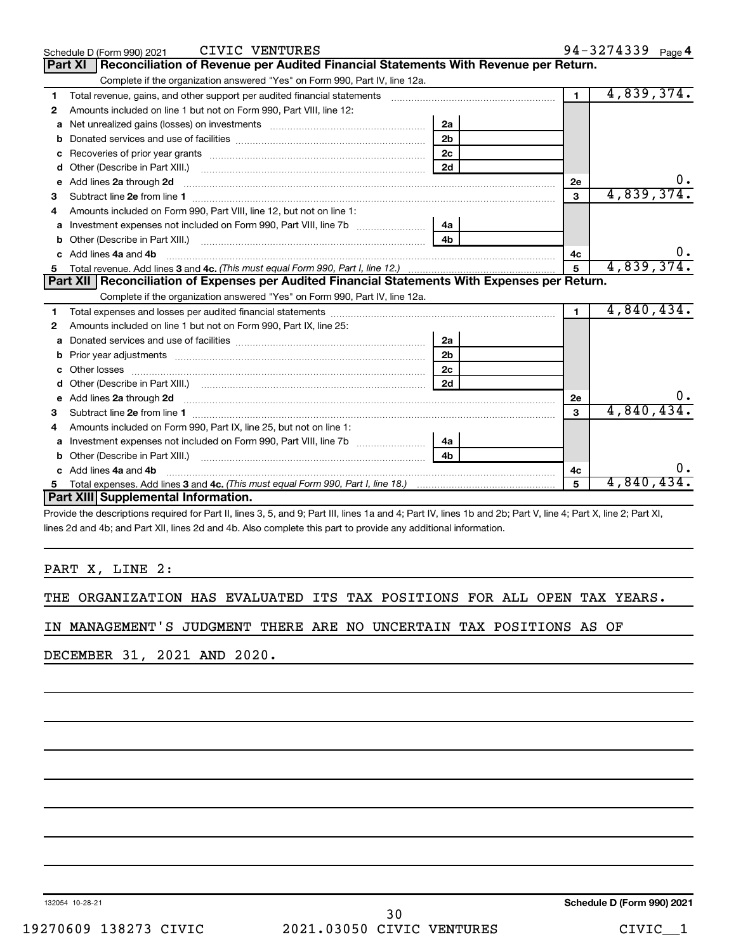| CIVIC VENTURES<br>Schedule D (Form 990) 2021                                                                                                                                                                                             |                |                | 94-3274339 Page 4 |
|------------------------------------------------------------------------------------------------------------------------------------------------------------------------------------------------------------------------------------------|----------------|----------------|-------------------|
| Reconciliation of Revenue per Audited Financial Statements With Revenue per Return.<br><b>Part XI</b>                                                                                                                                    |                |                |                   |
| Complete if the organization answered "Yes" on Form 990, Part IV, line 12a.                                                                                                                                                              |                |                |                   |
| Total revenue, gains, and other support per audited financial statements [111] [11] Total revenue, gains, and other support per audited financial statements<br>1                                                                        |                | $\blacksquare$ | 4,839,374.        |
| Amounts included on line 1 but not on Form 990, Part VIII, line 12:<br>2                                                                                                                                                                 |                |                |                   |
| Net unrealized gains (losses) on investments [11] matter contracts and the unrealized gains (losses) on investments<br>a                                                                                                                 | 2a             |                |                   |
|                                                                                                                                                                                                                                          | 2 <sub>b</sub> |                |                   |
| c                                                                                                                                                                                                                                        | 2 <sub>c</sub> |                |                   |
| Other (Describe in Part XIII.) <b>Construction Contract Construction</b> Chemistry Chemistry Chemistry Chemistry Chemistry<br>d                                                                                                          | 2d             |                |                   |
| Add lines 2a through 2d <b>contract and all anomalisation</b> and all and anomalisation of the contract of the contract of the contract of the contract of the contract of the contract of the contract of the contract of the cont<br>e |                | 2e             |                   |
| 3                                                                                                                                                                                                                                        |                | 3              | 4,839,374.        |
| Amounts included on Form 990. Part VIII. line 12, but not on line 1:<br>4                                                                                                                                                                |                |                |                   |
| Investment expenses not included on Form 990, Part VIII, line 7b                                                                                                                                                                         | 4a             |                |                   |
|                                                                                                                                                                                                                                          | 4 <sub>h</sub> |                |                   |
| c Add lines 4a and 4b                                                                                                                                                                                                                    |                | 4c             |                   |
|                                                                                                                                                                                                                                          | $\mathbf{5}$   | 4,839,374.     |                   |
| Part XII   Reconciliation of Expenses per Audited Financial Statements With Expenses per Return.                                                                                                                                         |                |                |                   |
| Complete if the organization answered "Yes" on Form 990, Part IV, line 12a.                                                                                                                                                              |                |                |                   |
| 1                                                                                                                                                                                                                                        |                | $\mathbf{1}$   |                   |
|                                                                                                                                                                                                                                          |                |                | 4,840,434.        |
| Amounts included on line 1 but not on Form 990, Part IX, line 25:<br>2                                                                                                                                                                   |                |                |                   |
| a                                                                                                                                                                                                                                        | 2a             |                |                   |
| b                                                                                                                                                                                                                                        | 2 <sub>b</sub> |                |                   |
|                                                                                                                                                                                                                                          | 2 <sub>c</sub> |                |                   |
| d                                                                                                                                                                                                                                        | 2d             |                |                   |
|                                                                                                                                                                                                                                          |                | 2e             |                   |
| з                                                                                                                                                                                                                                        |                | 3              | 4,840,434         |
| Amounts included on Form 990, Part IX, line 25, but not on line 1:<br>4                                                                                                                                                                  |                |                |                   |
| a                                                                                                                                                                                                                                        | 4a             |                |                   |
|                                                                                                                                                                                                                                          | 4 <sub>h</sub> |                |                   |
| c Add lines 4a and 4b                                                                                                                                                                                                                    |                | 4c             |                   |
| 5<br>Part XIII Supplemental Information.                                                                                                                                                                                                 |                | 5              | 4,840,434。        |

Provide the descriptions required for Part II, lines 3, 5, and 9; Part III, lines 1a and 4; Part IV, lines 1b and 2b; Part V, line 4; Part X, line 2; Part XI, lines 2d and 4b; and Part XII, lines 2d and 4b. Also complete this part to provide any additional information.

## PART X, LINE 2:

|  | THE ORGANIZATION HAS EVALUATED ITS TAX POSITIONS FOR ALL OPEN TAX YEARS. |  |  |  |  |  |  |  |  |  |  |
|--|--------------------------------------------------------------------------|--|--|--|--|--|--|--|--|--|--|
|--|--------------------------------------------------------------------------|--|--|--|--|--|--|--|--|--|--|

IN MANAGEMENT'S JUDGMENT THERE ARE NO UNCERTAIN TAX POSITIONS AS OF

DECEMBER 31, 2021 AND 2020.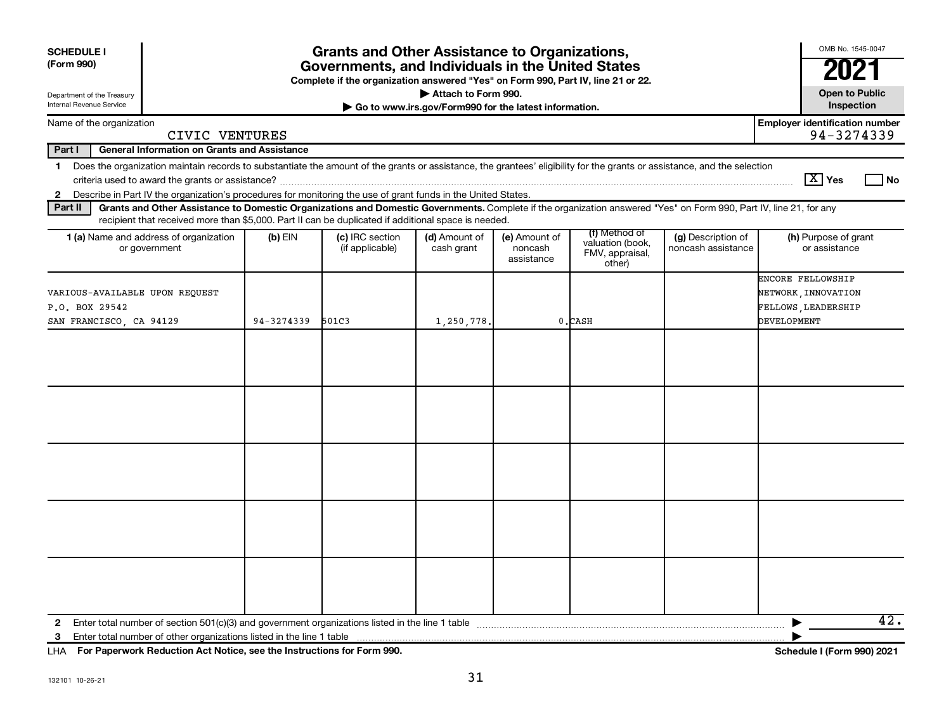| <b>SCHEDULE I</b><br>(Form 990)                                                   | <b>Grants and Other Assistance to Organizations,</b><br>Governments, and Individuals in the United States<br>Complete if the organization answered "Yes" on Form 990, Part IV, line 21 or 22.                                                                                               |            |                                    |                             |                                        |                                                                |                                          |                                                                                       |  |  |
|-----------------------------------------------------------------------------------|---------------------------------------------------------------------------------------------------------------------------------------------------------------------------------------------------------------------------------------------------------------------------------------------|------------|------------------------------------|-----------------------------|----------------------------------------|----------------------------------------------------------------|------------------------------------------|---------------------------------------------------------------------------------------|--|--|
| Attach to Form 990.<br>Department of the Treasury                                 |                                                                                                                                                                                                                                                                                             |            |                                    |                             |                                        |                                                                |                                          |                                                                                       |  |  |
| Internal Revenue Service<br>Go to www.irs.gov/Form990 for the latest information. |                                                                                                                                                                                                                                                                                             |            |                                    |                             |                                        |                                                                |                                          |                                                                                       |  |  |
|                                                                                   | Name of the organization<br>CIVIC VENTURES                                                                                                                                                                                                                                                  |            |                                    |                             |                                        |                                                                |                                          | <b>Employer identification number</b><br>94-3274339                                   |  |  |
| Part I                                                                            | <b>General Information on Grants and Assistance</b>                                                                                                                                                                                                                                         |            |                                    |                             |                                        |                                                                |                                          |                                                                                       |  |  |
| $\mathbf{2}$                                                                      | 1 Does the organization maintain records to substantiate the amount of the grants or assistance, the grantees' eligibility for the grants or assistance, and the selection<br>Describe in Part IV the organization's procedures for monitoring the use of grant funds in the United States. |            |                                    |                             |                                        |                                                                |                                          | $\boxed{\text{X}}$ Yes<br>l No                                                        |  |  |
| Part II                                                                           | Grants and Other Assistance to Domestic Organizations and Domestic Governments. Complete if the organization answered "Yes" on Form 990, Part IV, line 21, for any                                                                                                                          |            |                                    |                             |                                        |                                                                |                                          |                                                                                       |  |  |
|                                                                                   | recipient that received more than \$5,000. Part II can be duplicated if additional space is needed.<br>1 (a) Name and address of organization<br>or government                                                                                                                              | $(b)$ EIN  | (c) IRC section<br>(if applicable) | (d) Amount of<br>cash grant | (e) Amount of<br>noncash<br>assistance | (f) Method of<br>valuation (book,<br>FMV, appraisal,<br>other) | (g) Description of<br>noncash assistance | (h) Purpose of grant<br>or assistance                                                 |  |  |
|                                                                                   | VARIOUS-AVAILABLE UPON REQUEST<br>P.O. BOX 29542<br>SAN FRANCISCO, CA 94129                                                                                                                                                                                                                 | 94-3274339 | 501C3                              | 1,250,778.                  |                                        | 0.CASH                                                         |                                          | ENCORE FELLOWSHIP<br>NETWORK, INNOVATION<br>FELLOWS, LEADERSHIP<br><b>DEVELOPMENT</b> |  |  |
|                                                                                   |                                                                                                                                                                                                                                                                                             |            |                                    |                             |                                        |                                                                |                                          |                                                                                       |  |  |
|                                                                                   |                                                                                                                                                                                                                                                                                             |            |                                    |                             |                                        |                                                                |                                          |                                                                                       |  |  |
|                                                                                   |                                                                                                                                                                                                                                                                                             |            |                                    |                             |                                        |                                                                |                                          |                                                                                       |  |  |
|                                                                                   |                                                                                                                                                                                                                                                                                             |            |                                    |                             |                                        |                                                                |                                          |                                                                                       |  |  |
|                                                                                   |                                                                                                                                                                                                                                                                                             |            |                                    |                             |                                        |                                                                |                                          |                                                                                       |  |  |
| $\mathbf{2}$<br>3                                                                 |                                                                                                                                                                                                                                                                                             |            |                                    |                             |                                        |                                                                |                                          | 42.                                                                                   |  |  |

**For Paperwork Reduction Act Notice, see the Instructions for Form 990. Schedule I (Form 990) 2021** LHA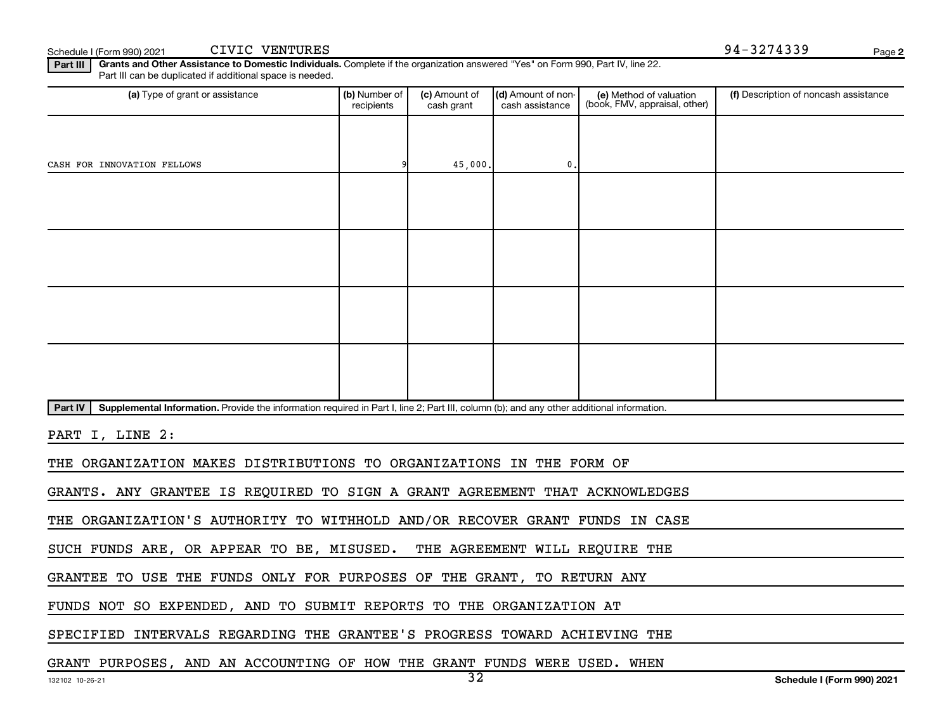Schedule I (Form 990) 2021 CIVIC VENTURES And the Schedule I (Form 990) 2021 274339 CIVIC VENTURES

**2**

**Part III | Grants and Other Assistance to Domestic Individuals.** Complete if the organization answered "Yes" on Form 990, Part IV, line 22. Part III can be duplicated if additional space is needed.

| (a) Type of grant or assistance                                                                                                                      | (b) Number of<br>recipients | (c) Amount of<br>cash grant | (d) Amount of non-<br>cash assistance | (e) Method of valuation<br>(book, FMV, appraisal, other) | (f) Description of noncash assistance |  |  |  |
|------------------------------------------------------------------------------------------------------------------------------------------------------|-----------------------------|-----------------------------|---------------------------------------|----------------------------------------------------------|---------------------------------------|--|--|--|
|                                                                                                                                                      |                             |                             |                                       |                                                          |                                       |  |  |  |
| CASH FOR INNOVATION FELLOWS                                                                                                                          |                             | 45,000.                     | 0.                                    |                                                          |                                       |  |  |  |
|                                                                                                                                                      |                             |                             |                                       |                                                          |                                       |  |  |  |
|                                                                                                                                                      |                             |                             |                                       |                                                          |                                       |  |  |  |
|                                                                                                                                                      |                             |                             |                                       |                                                          |                                       |  |  |  |
|                                                                                                                                                      |                             |                             |                                       |                                                          |                                       |  |  |  |
|                                                                                                                                                      |                             |                             |                                       |                                                          |                                       |  |  |  |
|                                                                                                                                                      |                             |                             |                                       |                                                          |                                       |  |  |  |
|                                                                                                                                                      |                             |                             |                                       |                                                          |                                       |  |  |  |
|                                                                                                                                                      |                             |                             |                                       |                                                          |                                       |  |  |  |
| Supplemental Information. Provide the information required in Part I, line 2; Part III, column (b); and any other additional information.<br>Part IV |                             |                             |                                       |                                                          |                                       |  |  |  |
| PART I, LINE 2:                                                                                                                                      |                             |                             |                                       |                                                          |                                       |  |  |  |
| THE ORGANIZATION MAKES DISTRIBUTIONS TO ORGANIZATIONS IN THE FORM OF                                                                                 |                             |                             |                                       |                                                          |                                       |  |  |  |

GRANTS. ANY GRANTEE IS REQUIRED TO SIGN A GRANT AGREEMENT THAT ACKNOWLEDGES

THE ORGANIZATION'S AUTHORITY TO WITHHOLD AND/OR RECOVER GRANT FUNDS IN CASE

SUCH FUNDS ARE, OR APPEAR TO BE, MISUSED. THE AGREEMENT WILL REQUIRE THE

GRANTEE TO USE THE FUNDS ONLY FOR PURPOSES OF THE GRANT, TO RETURN ANY

FUNDS NOT SO EXPENDED, AND TO SUBMIT REPORTS TO THE ORGANIZATION AT

SPECIFIED INTERVALS REGARDING THE GRANTEE'S PROGRESS TOWARD ACHIEVING THE

GRANT PURPOSES, AND AN ACCOUNTING OF HOW THE GRANT FUNDS WERE USED. WHEN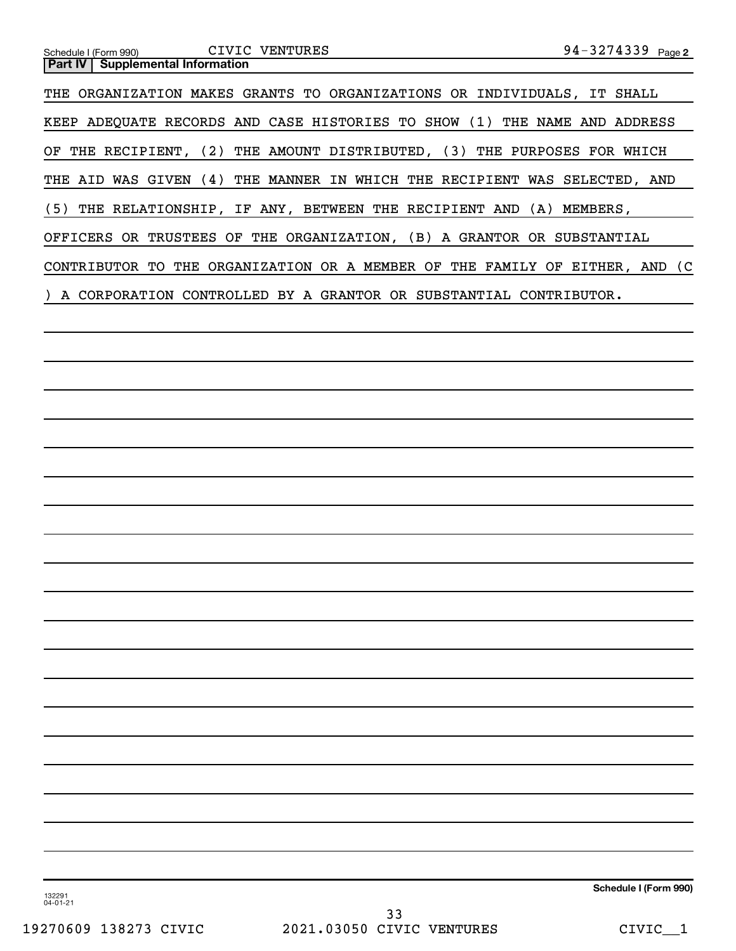| 94-3274339 Page 2<br>CIVIC VENTURES<br>Schedule I (Form 990)<br><b>Supplemental Information</b><br><b>Part IV</b> |
|-------------------------------------------------------------------------------------------------------------------|
| THE ORGANIZATION MAKES GRANTS TO ORGANIZATIONS OR INDIVIDUALS, IT SHALL                                           |
| KEEP ADEQUATE RECORDS AND CASE HISTORIES TO SHOW (1) THE NAME AND ADDRESS                                         |
| OF THE RECIPIENT, (2) THE AMOUNT DISTRIBUTED, (3) THE PURPOSES FOR WHICH                                          |
| THE AID WAS GIVEN (4) THE MANNER IN WHICH THE RECIPIENT WAS SELECTED, AND                                         |
| (5)<br>THE RELATIONSHIP, IF ANY, BETWEEN THE RECIPIENT AND (A) MEMBERS,                                           |
| OFFICERS OR TRUSTEES OF THE ORGANIZATION, (B) A GRANTOR OR SUBSTANTIAL                                            |
| CONTRIBUTOR TO THE ORGANIZATION OR A MEMBER OF THE FAMILY OF EITHER, AND (C                                       |
| ) A CORPORATION CONTROLLED BY A GRANTOR OR SUBSTANTIAL CONTRIBUTOR.                                               |
|                                                                                                                   |
|                                                                                                                   |
|                                                                                                                   |
|                                                                                                                   |
|                                                                                                                   |
|                                                                                                                   |
|                                                                                                                   |
|                                                                                                                   |
|                                                                                                                   |
|                                                                                                                   |
|                                                                                                                   |
|                                                                                                                   |
|                                                                                                                   |
|                                                                                                                   |
|                                                                                                                   |
|                                                                                                                   |
|                                                                                                                   |
|                                                                                                                   |
|                                                                                                                   |
|                                                                                                                   |
| Schedule I (Form 990)<br>132291<br>04-01-21                                                                       |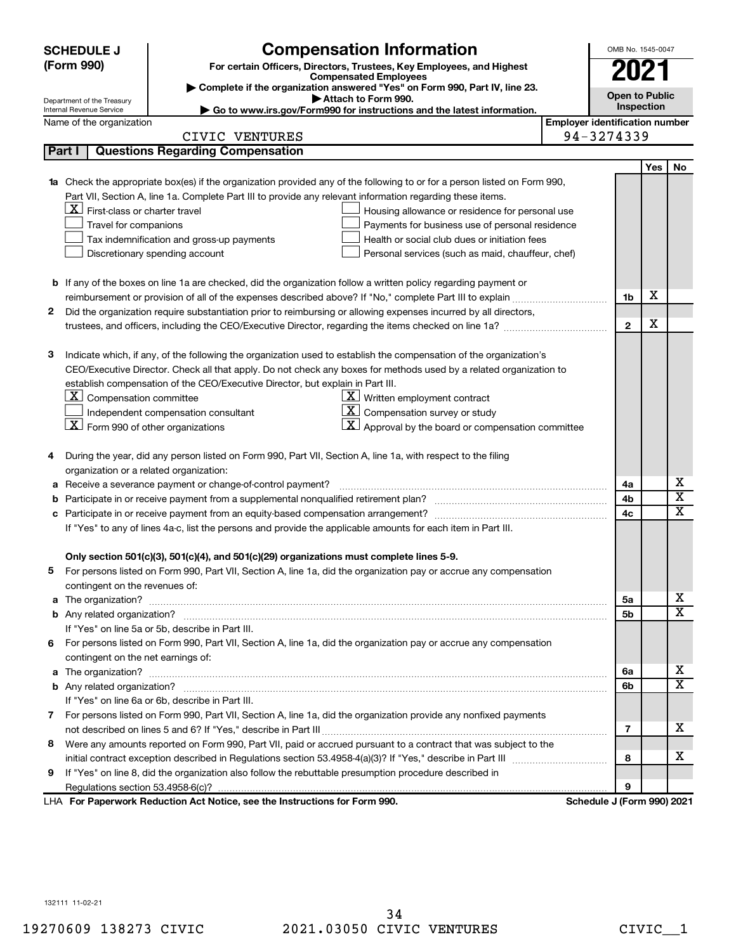|   | <b>SCHEDULE J</b>                                                                   | <b>Compensation Information</b>                                                                                        |                                       | OMB No. 1545-0047          |      |                         |
|---|-------------------------------------------------------------------------------------|------------------------------------------------------------------------------------------------------------------------|---------------------------------------|----------------------------|------|-------------------------|
|   | (Form 990)<br>For certain Officers, Directors, Trustees, Key Employees, and Highest |                                                                                                                        |                                       |                            | 2021 |                         |
|   | <b>Compensated Employees</b>                                                        |                                                                                                                        |                                       |                            |      |                         |
|   | Department of the Treasury                                                          | Complete if the organization answered "Yes" on Form 990, Part IV, line 23.<br>Attach to Form 990.                      |                                       | <b>Open to Public</b>      |      |                         |
|   | Internal Revenue Service                                                            | Go to www.irs.gov/Form990 for instructions and the latest information.                                                 |                                       | Inspection                 |      |                         |
|   | Name of the organization                                                            |                                                                                                                        | <b>Employer identification number</b> |                            |      |                         |
|   |                                                                                     | CIVIC VENTURES                                                                                                         |                                       | 94-3274339                 |      |                         |
|   | Part I                                                                              | <b>Questions Regarding Compensation</b>                                                                                |                                       |                            |      |                         |
|   |                                                                                     |                                                                                                                        |                                       |                            | Yes  | No                      |
|   |                                                                                     | Check the appropriate box(es) if the organization provided any of the following to or for a person listed on Form 990, |                                       |                            |      |                         |
|   |                                                                                     | Part VII, Section A, line 1a. Complete Part III to provide any relevant information regarding these items.             |                                       |                            |      |                         |
|   | $\mathbf{X}$ First-class or charter travel                                          | Housing allowance or residence for personal use                                                                        |                                       |                            |      |                         |
|   | Travel for companions                                                               | Payments for business use of personal residence                                                                        |                                       |                            |      |                         |
|   |                                                                                     | Health or social club dues or initiation fees<br>Tax indemnification and gross-up payments                             |                                       |                            |      |                         |
|   |                                                                                     | Discretionary spending account<br>Personal services (such as maid, chauffeur, chef)                                    |                                       |                            |      |                         |
|   |                                                                                     |                                                                                                                        |                                       |                            |      |                         |
|   |                                                                                     | <b>b</b> If any of the boxes on line 1a are checked, did the organization follow a written policy regarding payment or |                                       |                            | X    |                         |
|   |                                                                                     |                                                                                                                        |                                       | 1b                         |      |                         |
| 2 |                                                                                     | Did the organization require substantiation prior to reimbursing or allowing expenses incurred by all directors,       |                                       |                            | X    |                         |
|   |                                                                                     |                                                                                                                        |                                       | $\mathbf{2}$               |      |                         |
|   |                                                                                     |                                                                                                                        |                                       |                            |      |                         |
| 3 |                                                                                     | Indicate which, if any, of the following the organization used to establish the compensation of the organization's     |                                       |                            |      |                         |
|   |                                                                                     | CEO/Executive Director. Check all that apply. Do not check any boxes for methods used by a related organization to     |                                       |                            |      |                         |
|   |                                                                                     | establish compensation of the CEO/Executive Director, but explain in Part III.                                         |                                       |                            |      |                         |
|   | $ \mathbf{X} $ Compensation committee                                               | $\underline{\mathbf{X}}$ Written employment contract                                                                   |                                       |                            |      |                         |
|   |                                                                                     | $\underline{\mathbf{X}}$ Compensation survey or study<br>Independent compensation consultant                           |                                       |                            |      |                         |
|   | $\boxed{\textbf{X}}$ Form 990 of other organizations                                | $ \mathbf{X} $ Approval by the board or compensation committee                                                         |                                       |                            |      |                         |
|   |                                                                                     |                                                                                                                        |                                       |                            |      |                         |
| 4 |                                                                                     | During the year, did any person listed on Form 990, Part VII, Section A, line 1a, with respect to the filing           |                                       |                            |      |                         |
|   | organization or a related organization:                                             |                                                                                                                        |                                       |                            |      | х                       |
| а |                                                                                     | Receive a severance payment or change-of-control payment?                                                              |                                       | 4a                         |      | $\overline{\mathbf{x}}$ |
|   |                                                                                     |                                                                                                                        |                                       | 4b<br>4c                   |      | $\mathbf x$             |
|   |                                                                                     |                                                                                                                        |                                       |                            |      |                         |
|   |                                                                                     | If "Yes" to any of lines 4a-c, list the persons and provide the applicable amounts for each item in Part III.          |                                       |                            |      |                         |
|   |                                                                                     | Only section 501(c)(3), 501(c)(4), and 501(c)(29) organizations must complete lines 5-9.                               |                                       |                            |      |                         |
|   |                                                                                     | For persons listed on Form 990, Part VII, Section A, line 1a, did the organization pay or accrue any compensation      |                                       |                            |      |                         |
|   | contingent on the revenues of:                                                      |                                                                                                                        |                                       |                            |      |                         |
| a |                                                                                     | The organization? <b>William Commission Commission Commission</b> Commission Commission Commission Commission          |                                       | 5а                         |      | x                       |
|   |                                                                                     |                                                                                                                        |                                       | 5b                         |      | X                       |
|   |                                                                                     | If "Yes" on line 5a or 5b, describe in Part III.                                                                       |                                       |                            |      |                         |
|   |                                                                                     | 6 For persons listed on Form 990, Part VII, Section A, line 1a, did the organization pay or accrue any compensation    |                                       |                            |      |                         |
|   | contingent on the net earnings of:                                                  |                                                                                                                        |                                       |                            |      |                         |
| a |                                                                                     |                                                                                                                        |                                       | 6a                         |      | x                       |
|   |                                                                                     |                                                                                                                        |                                       | 6b                         |      | $\overline{\textbf{x}}$ |
|   |                                                                                     | If "Yes" on line 6a or 6b, describe in Part III.                                                                       |                                       |                            |      |                         |
|   |                                                                                     | 7 For persons listed on Form 990, Part VII, Section A, line 1a, did the organization provide any nonfixed payments     |                                       |                            |      |                         |
|   |                                                                                     |                                                                                                                        |                                       | 7                          |      | x                       |
|   |                                                                                     | 8 Were any amounts reported on Form 990, Part VII, paid or accrued pursuant to a contract that was subject to the      |                                       |                            |      |                         |
|   |                                                                                     |                                                                                                                        |                                       | 8                          |      | x                       |
| 9 |                                                                                     | If "Yes" on line 8, did the organization also follow the rebuttable presumption procedure described in                 |                                       |                            |      |                         |
|   |                                                                                     |                                                                                                                        |                                       | 9                          |      |                         |
|   |                                                                                     | LHA For Paperwork Reduction Act Notice, see the Instructions for Form 990.                                             |                                       | Schedule J (Form 990) 2021 |      |                         |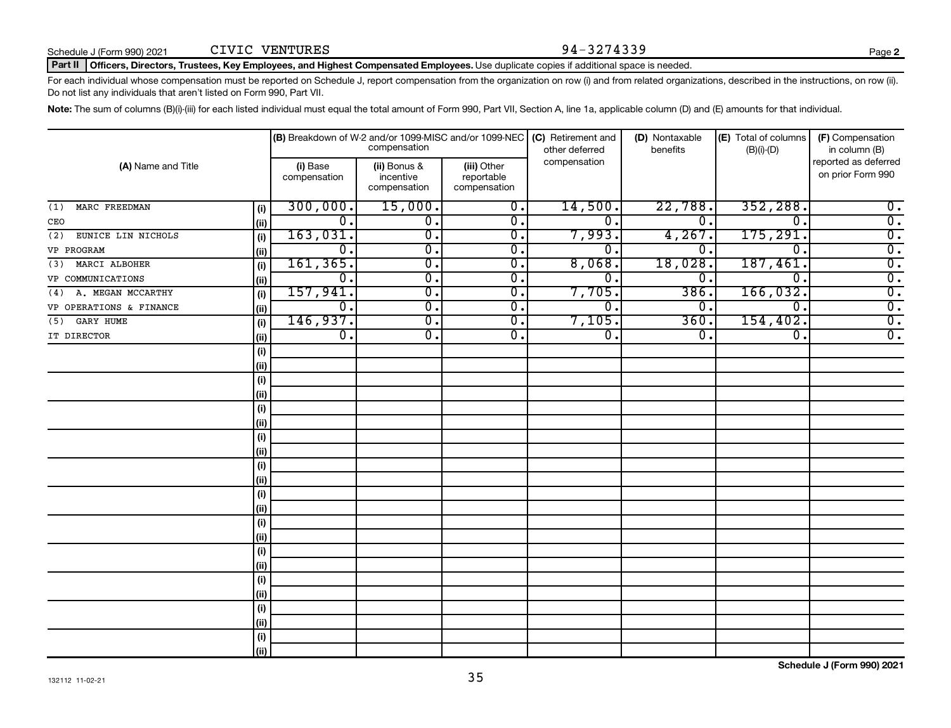### Part II | Officers, Directors, Trustees, Key Employees, and Highest Compensated Employees. Use duplicate copies if additional space is needed.

For each individual whose compensation must be reported on Schedule J, report compensation from the organization on row (i) and from related organizations, described in the instructions, on row (ii). Do not list any individuals that aren't listed on Form 990, Part VII.

Note: The sum of columns (B)(i)-(iii) for each listed individual must equal the total amount of Form 990, Part VII, Section A, line 1a, applicable column (D) and (E) amounts for that individual.

| (A) Name and Title        |      | (B) Breakdown of W-2 and/or 1099-MISC and/or 1099-NEC | compensation                              |                                           | (C) Retirement and<br>other deferred | (D) Nontaxable<br>benefits | (E) Total of columns<br>$(B)(i)-(D)$ | (F) Compensation<br>in column (B)         |
|---------------------------|------|-------------------------------------------------------|-------------------------------------------|-------------------------------------------|--------------------------------------|----------------------------|--------------------------------------|-------------------------------------------|
|                           |      | (i) Base<br>compensation                              | (ii) Bonus &<br>incentive<br>compensation | (iii) Other<br>reportable<br>compensation | compensation                         |                            |                                      | reported as deferred<br>on prior Form 990 |
| MARC FREEDMAN<br>(1)      | (i)  | 300,000.                                              | 15,000.                                   | $\overline{\mathbf{0}}$ .                 | 14,500.                              | 22,788.                    | 352, 288.                            | $\overline{0}$ .                          |
| CEO                       | (ii) | $\overline{0}$ .                                      | $\overline{\mathbf{0}}$ .                 | $\overline{\mathbf{0}}$ .                 | 0.                                   | 0.                         | $\Omega$                             | $\overline{0}$ .                          |
| EUNICE LIN NICHOLS<br>(2) | (i)  | 163,031.                                              | $\overline{0}$ .                          | $\overline{\mathbf{0}}$ .                 | 7,993.                               | 4,267.                     | 175, 291.                            | $\overline{0}$ .                          |
| VP PROGRAM                | (ii) | $\overline{0}$ .                                      | $\overline{0}$ .                          | 0.                                        | $0 \, .$                             | 0.                         | 0                                    | $\overline{0}$ .                          |
| (3) MARCI ALBOHER         | (i)  | 161, 365.                                             | $\overline{\mathbf{0}}$ .                 | 0.                                        | 8,068.                               | 18,028.                    | 187,461.                             | $\overline{0}$ .                          |
| VP COMMUNICATIONS         | (ii) | $\overline{0}$ .                                      | $\overline{0}$ .                          | $\overline{\mathbf{0}}$ .                 | 0.                                   | 0.                         | $\overline{0}$                       | $\overline{0}$ .                          |
| (4) A. MEGAN MCCARTHY     | (i)  | 157,941.                                              | $\overline{\mathbf{0}}$ .                 | $\overline{\mathbf{0}}$ .                 | 7,705.                               | 386.                       | 166,032.                             | $\overline{0}$ .                          |
| VP OPERATIONS & FINANCE   | (ii) | σ.                                                    | $\overline{\mathbf{0}}$ .                 | $\overline{\mathbf{0}}$ .                 | $\mathbf 0$ .                        | 0.                         | $^{\rm o}$ .                         | $\overline{0}$ .                          |
| GARY HUME<br>(5)          | (i)  | 146,937.                                              | $\overline{\mathbf{0}}$ .                 | $\overline{\mathbf{0}}$ .                 | 7,105.                               | 360                        | 154, 402.                            | $\overline{0}$ .                          |
| IT DIRECTOR               | (ii) | $\overline{0}$ .                                      | $\overline{0}$ .                          | $\overline{0}$ .                          | $\overline{0}$ .                     | σ.                         | $\overline{0}$ .                     | $\overline{0}$ .                          |
|                           | (i)  |                                                       |                                           |                                           |                                      |                            |                                      |                                           |
|                           | (ii) |                                                       |                                           |                                           |                                      |                            |                                      |                                           |
|                           | (i)  |                                                       |                                           |                                           |                                      |                            |                                      |                                           |
|                           | (ii) |                                                       |                                           |                                           |                                      |                            |                                      |                                           |
|                           | (i)  |                                                       |                                           |                                           |                                      |                            |                                      |                                           |
|                           | (ii) |                                                       |                                           |                                           |                                      |                            |                                      |                                           |
|                           | (i)  |                                                       |                                           |                                           |                                      |                            |                                      |                                           |
|                           | (i)  |                                                       |                                           |                                           |                                      |                            |                                      |                                           |
|                           | (i)  |                                                       |                                           |                                           |                                      |                            |                                      |                                           |
|                           | (i)  |                                                       |                                           |                                           |                                      |                            |                                      |                                           |
|                           | (i)  |                                                       |                                           |                                           |                                      |                            |                                      |                                           |
|                           | (ii) |                                                       |                                           |                                           |                                      |                            |                                      |                                           |
|                           | (i)  |                                                       |                                           |                                           |                                      |                            |                                      |                                           |
|                           | (ii) |                                                       |                                           |                                           |                                      |                            |                                      |                                           |
|                           | (i)  |                                                       |                                           |                                           |                                      |                            |                                      |                                           |
|                           | (ii) |                                                       |                                           |                                           |                                      |                            |                                      |                                           |
|                           | (i)  |                                                       |                                           |                                           |                                      |                            |                                      |                                           |
|                           | (ii) |                                                       |                                           |                                           |                                      |                            |                                      |                                           |
|                           | (i)  |                                                       |                                           |                                           |                                      |                            |                                      |                                           |
|                           | (ii) |                                                       |                                           |                                           |                                      |                            |                                      |                                           |
|                           | (i)  |                                                       |                                           |                                           |                                      |                            |                                      |                                           |
|                           | (ii) |                                                       |                                           |                                           |                                      |                            |                                      |                                           |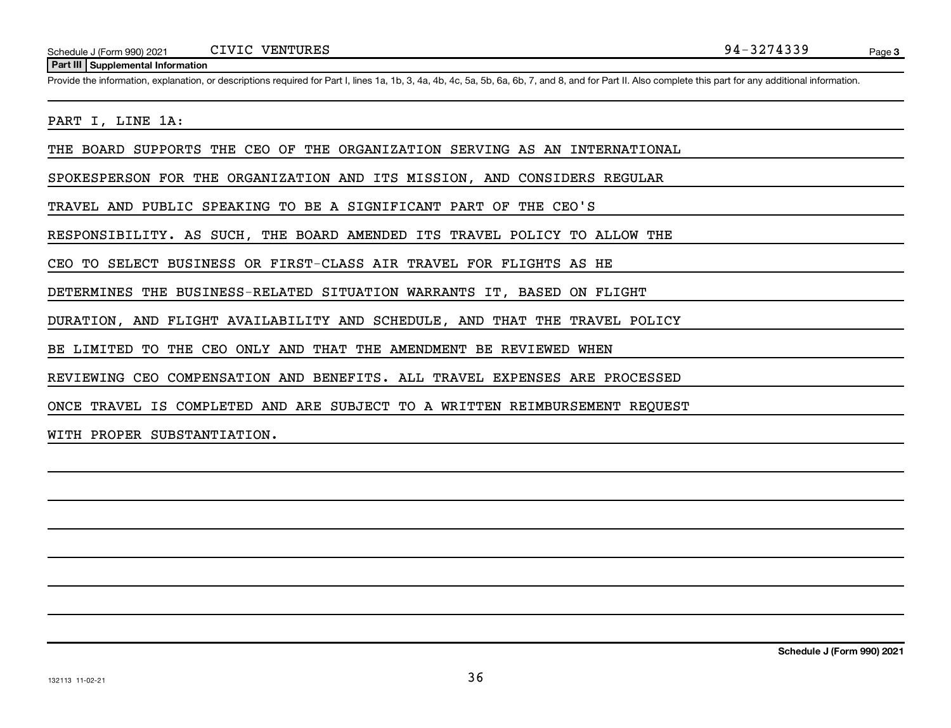#### **Part III Supplemental Information**

Provide the information, explanation, or descriptions required for Part I, lines 1a, 1b, 3, 4a, 4b, 4c, 5a, 5b, 6a, 6b, 7, and 8, and for Part II. Also complete this part for any additional information.

## PART I, LINE 1A:

THE BOARD SUPPORTS THE CEO OF THE ORGANIZATION SERVING AS AN INTERNATIONAL

SPOKESPERSON FOR THE ORGANIZATION AND ITS MISSION, AND CONSIDERS REGULAR

TRAVEL AND PUBLIC SPEAKING TO BE A SIGNIFICANT PART OF THE CEO'S

RESPONSIBILITY. AS SUCH, THE BOARD AMENDED ITS TRAVEL POLICY TO ALLOW THE

CEO TO SELECT BUSINESS OR FIRST-CLASS AIR TRAVEL FOR FLIGHTS AS HE

DETERMINES THE BUSINESS-RELATED SITUATION WARRANTS IT, BASED ON FLIGHT

DURATION, AND FLIGHT AVAILABILITY AND SCHEDULE, AND THAT THE TRAVEL POLICY

BE LIMITED TO THE CEO ONLY AND THAT THE AMENDMENT BE REVIEWED WHEN

REVIEWING CEO COMPENSATION AND BENEFITS. ALL TRAVEL EXPENSES ARE PROCESSED

ONCE TRAVEL IS COMPLETED AND ARE SUBJECT TO A WRITTEN REIMBURSEMENT REQUEST

WITH PROPER SUBSTANTIATION.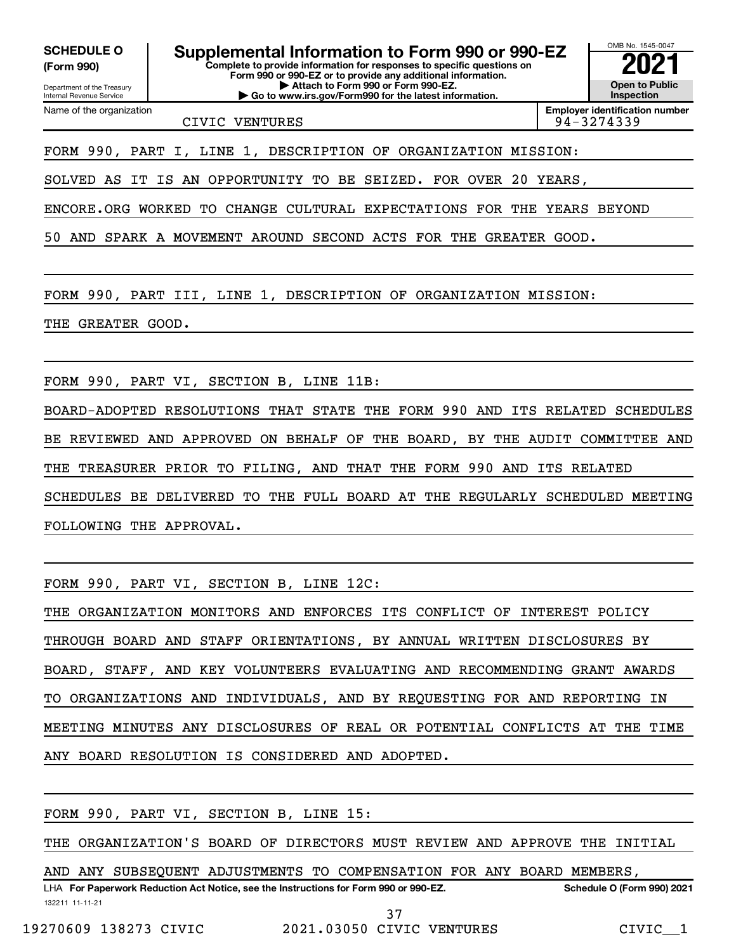Department of the Treasury Internal Revenue Service

Name of the organization

**(Form 990)**

**Complete to provide information for responses to specific questions on Form 990 or 990-EZ or to provide any additional information. | Attach to Form 990 or Form 990-EZ. | Go to www.irs.gov/Form990 for the latest information. SCHEDULE O Supplemental Information to Form 990 or 990-EZ**  $\frac{10008000}{202}$ 

OMB No. 1545-0047 **Open to Public Inspection**

CIVIC VENTURES 94-3274339

**Employer identification number**

FORM 990, PART I, LINE 1, DESCRIPTION OF ORGANIZATION MISSION:

SOLVED AS IT IS AN OPPORTUNITY TO BE SEIZED. FOR OVER 20 YEARS,

ENCORE.ORG WORKED TO CHANGE CULTURAL EXPECTATIONS FOR THE YEARS BEYOND

50 AND SPARK A MOVEMENT AROUND SECOND ACTS FOR THE GREATER GOOD.

FORM 990, PART III, LINE 1, DESCRIPTION OF ORGANIZATION MISSION:

THE GREATER GOOD.

FORM 990, PART VI, SECTION B, LINE 11B:

BOARD-ADOPTED RESOLUTIONS THAT STATE THE FORM 990 AND ITS RELATED SCHEDULES BE REVIEWED AND APPROVED ON BEHALF OF THE BOARD, BY THE AUDIT COMMITTEE AND THE TREASURER PRIOR TO FILING, AND THAT THE FORM 990 AND ITS RELATED SCHEDULES BE DELIVERED TO THE FULL BOARD AT THE REGULARLY SCHEDULED MEETING FOLLOWING THE APPROVAL.

FORM 990, PART VI, SECTION B, LINE 12C:

THE ORGANIZATION MONITORS AND ENFORCES ITS CONFLICT OF INTEREST POLICY THROUGH BOARD AND STAFF ORIENTATIONS, BY ANNUAL WRITTEN DISCLOSURES BY BOARD, STAFF, AND KEY VOLUNTEERS EVALUATING AND RECOMMENDING GRANT AWARDS TO ORGANIZATIONS AND INDIVIDUALS, AND BY REQUESTING FOR AND REPORTING IN MEETING MINUTES ANY DISCLOSURES OF REAL OR POTENTIAL CONFLICTS AT THE TIME ANY BOARD RESOLUTION IS CONSIDERED AND ADOPTED.

FORM 990, PART VI, SECTION B, LINE 15:

THE ORGANIZATION'S BOARD OF DIRECTORS MUST REVIEW AND APPROVE THE INITIAL

LHA For Paperwork Reduction Act Notice, see the Instructions for Form 990 or 990-EZ. Schedule O (Form 990) 2021 AND ANY SUBSEQUENT ADJUSTMENTS TO COMPENSATION FOR ANY BOARD MEMBERS,

132211 11-11-21